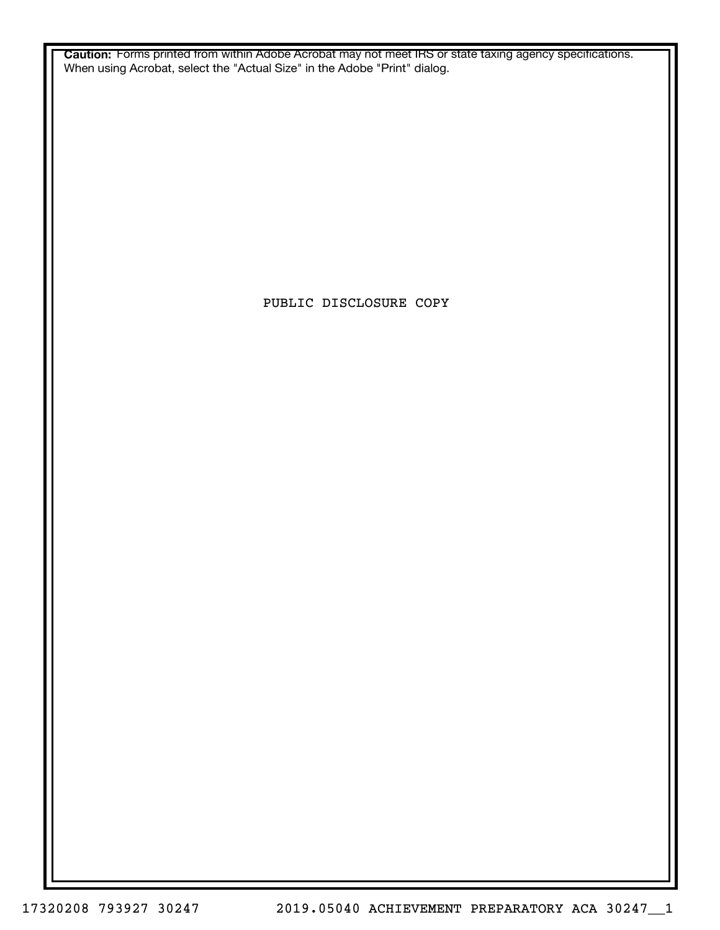**Caution:** Forms printed from within Adobe Acrobat may not meet IRS or state taxing agency specifications. When using Acrobat, select the "Actual Size" in the Adobe "Print" dialog.

PUBLIC DISCLOSURE COPY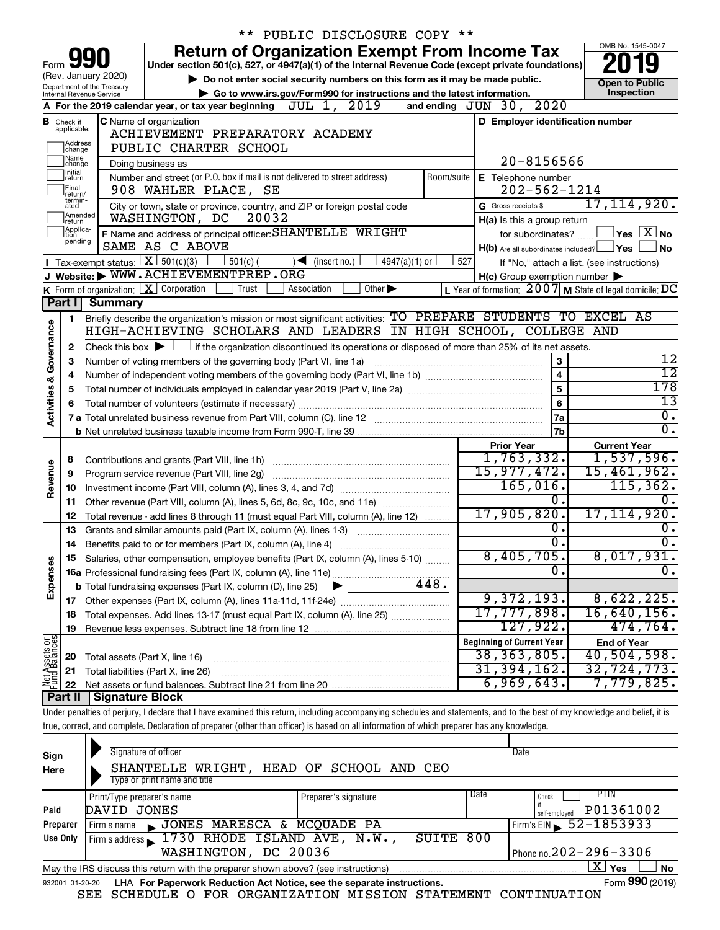|                         |                    |                                                        | PUBLIC DISCLOSURE COPY **                                                                                                                                                  |                                                           |                                               |
|-------------------------|--------------------|--------------------------------------------------------|----------------------------------------------------------------------------------------------------------------------------------------------------------------------------|-----------------------------------------------------------|-----------------------------------------------|
|                         |                    |                                                        | <b>Return of Organization Exempt From Income Tax</b>                                                                                                                       |                                                           | OMB No. 1545-0047                             |
| Form                    |                    |                                                        | Under section 501(c), 527, or 4947(a)(1) of the Internal Revenue Code (except private foundations)                                                                         |                                                           |                                               |
|                         |                    | (Rev. January 2020)                                    | Do not enter social security numbers on this form as it may be made public.                                                                                                |                                                           | <b>Open to Public</b>                         |
|                         |                    | Department of the Treasury<br>Internal Revenue Service | Go to www.irs.gov/Form990 for instructions and the latest information.                                                                                                     |                                                           | Inspection                                    |
|                         |                    |                                                        | A For the 2019 calendar year, or tax year beginning $JUL$ 1, $2019$                                                                                                        | and ending JUN 30, 2020                                   |                                               |
|                         | <b>B</b> Check if  |                                                        | C Name of organization                                                                                                                                                     | D Employer identification number                          |                                               |
|                         | applicable:        |                                                        | ACHIEVEMENT PREPARATORY ACADEMY                                                                                                                                            |                                                           |                                               |
|                         | Address<br>change  |                                                        | PUBLIC CHARTER SCHOOL                                                                                                                                                      |                                                           |                                               |
|                         | Name<br>change     |                                                        | Doing business as                                                                                                                                                          | 20-8156566                                                |                                               |
|                         | Initial<br>return  |                                                        | Number and street (or P.O. box if mail is not delivered to street address)<br>Room/suite                                                                                   | E Telephone number                                        |                                               |
|                         | Final<br>return/   |                                                        | 908 WAHLER PLACE, SE                                                                                                                                                       | $202 - 562 - 1214$                                        |                                               |
|                         | termin-<br>ated    |                                                        | City or town, state or province, country, and ZIP or foreign postal code                                                                                                   | G Gross receipts \$                                       | 17,114,920.                                   |
|                         | Amended<br>Ireturn |                                                        | WASHINGTON, DC<br>20032                                                                                                                                                    | H(a) Is this a group return                               |                                               |
|                         | Applica-<br>tion   |                                                        | F Name and address of principal officer: SHANTELLE WRIGHT                                                                                                                  | for subordinates?                                         | $\sqrt{}$ Yes $\sqrt{ \ \overline{\rm X}}$ No |
|                         | pending            |                                                        | SAME AS C ABOVE                                                                                                                                                            | $H(b)$ Are all subordinates included? $\Box$ Yes          | No                                            |
|                         |                    | <b>I</b> Tax-exempt status: $X \over 301(c)(3)$        | $\frac{1}{2}$ 501(c) (<br>$\sqrt{\frac{1}{1}}$ (insert no.)<br>4947(a)(1) or                                                                                               | 527                                                       | If "No," attach a list. (see instructions)    |
|                         |                    |                                                        | J Website: WWW.ACHIEVEMENTPREP.ORG                                                                                                                                         | $H(c)$ Group exemption number $\blacktriangleright$       |                                               |
|                         |                    |                                                        | K Form of organization: $X$ Corporation<br>Trust<br>Association<br>Other $\blacktriangleright$                                                                             | L Year of formation: $2007$ M State of legal domicile: DC |                                               |
|                         | Part I             | Summary                                                |                                                                                                                                                                            |                                                           |                                               |
|                         | 1.                 |                                                        | Briefly describe the organization's mission or most significant activities: TO PREPARE STUDENTS TO EXCEL AS                                                                |                                                           |                                               |
| Governance              |                    |                                                        | HIGH-ACHIEVING SCHOLARS AND LEADERS IN HIGH SCHOOL, COLLEGE AND                                                                                                            |                                                           |                                               |
|                         | 2                  |                                                        | Check this box $\blacktriangleright$ $\Box$ if the organization discontinued its operations or disposed of more than 25% of its net assets.                                |                                                           |                                               |
|                         | з                  |                                                        | Number of voting members of the governing body (Part VI, line 1a)                                                                                                          | 3                                                         | 12                                            |
|                         | 4                  |                                                        |                                                                                                                                                                            | $\overline{4}$                                            | $\overline{12}$                               |
| <b>Activities &amp;</b> | 5                  |                                                        |                                                                                                                                                                            | 5                                                         | $\overline{178}$                              |
|                         | 6                  |                                                        |                                                                                                                                                                            | 6                                                         | 13                                            |
|                         |                    |                                                        |                                                                                                                                                                            | 7a                                                        | $\overline{\mathfrak{o}}$ .                   |
|                         |                    |                                                        |                                                                                                                                                                            | 7 <sub>b</sub>                                            | σ.                                            |
|                         |                    |                                                        |                                                                                                                                                                            | <b>Prior Year</b><br>1,763,332.                           | <b>Current Year</b><br>1,537,596.             |
|                         | 8                  |                                                        |                                                                                                                                                                            | 15,977,472.                                               | 15,461,962.                                   |
| Revenue                 | 9                  |                                                        | Program service revenue (Part VIII, line 2g)                                                                                                                               | 165,016.                                                  | 115, 362.                                     |
|                         | 10                 |                                                        | Other revenue (Part VIII, column (A), lines 5, 6d, 8c, 9c, 10c, and 11e)                                                                                                   | 0.                                                        | 0.                                            |
|                         | 11<br>12           |                                                        | Total revenue - add lines 8 through 11 (must equal Part VIII, column (A), line 12)                                                                                         | 17,905,820.                                               | 17, 114, 920.                                 |
|                         | 13                 |                                                        | Grants and similar amounts paid (Part IX, column (A), lines 1-3)                                                                                                           | 0.                                                        | о.                                            |
|                         | 14                 |                                                        | Benefits paid to or for members (Part IX, column (A), line 4)                                                                                                              | $\overline{0}$ .                                          | Ο.                                            |
|                         |                    |                                                        | 15 Salaries, other compensation, employee benefits (Part IX, column (A), lines 5-10)                                                                                       | 8,405,705.                                                | 8,017,931.                                    |
|                         |                    |                                                        |                                                                                                                                                                            | $\overline{0}$ .                                          | $\overline{0}$ .                              |
| Expenses                |                    |                                                        | <b>b</b> Total fundraising expenses (Part IX, column (D), line 25)<br>▸                                                                                                    |                                                           |                                               |
|                         |                    |                                                        |                                                                                                                                                                            | 9,372,193.                                                | 8,622,225.                                    |
|                         | 18                 |                                                        | Total expenses. Add lines 13-17 (must equal Part IX, column (A), line 25)                                                                                                  | 17,777,898.                                               | 16,640,156.                                   |
|                         | 19                 |                                                        |                                                                                                                                                                            | 127,922.                                                  | 474,764.                                      |
|                         |                    |                                                        |                                                                                                                                                                            | <b>Beginning of Current Year</b>                          | <b>End of Year</b>                            |
| Net Assets or           | 20                 | Total assets (Part X, line 16)                         |                                                                                                                                                                            | $38, 363, 805$ .                                          | 40,504,598.                                   |
|                         | 21                 |                                                        | Total liabilities (Part X, line 26)                                                                                                                                        | 31, 394, 162.                                             | 32, 724, 773.                                 |
|                         | 22                 |                                                        |                                                                                                                                                                            | 6,969,643.                                                | 7,779,825.                                    |
|                         | Part II            | <b>Signature Block</b>                                 |                                                                                                                                                                            |                                                           |                                               |
|                         |                    |                                                        | Under penalties of perjury, I declare that I have examined this return, including accompanying schedules and statements, and to the best of my knowledge and belief, it is |                                                           |                                               |
|                         |                    |                                                        | true, correct, and complete. Declaration of preparer (other than officer) is based on all information of which preparer has any knowledge.                                 |                                                           |                                               |
|                         |                    |                                                        |                                                                                                                                                                            |                                                           |                                               |
| Sign                    |                    |                                                        | Signature of officer                                                                                                                                                       | Date                                                      |                                               |
| Here                    |                    |                                                        | SHANTELLE WRIGHT, HEAD OF SCHOOL AND CEO                                                                                                                                   |                                                           |                                               |
|                         |                    |                                                        | Type or print name and title                                                                                                                                               | $\Gamma$ Dotc                                             |                                               |

|          | Print/Type preparer's name                                                        | Preparer's signature | <b>Date</b> | PTIN<br>Check                            |
|----------|-----------------------------------------------------------------------------------|----------------------|-------------|------------------------------------------|
| Paid     | DAVID JONES                                                                       |                      |             | P01361002<br>self-emploved               |
| Preparer | JONES MARESCA & MCQUADE PA<br>Firm's name                                         |                      |             | $1$ Firm's EIN $\frac{52 - 1853933}{5}$  |
| Use Only | Firm's address $\sim 1730$ RHODE ISLAND AVE, N.W.,                                | SUITE 800            |             |                                          |
|          | WASHINGTON, DC 20036                                                              |                      |             | Phone no. $202 - 296 - 3306$             |
|          | May the IRS discuss this return with the preparer shown above? (see instructions) |                      |             | Yes<br>No                                |
|          | .                                                                                 |                      |             | $\mathbf{A}$<br>$\overline{\phantom{a}}$ |

|  |  | 932001 01-20-20 LHA For Paperwork Reduction Act Notice, see the separate instructions. |  | Form 990 (2019) |
|--|--|----------------------------------------------------------------------------------------|--|-----------------|
|  |  | SEE SCHEDULE O FOR ORGANIZATION MISSION STATEMENT CONTINUATION                         |  |                 |

Form **990** (2019)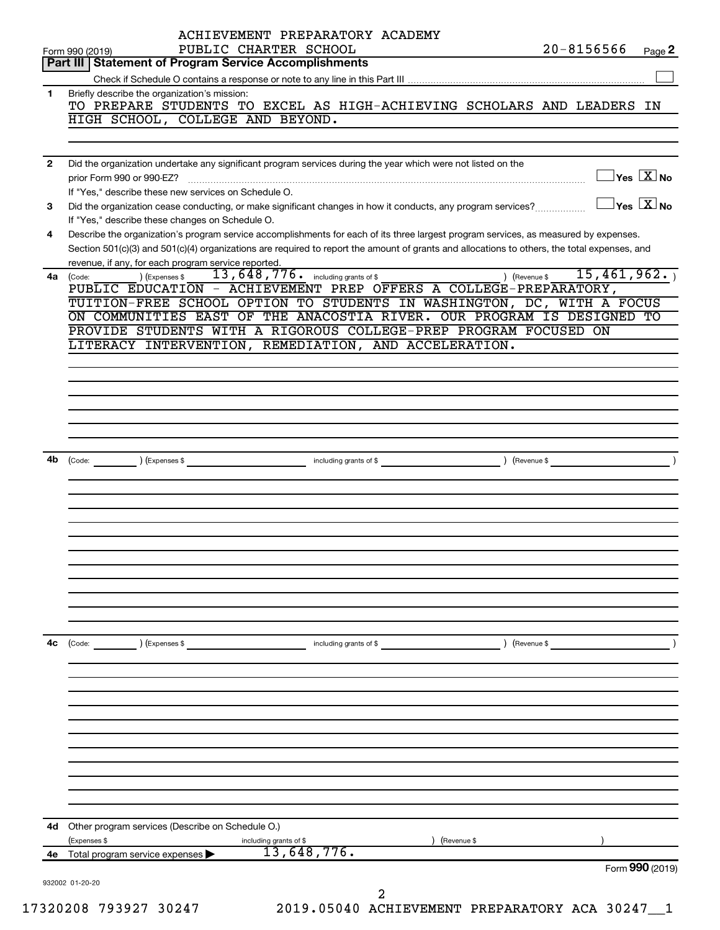|              | Form 990 (2019)                                                                                                                              | ACHIEVEMENT PREPARATORY ACADEMY<br>PUBLIC CHARTER SCHOOL |                        |               | $20 - 8156566$ |                                | Page 2                                      |
|--------------|----------------------------------------------------------------------------------------------------------------------------------------------|----------------------------------------------------------|------------------------|---------------|----------------|--------------------------------|---------------------------------------------|
|              | Part III   Statement of Program Service Accomplishments                                                                                      |                                                          |                        |               |                |                                |                                             |
|              |                                                                                                                                              |                                                          |                        |               |                |                                |                                             |
| 1.           | Briefly describe the organization's mission:                                                                                                 |                                                          |                        |               |                |                                |                                             |
|              | TO PREPARE STUDENTS TO EXCEL AS HIGH-ACHIEVING SCHOLARS AND LEADERS IN                                                                       |                                                          |                        |               |                |                                |                                             |
|              | HIGH SCHOOL, COLLEGE AND BEYOND.                                                                                                             |                                                          |                        |               |                |                                |                                             |
|              |                                                                                                                                              |                                                          |                        |               |                |                                |                                             |
|              |                                                                                                                                              |                                                          |                        |               |                |                                |                                             |
| $\mathbf{2}$ | Did the organization undertake any significant program services during the year which were not listed on the                                 |                                                          |                        |               |                |                                |                                             |
|              | prior Form 990 or 990-EZ?                                                                                                                    |                                                          |                        |               |                |                                | $\overline{\ }$ Yes $\overline{\rm \ }X$ No |
|              | If "Yes," describe these new services on Schedule O.                                                                                         |                                                          |                        |               |                |                                |                                             |
| 3            | Did the organization cease conducting, or make significant changes in how it conducts, any program services?                                 |                                                          |                        |               |                | $\Box$ Yes $[\overline{X}]$ No |                                             |
|              | If "Yes," describe these changes on Schedule O.                                                                                              |                                                          |                        |               |                |                                |                                             |
| 4            | Describe the organization's program service accomplishments for each of its three largest program services, as measured by expenses.         |                                                          |                        |               |                |                                |                                             |
|              | Section 501(c)(3) and 501(c)(4) organizations are required to report the amount of grants and allocations to others, the total expenses, and |                                                          |                        |               |                |                                |                                             |
|              | revenue, if any, for each program service reported.                                                                                          |                                                          |                        |               |                |                                |                                             |
| 4a           | ) (Expenses \$<br>(Code:                                                                                                                     | 13, 648, 776. including grants of \$                     |                        | ) (Revenue \$ |                |                                | 15,461,962.                                 |
|              | PUBLIC EDUCATION - ACHIEVEMENT PREP OFFERS A COLLEGE-PREPARATORY,                                                                            |                                                          |                        |               |                |                                |                                             |
|              | TUITION-FREE SCHOOL OPTION TO STUDENTS IN WASHINGTON, DC, WITH A FOCUS                                                                       |                                                          |                        |               |                |                                |                                             |
|              | ON COMMUNITIES EAST OF THE ANACOSTIA RIVER. OUR PROGRAM IS DESIGNED TO                                                                       |                                                          |                        |               |                |                                |                                             |
|              | PROVIDE STUDENTS WITH A RIGOROUS COLLEGE-PREP PROGRAM FOCUSED ON                                                                             |                                                          |                        |               |                |                                |                                             |
|              | LITERACY INTERVENTION, REMEDIATION, AND ACCELERATION.                                                                                        |                                                          |                        |               |                |                                |                                             |
|              |                                                                                                                                              |                                                          |                        |               |                |                                |                                             |
|              |                                                                                                                                              |                                                          |                        |               |                |                                |                                             |
|              |                                                                                                                                              |                                                          |                        |               |                |                                |                                             |
|              |                                                                                                                                              |                                                          |                        |               |                |                                |                                             |
|              |                                                                                                                                              |                                                          |                        |               |                |                                |                                             |
|              |                                                                                                                                              |                                                          |                        |               |                |                                |                                             |
|              |                                                                                                                                              |                                                          |                        |               |                |                                |                                             |
| 4b           |                                                                                                                                              |                                                          |                        |               |                |                                |                                             |
|              |                                                                                                                                              |                                                          |                        |               |                |                                |                                             |
|              |                                                                                                                                              |                                                          |                        |               |                |                                |                                             |
|              |                                                                                                                                              |                                                          |                        |               |                |                                |                                             |
|              |                                                                                                                                              |                                                          |                        |               |                |                                |                                             |
|              |                                                                                                                                              |                                                          |                        |               |                |                                |                                             |
|              |                                                                                                                                              |                                                          |                        |               |                |                                |                                             |
|              |                                                                                                                                              |                                                          |                        |               |                |                                |                                             |
|              |                                                                                                                                              |                                                          |                        |               |                |                                |                                             |
|              |                                                                                                                                              |                                                          |                        |               |                |                                |                                             |
|              |                                                                                                                                              |                                                          |                        |               |                |                                |                                             |
|              |                                                                                                                                              |                                                          |                        |               |                |                                |                                             |
|              |                                                                                                                                              |                                                          |                        |               |                |                                |                                             |
|              |                                                                                                                                              |                                                          |                        |               |                |                                |                                             |
| 4c           | $\left(\text{Code:} \right)$ $\left(\text{Expenses $}\right)$                                                                                |                                                          | including grants of \$ | ) (Revenue \$ |                |                                |                                             |
|              |                                                                                                                                              |                                                          |                        |               |                |                                |                                             |
|              |                                                                                                                                              |                                                          |                        |               |                |                                |                                             |
|              |                                                                                                                                              |                                                          |                        |               |                |                                |                                             |
|              |                                                                                                                                              |                                                          |                        |               |                |                                |                                             |
|              |                                                                                                                                              |                                                          |                        |               |                |                                |                                             |
|              |                                                                                                                                              |                                                          |                        |               |                |                                |                                             |
|              |                                                                                                                                              |                                                          |                        |               |                |                                |                                             |
|              |                                                                                                                                              |                                                          |                        |               |                |                                |                                             |
|              |                                                                                                                                              |                                                          |                        |               |                |                                |                                             |
|              |                                                                                                                                              |                                                          |                        |               |                |                                |                                             |
|              |                                                                                                                                              |                                                          |                        |               |                |                                |                                             |
|              |                                                                                                                                              |                                                          |                        |               |                |                                |                                             |
| 4d           | Other program services (Describe on Schedule O.)                                                                                             |                                                          |                        |               |                |                                |                                             |
|              | (Expenses \$                                                                                                                                 | including grants of \$                                   | (Revenue \$            |               |                |                                |                                             |
| 4e           | Total program service expenses                                                                                                               | 13,648,776.                                              |                        |               |                |                                |                                             |
|              |                                                                                                                                              |                                                          |                        |               |                |                                | Form 990 (2019)                             |
|              | 932002 01-20-20                                                                                                                              |                                                          | 2<br>2011777           |               |                |                                |                                             |

17320208 793927 30247 2019.05040 ACHIEVEMENT PREPARATORY ACA 30247\_\_1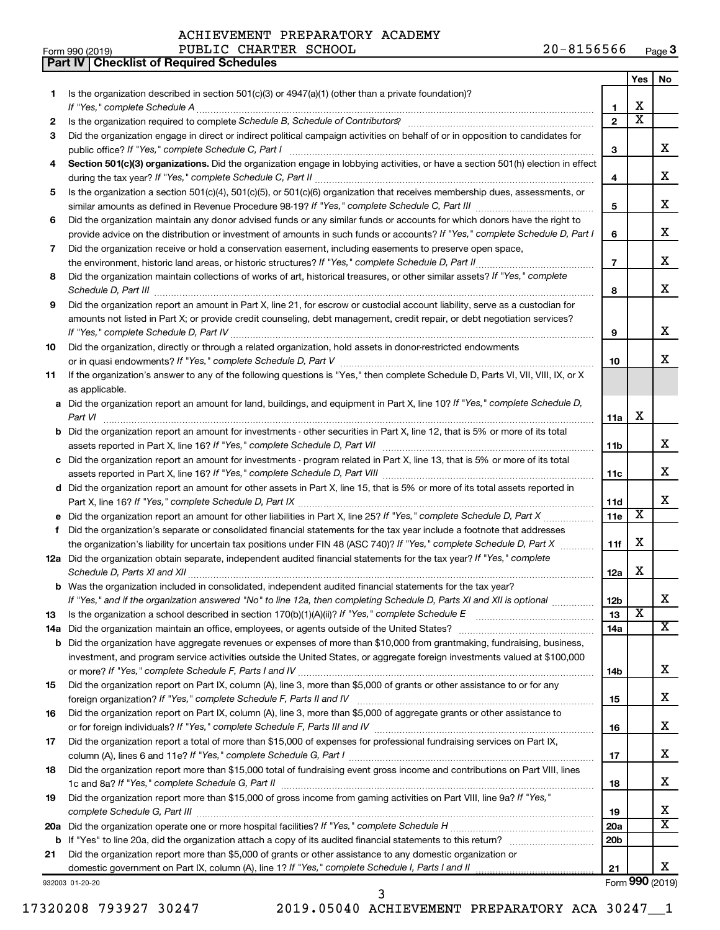**Part IV Checklist of Required Schedules**

|     |                                                                                                                                                                                                                                                       |                 | Yes                     | No                      |
|-----|-------------------------------------------------------------------------------------------------------------------------------------------------------------------------------------------------------------------------------------------------------|-----------------|-------------------------|-------------------------|
| 1   | Is the organization described in section 501(c)(3) or 4947(a)(1) (other than a private foundation)?                                                                                                                                                   |                 |                         |                         |
|     |                                                                                                                                                                                                                                                       | $\mathbf{1}$    | х                       |                         |
| 2   |                                                                                                                                                                                                                                                       | $\mathbf{2}$    | $\overline{\text{x}}$   |                         |
| З   | Did the organization engage in direct or indirect political campaign activities on behalf of or in opposition to candidates for                                                                                                                       | 3               |                         | x                       |
| 4   | Section 501(c)(3) organizations. Did the organization engage in lobbying activities, or have a section 501(h) election in effect                                                                                                                      |                 |                         |                         |
|     |                                                                                                                                                                                                                                                       | 4               |                         | x                       |
| 5   | Is the organization a section 501(c)(4), 501(c)(5), or 501(c)(6) organization that receives membership dues, assessments, or                                                                                                                          |                 |                         |                         |
|     |                                                                                                                                                                                                                                                       | 5               |                         | х                       |
| 6   | Did the organization maintain any donor advised funds or any similar funds or accounts for which donors have the right to                                                                                                                             |                 |                         |                         |
|     | provide advice on the distribution or investment of amounts in such funds or accounts? If "Yes," complete Schedule D, Part I                                                                                                                          | 6               |                         | х                       |
| 7   | Did the organization receive or hold a conservation easement, including easements to preserve open space,                                                                                                                                             |                 |                         |                         |
|     |                                                                                                                                                                                                                                                       | $\overline{7}$  |                         | x                       |
| 8   | Did the organization maintain collections of works of art, historical treasures, or other similar assets? If "Yes," complete                                                                                                                          |                 |                         |                         |
|     |                                                                                                                                                                                                                                                       | 8               |                         | x                       |
| 9   | Did the organization report an amount in Part X, line 21, for escrow or custodial account liability, serve as a custodian for                                                                                                                         |                 |                         |                         |
|     | amounts not listed in Part X; or provide credit counseling, debt management, credit repair, or debt negotiation services?                                                                                                                             |                 |                         |                         |
|     |                                                                                                                                                                                                                                                       | 9               |                         | x                       |
| 10  | Did the organization, directly or through a related organization, hold assets in donor-restricted endowments                                                                                                                                          |                 |                         |                         |
|     |                                                                                                                                                                                                                                                       | 10              |                         | X                       |
| 11  | If the organization's answer to any of the following questions is "Yes," then complete Schedule D, Parts VI, VII, VIII, IX, or X<br>as applicable.                                                                                                    |                 |                         |                         |
|     | a Did the organization report an amount for land, buildings, and equipment in Part X, line 10? If "Yes," complete Schedule D,                                                                                                                         |                 |                         |                         |
|     |                                                                                                                                                                                                                                                       | 11a             | X                       |                         |
|     | <b>b</b> Did the organization report an amount for investments - other securities in Part X, line 12, that is 5% or more of its total                                                                                                                 |                 |                         |                         |
|     |                                                                                                                                                                                                                                                       | 11 <sub>b</sub> |                         | x                       |
|     | c Did the organization report an amount for investments - program related in Part X, line 13, that is 5% or more of its total                                                                                                                         |                 |                         |                         |
|     |                                                                                                                                                                                                                                                       | 11c             |                         | x                       |
|     | d Did the organization report an amount for other assets in Part X, line 15, that is 5% or more of its total assets reported in                                                                                                                       |                 |                         |                         |
|     |                                                                                                                                                                                                                                                       | 11d             |                         | х                       |
|     |                                                                                                                                                                                                                                                       | 11e             | X                       |                         |
| f   | Did the organization's separate or consolidated financial statements for the tax year include a footnote that addresses                                                                                                                               |                 |                         |                         |
|     | the organization's liability for uncertain tax positions under FIN 48 (ASC 740)? If "Yes," complete Schedule D, Part X                                                                                                                                | 11f             | х                       |                         |
|     | 12a Did the organization obtain separate, independent audited financial statements for the tax year? If "Yes," complete                                                                                                                               |                 |                         |                         |
|     |                                                                                                                                                                                                                                                       | 12a             | х                       |                         |
|     | <b>b</b> Was the organization included in consolidated, independent audited financial statements for the tax year?                                                                                                                                    |                 |                         |                         |
|     | If "Yes," and if the organization answered "No" to line 12a, then completing Schedule D, Parts XI and XII is optional                                                                                                                                 | 12 <sub>b</sub> | $\overline{\texttt{x}}$ | X                       |
| 13  |                                                                                                                                                                                                                                                       | 13              |                         | X.                      |
| 14a |                                                                                                                                                                                                                                                       | 14a             |                         |                         |
| b   | Did the organization have aggregate revenues or expenses of more than \$10,000 from grantmaking, fundraising, business,<br>investment, and program service activities outside the United States, or aggregate foreign investments valued at \$100,000 |                 |                         |                         |
|     |                                                                                                                                                                                                                                                       | 14b             |                         | X                       |
| 15  | Did the organization report on Part IX, column (A), line 3, more than \$5,000 of grants or other assistance to or for any                                                                                                                             |                 |                         |                         |
|     |                                                                                                                                                                                                                                                       | 15              |                         | x                       |
| 16  | Did the organization report on Part IX, column (A), line 3, more than \$5,000 of aggregate grants or other assistance to                                                                                                                              |                 |                         |                         |
|     |                                                                                                                                                                                                                                                       | 16              |                         | x                       |
| 17  | Did the organization report a total of more than \$15,000 of expenses for professional fundraising services on Part IX,                                                                                                                               |                 |                         |                         |
|     |                                                                                                                                                                                                                                                       | 17              |                         | x                       |
| 18  | Did the organization report more than \$15,000 total of fundraising event gross income and contributions on Part VIII, lines                                                                                                                          |                 |                         |                         |
|     |                                                                                                                                                                                                                                                       | 18              |                         | x                       |
| 19  | Did the organization report more than \$15,000 of gross income from gaming activities on Part VIII, line 9a? If "Yes,"                                                                                                                                |                 |                         |                         |
|     |                                                                                                                                                                                                                                                       | 19              |                         | x                       |
| 20a |                                                                                                                                                                                                                                                       | 20a             |                         | $\overline{\mathtt{x}}$ |
| b   |                                                                                                                                                                                                                                                       | 20 <sub>b</sub> |                         |                         |
| 21  | Did the organization report more than \$5,000 of grants or other assistance to any domestic organization or                                                                                                                                           |                 |                         |                         |
|     | domestic government on Part IX, column (A), line 1? If "Yes," complete Schedule I, Parts I and II                                                                                                                                                     | 21              |                         | x                       |
|     | 932003 01-20-20                                                                                                                                                                                                                                       |                 |                         | Form 990 (2019)         |

17320208 793927 30247 2019.05040 ACHIEVEMENT PREPARATORY ACA 30247\_\_1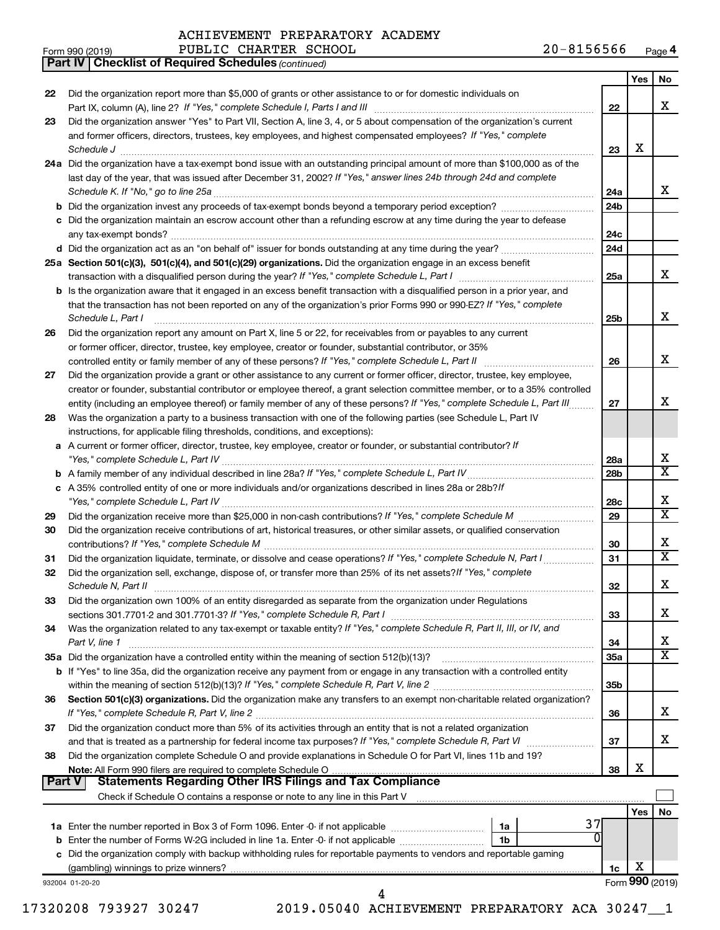Did the organization report more than \$5,000 of grants or other assistance to or for domestic individuals on

|               |                                                                                                                                             | 22              |     | x                       |
|---------------|---------------------------------------------------------------------------------------------------------------------------------------------|-----------------|-----|-------------------------|
| 23            | Did the organization answer "Yes" to Part VII, Section A, line 3, 4, or 5 about compensation of the organization's current                  |                 |     |                         |
|               | and former officers, directors, trustees, key employees, and highest compensated employees? If "Yes," complete                              |                 |     |                         |
|               | Schedule J                                                                                                                                  | 23              | х   |                         |
|               | 24a Did the organization have a tax-exempt bond issue with an outstanding principal amount of more than \$100,000 as of the                 |                 |     |                         |
|               | last day of the year, that was issued after December 31, 2002? If "Yes," answer lines 24b through 24d and complete                          |                 |     |                         |
|               |                                                                                                                                             | 24a             |     | x                       |
|               |                                                                                                                                             | 24b             |     |                         |
|               | c Did the organization maintain an escrow account other than a refunding escrow at any time during the year to defease                      |                 |     |                         |
|               |                                                                                                                                             | 24c             |     |                         |
|               | d Did the organization act as an "on behalf of" issuer for bonds outstanding at any time during the year?                                   | 24d             |     |                         |
|               | 25a Section 501(c)(3), 501(c)(4), and 501(c)(29) organizations. Did the organization engage in an excess benefit                            |                 |     |                         |
|               |                                                                                                                                             |                 |     | x                       |
|               |                                                                                                                                             | 25a             |     |                         |
|               | b Is the organization aware that it engaged in an excess benefit transaction with a disqualified person in a prior year, and                |                 |     |                         |
|               | that the transaction has not been reported on any of the organization's prior Forms 990 or 990-EZ? If "Yes," complete                       |                 |     | x                       |
|               | Schedule L, Part I                                                                                                                          | 25 <sub>b</sub> |     |                         |
| 26            | Did the organization report any amount on Part X, line 5 or 22, for receivables from or payables to any current                             |                 |     |                         |
|               | or former officer, director, trustee, key employee, creator or founder, substantial contributor, or 35%                                     |                 |     | x                       |
|               | controlled entity or family member of any of these persons? If "Yes," complete Schedule L, Part II                                          | 26              |     |                         |
| 27            | Did the organization provide a grant or other assistance to any current or former officer, director, trustee, key employee,                 |                 |     |                         |
|               | creator or founder, substantial contributor or employee thereof, a grant selection committee member, or to a 35% controlled                 |                 |     |                         |
|               | entity (including an employee thereof) or family member of any of these persons? If "Yes," complete Schedule L, Part III.                   | 27              |     | x                       |
| 28            | Was the organization a party to a business transaction with one of the following parties (see Schedule L, Part IV                           |                 |     |                         |
|               | instructions, for applicable filing thresholds, conditions, and exceptions):                                                                |                 |     |                         |
|               | a A current or former officer, director, trustee, key employee, creator or founder, or substantial contributor? If                          |                 |     | x                       |
|               |                                                                                                                                             | 28a             |     | $\overline{\mathtt{x}}$ |
|               |                                                                                                                                             | 28b             |     |                         |
|               | c A 35% controlled entity of one or more individuals and/or organizations described in lines 28a or 28b?If                                  | 28c             |     | x                       |
| 29            |                                                                                                                                             | 29              |     | $\overline{\mathtt{x}}$ |
| 30            | Did the organization receive contributions of art, historical treasures, or other similar assets, or qualified conservation                 |                 |     |                         |
|               |                                                                                                                                             | 30              |     | x                       |
| 31            | Did the organization liquidate, terminate, or dissolve and cease operations? If "Yes," complete Schedule N, Part I                          | 31              |     | $\overline{\mathtt{x}}$ |
| 32            | Did the organization sell, exchange, dispose of, or transfer more than 25% of its net assets? If "Yes," complete                            |                 |     |                         |
|               | Schedule N, Part II                                                                                                                         | 32              |     | x                       |
| 33            | Did the organization own 100% of an entity disregarded as separate from the organization under Regulations                                  |                 |     |                         |
|               |                                                                                                                                             | 33              |     | x                       |
| 34            |                                                                                                                                             |                 |     |                         |
|               | Was the organization related to any tax-exempt or taxable entity? If "Yes," complete Schedule R, Part II, III, or IV, and<br>Part V, line 1 | 34              |     | X                       |
|               | 35a Did the organization have a controlled entity within the meaning of section 512(b)(13)?                                                 | 35a             |     | $\overline{\mathtt{x}}$ |
|               | b If "Yes" to line 35a, did the organization receive any payment from or engage in any transaction with a controlled entity                 |                 |     |                         |
|               |                                                                                                                                             | 35b             |     |                         |
| 36            | Section 501(c)(3) organizations. Did the organization make any transfers to an exempt non-charitable related organization?                  |                 |     |                         |
|               | If "Yes," complete Schedule R, Part V, line 2                                                                                               | 36              |     | x                       |
| 37            | Did the organization conduct more than 5% of its activities through an entity that is not a related organization                            |                 |     |                         |
|               |                                                                                                                                             | 37              |     | x                       |
| 38            | Did the organization complete Schedule O and provide explanations in Schedule O for Part VI, lines 11b and 19?                              |                 |     |                         |
|               | Note: All Form 990 filers are required to complete Schedule O                                                                               | 38              | х   |                         |
| <b>Part V</b> |                                                                                                                                             |                 |     |                         |
|               | Check if Schedule O contains a response or note to any line in this Part V                                                                  |                 |     |                         |
|               |                                                                                                                                             |                 | Yes | No                      |
|               | 37<br>1a                                                                                                                                    |                 |     |                         |
| b             | 0<br>Enter the number of Forms W-2G included in line 1a. Enter -0- if not applicable<br>1b                                                  |                 |     |                         |
|               | c Did the organization comply with backup withholding rules for reportable payments to vendors and reportable gaming                        |                 |     |                         |
|               |                                                                                                                                             | 1c              | х   |                         |
|               | 932004 01-20-20                                                                                                                             |                 |     | Form 990 (2019)         |

17320208 793927 30247 2019.05040 ACHIEVEMENT PREPARATORY ACA 30247\_\_1

 $\mathsf{l}$ 

**Yes No**

*(continued)* **Part IV Checklist of Required Schedules**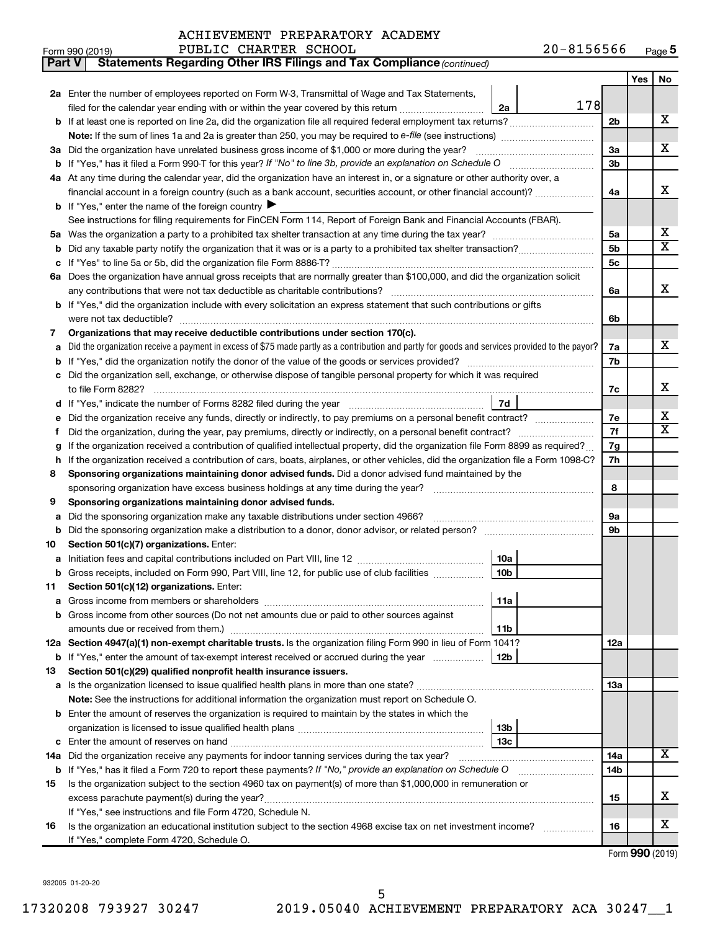| ACHIEVEMENT PREPARATORY ACADEMY |  |  |
|---------------------------------|--|--|
|---------------------------------|--|--|

| <b>Part V</b> | Statements Regarding Other IRS Filings and Tax Compliance (continued)                                                                           |     |     |                         |
|---------------|-------------------------------------------------------------------------------------------------------------------------------------------------|-----|-----|-------------------------|
|               |                                                                                                                                                 |     | Yes | No                      |
|               | 2a Enter the number of employees reported on Form W-3, Transmittal of Wage and Tax Statements,                                                  |     |     |                         |
|               | 178<br>filed for the calendar year ending with or within the year covered by this return<br>2a                                                  |     |     |                         |
| b             | If at least one is reported on line 2a, did the organization file all required federal employment tax returns?                                  | 2b  |     | х                       |
|               | Note: If the sum of lines 1a and 2a is greater than 250, you may be required to e-file (see instructions) <i>marroummann</i>                    |     |     |                         |
|               | 3a Did the organization have unrelated business gross income of \$1,000 or more during the year?                                                | За  |     | х                       |
| b             |                                                                                                                                                 | 3b  |     |                         |
|               | 4a At any time during the calendar year, did the organization have an interest in, or a signature or other authority over, a                    |     |     |                         |
|               | financial account in a foreign country (such as a bank account, securities account, or other financial account)?                                | 4a  |     | х                       |
|               | <b>b</b> If "Yes," enter the name of the foreign country $\blacktriangleright$                                                                  |     |     |                         |
|               | See instructions for filing requirements for FinCEN Form 114, Report of Foreign Bank and Financial Accounts (FBAR).                             |     |     |                         |
| 5a            |                                                                                                                                                 | 5a  |     | х                       |
| b             |                                                                                                                                                 | 5b  |     | $\overline{\mathbf{X}}$ |
|               |                                                                                                                                                 | 5с  |     |                         |
|               | 6a Does the organization have annual gross receipts that are normally greater than \$100,000, and did the organization solicit                  |     |     |                         |
|               | any contributions that were not tax deductible as charitable contributions?                                                                     | 6a  |     | х                       |
| b             | If "Yes," did the organization include with every solicitation an express statement that such contributions or gifts                            |     |     |                         |
|               | were not tax deductible?                                                                                                                        | 6b  |     |                         |
| 7             | Organizations that may receive deductible contributions under section 170(c).                                                                   |     |     |                         |
| a             | Did the organization receive a payment in excess of \$75 made partly as a contribution and partly for goods and services provided to the payor? | 7a  |     | х                       |
| b             |                                                                                                                                                 | 7b  |     |                         |
|               | Did the organization sell, exchange, or otherwise dispose of tangible personal property for which it was required                               |     |     |                         |
|               |                                                                                                                                                 | 7c  |     | х                       |
| d             | 7d                                                                                                                                              |     |     |                         |
|               | Did the organization receive any funds, directly or indirectly, to pay premiums on a personal benefit contract?                                 | 7e  |     | х                       |
| f             |                                                                                                                                                 | 7f  |     | $\overline{\mathbf{X}}$ |
| g             | If the organization received a contribution of qualified intellectual property, did the organization file Form 8899 as required?                | 7g  |     |                         |
| h             | If the organization received a contribution of cars, boats, airplanes, or other vehicles, did the organization file a Form 1098-C?              | 7h  |     |                         |
| 8             | Sponsoring organizations maintaining donor advised funds. Did a donor advised fund maintained by the                                            |     |     |                         |
|               |                                                                                                                                                 | 8   |     |                         |
| 9             | Sponsoring organizations maintaining donor advised funds.                                                                                       |     |     |                         |
| а             | Did the sponsoring organization make any taxable distributions under section 4966?                                                              | 9а  |     |                         |
| b             | Did the sponsoring organization make a distribution to a donor, donor advisor, or related person?                                               | 9b  |     |                         |
| 10            | Section 501(c)(7) organizations. Enter:                                                                                                         |     |     |                         |
| а             | 10a                                                                                                                                             |     |     |                         |
|               | Gross receipts, included on Form 990, Part VIII, line 12, for public use of club facilities<br>10b                                              |     |     |                         |
| 11            | Section 501(c)(12) organizations. Enter:                                                                                                        |     |     |                         |
| а             | 11a                                                                                                                                             |     |     |                         |
| b             | Gross income from other sources (Do not net amounts due or paid to other sources against                                                        |     |     |                         |
|               | amounts due or received from them.)<br>11b                                                                                                      |     |     |                         |
|               | 12a Section 4947(a)(1) non-exempt charitable trusts. Is the organization filing Form 990 in lieu of Form 1041?                                  | 12a |     |                         |
|               | b If "Yes," enter the amount of tax-exempt interest received or accrued during the year<br>12b                                                  |     |     |                         |
| 13            | Section 501(c)(29) qualified nonprofit health insurance issuers.                                                                                |     |     |                         |
|               | a Is the organization licensed to issue qualified health plans in more than one state?                                                          | 13a |     |                         |
|               | <b>Note:</b> See the instructions for additional information the organization must report on Schedule O.                                        |     |     |                         |
| b             | Enter the amount of reserves the organization is required to maintain by the states in which the                                                |     |     |                         |
|               | 13b                                                                                                                                             |     |     |                         |
| с             | 13c                                                                                                                                             |     |     | Χ                       |
|               | 14a Did the organization receive any payments for indoor tanning services during the tax year?                                                  | 14a |     |                         |
|               | <b>b</b> If "Yes," has it filed a Form 720 to report these payments? If "No," provide an explanation on Schedule O                              | 14b |     |                         |
| 15            | Is the organization subject to the section 4960 tax on payment(s) of more than \$1,000,000 in remuneration or                                   |     |     | х                       |
|               | excess parachute payment(s) during the year?                                                                                                    | 15  |     |                         |
|               | If "Yes," see instructions and file Form 4720, Schedule N.                                                                                      |     |     | x                       |
| 16            | Is the organization an educational institution subject to the section 4968 excise tax on net investment income?                                 | 16  |     |                         |
|               | If "Yes," complete Form 4720, Schedule O.                                                                                                       |     |     |                         |

Form (2019) **990**

932005 01-20-20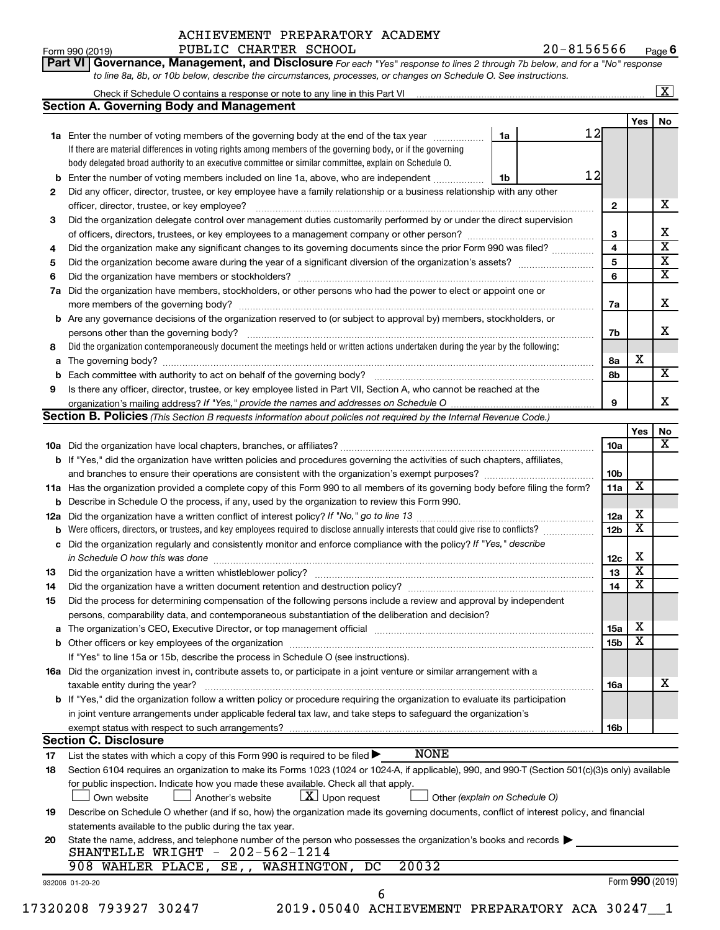**Part VI** Governance, Management, and Disclosure For each "Yes" response to lines 2 through 7b below, and for a "No" response

Form 990 (2019) PUBLIC CHARTER SCHOOL  $20-8156566$  Page 20-8156566 Page 6

|     | <b>Section A. Governing Body and Management</b>                                                                                                                                                                                |                 |                         |    |
|-----|--------------------------------------------------------------------------------------------------------------------------------------------------------------------------------------------------------------------------------|-----------------|-------------------------|----|
|     |                                                                                                                                                                                                                                |                 | Yes                     | No |
|     | 12<br>1a Enter the number of voting members of the governing body at the end of the tax year<br>1a                                                                                                                             |                 |                         |    |
|     | If there are material differences in voting rights among members of the governing body, or if the governing                                                                                                                    |                 |                         |    |
|     | body delegated broad authority to an executive committee or similar committee, explain on Schedule O.                                                                                                                          |                 |                         |    |
|     | 12<br><b>b</b> Enter the number of voting members included on line 1a, above, who are independent <i>manumum</i><br>1b                                                                                                         |                 |                         |    |
| 2   | Did any officer, director, trustee, or key employee have a family relationship or a business relationship with any other                                                                                                       |                 |                         |    |
|     | officer, director, trustee, or key employee?                                                                                                                                                                                   | $\mathbf{2}$    |                         | х  |
| 3   | Did the organization delegate control over management duties customarily performed by or under the direct supervision                                                                                                          |                 |                         |    |
|     |                                                                                                                                                                                                                                | 3               |                         |    |
| 4   | Did the organization make any significant changes to its governing documents since the prior Form 990 was filed?                                                                                                               | 4               |                         |    |
| 5   |                                                                                                                                                                                                                                | 5               |                         |    |
| 6   |                                                                                                                                                                                                                                | 6               |                         |    |
| 7a  | Did the organization have members, stockholders, or other persons who had the power to elect or appoint one or                                                                                                                 |                 |                         |    |
|     |                                                                                                                                                                                                                                | 7a              |                         |    |
|     | <b>b</b> Are any governance decisions of the organization reserved to (or subject to approval by) members, stockholders, or                                                                                                    |                 |                         |    |
|     |                                                                                                                                                                                                                                | 7b              |                         |    |
|     | Did the organization contemporaneously document the meetings held or written actions undertaken during the year by the following:                                                                                              |                 |                         |    |
| 8   |                                                                                                                                                                                                                                |                 | X                       |    |
| a   |                                                                                                                                                                                                                                | 8а              |                         |    |
|     |                                                                                                                                                                                                                                | 8b              |                         |    |
| 9   | Is there any officer, director, trustee, or key employee listed in Part VII, Section A, who cannot be reached at the                                                                                                           |                 |                         |    |
|     |                                                                                                                                                                                                                                | 9               |                         |    |
|     | <b>Section B. Policies</b> (This Section B requests information about policies not required by the Internal Revenue Code.)                                                                                                     |                 |                         |    |
|     |                                                                                                                                                                                                                                |                 | Yes                     |    |
|     |                                                                                                                                                                                                                                | <b>10a</b>      |                         |    |
|     | b If "Yes," did the organization have written policies and procedures governing the activities of such chapters, affiliates,                                                                                                   |                 |                         |    |
|     |                                                                                                                                                                                                                                | 10b             |                         |    |
|     | 11a Has the organization provided a complete copy of this Form 990 to all members of its governing body before filing the form?                                                                                                | 11a             | X                       |    |
|     | <b>b</b> Describe in Schedule O the process, if any, used by the organization to review this Form 990.                                                                                                                         |                 |                         |    |
| 12a |                                                                                                                                                                                                                                | 12a             | х                       |    |
|     | Were officers, directors, or trustees, and key employees required to disclose annually interests that could give rise to conflicts?                                                                                            | 12 <sub>b</sub> | $\overline{\mathbf{X}}$ |    |
| с   | Did the organization regularly and consistently monitor and enforce compliance with the policy? If "Yes," describe                                                                                                             |                 |                         |    |
|     | in Schedule O how this was done manufactured and continuum and contract the way of the schedule O how this was                                                                                                                 | 12c             | Х                       |    |
| 13  |                                                                                                                                                                                                                                | 13              | $\overline{\mathbf{X}}$ |    |
| 14  |                                                                                                                                                                                                                                | 14              | $\overline{\textbf{x}}$ |    |
| 15  | Did the process for determining compensation of the following persons include a review and approval by independent                                                                                                             |                 |                         |    |
|     | persons, comparability data, and contemporaneous substantiation of the deliberation and decision?                                                                                                                              |                 |                         |    |
|     |                                                                                                                                                                                                                                |                 |                         |    |
|     |                                                                                                                                                                                                                                |                 |                         |    |
|     | The organization's CEO, Executive Director, or top management official [111] [12] manuscription or contraction of the organization's CEO, Executive Director, or top management official [12] manuscription or contract the or | 15a             | Х                       |    |
|     |                                                                                                                                                                                                                                | 15b             | $\overline{\textbf{x}}$ |    |
|     | If "Yes" to line 15a or 15b, describe the process in Schedule O (see instructions).                                                                                                                                            |                 |                         |    |
|     | 16a Did the organization invest in, contribute assets to, or participate in a joint venture or similar arrangement with a                                                                                                      |                 |                         |    |
|     | taxable entity during the year?                                                                                                                                                                                                | 16a             |                         |    |
|     | <b>b</b> If "Yes," did the organization follow a written policy or procedure requiring the organization to evaluate its participation                                                                                          |                 |                         |    |
|     | in joint venture arrangements under applicable federal tax law, and take steps to safequard the organization's                                                                                                                 |                 |                         |    |
|     | exempt status with respect to such arrangements?                                                                                                                                                                               | 16b             |                         |    |
|     | <b>Section C. Disclosure</b>                                                                                                                                                                                                   |                 |                         |    |
| 17  | <b>NONE</b><br>List the states with which a copy of this Form 990 is required to be filed $\blacktriangleright$                                                                                                                |                 |                         |    |
| 18  | Section 6104 requires an organization to make its Forms 1023 (1024 or 1024-A, if applicable), 990, and 990-T (Section 501(c)(3)s only) available                                                                               |                 |                         |    |
|     | for public inspection. Indicate how you made these available. Check all that apply.                                                                                                                                            |                 |                         |    |
|     | $\lfloor x \rfloor$ Upon request<br>Own website<br>Another's website<br>Other (explain on Schedule O)                                                                                                                          |                 |                         |    |
|     | Describe on Schedule O whether (and if so, how) the organization made its governing documents, conflict of interest policy, and financial                                                                                      |                 |                         |    |
| 19  | statements available to the public during the tax year.                                                                                                                                                                        |                 |                         |    |
| 20  |                                                                                                                                                                                                                                |                 |                         |    |
|     | State the name, address, and telephone number of the person who possesses the organization's books and records $\blacktriangleright$<br>SHANTELLE WRIGHT - 202-562-1214                                                        |                 |                         |    |
|     |                                                                                                                                                                                                                                |                 |                         |    |
|     | 20032<br>SE,, WASHINGTON, DC<br>908 WAHLER PLACE,<br>932006 01-20-20                                                                                                                                                           |                 | Form 990 (2019)         |    |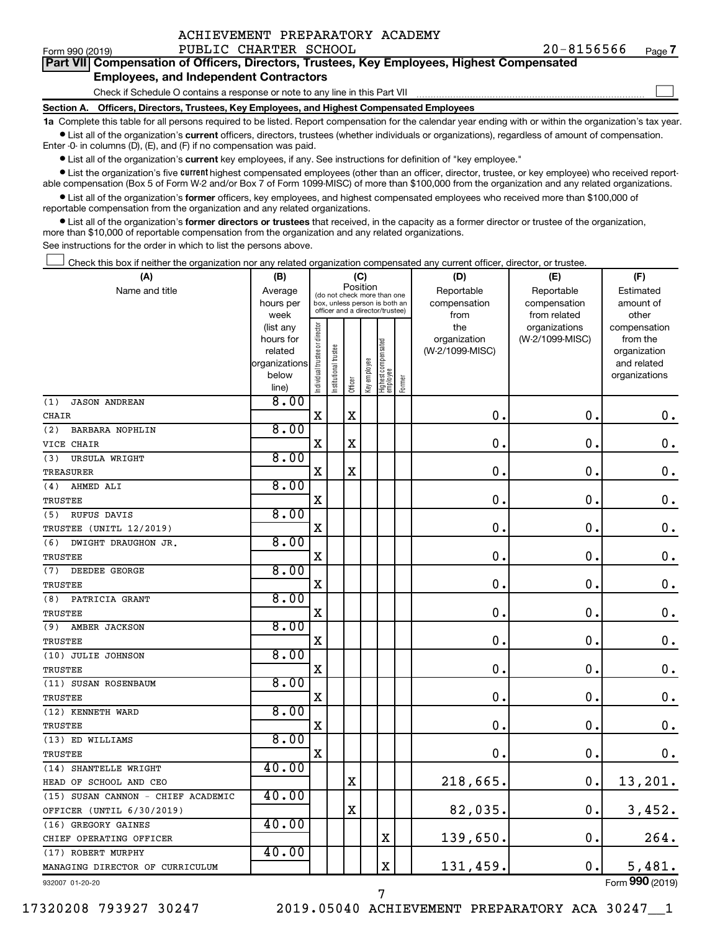| ACHIEVEMENT PREPARATORY ACADEMY |
|---------------------------------|
|---------------------------------|

 $\Box$ 

| Part VII Compensation of Officers, Directors, Trustees, Key Employees, Highest Compensated |  |  |
|--------------------------------------------------------------------------------------------|--|--|
| <b>Employees, and Independent Contractors</b>                                              |  |  |

Check if Schedule O contains a response or note to any line in this Part VII

**Section A. Officers, Directors, Trustees, Key Employees, and Highest Compensated Employees**

**1a**  Complete this table for all persons required to be listed. Report compensation for the calendar year ending with or within the organization's tax year.  $\bullet$  List all of the organization's current officers, directors, trustees (whether individuals or organizations), regardless of amount of compensation.

Enter -0- in columns (D), (E), and (F) if no compensation was paid.

**•** List all of the organization's current key employees, if any. See instructions for definition of "key employee."

• List the organization's five *current* highest compensated employees (other than an officer, director, trustee, or key employee) who received reportable compensation (Box 5 of Form W-2 and/or Box 7 of Form 1099-MISC) of more than \$100,000 from the organization and any related organizations.

 $\bullet$  List all of the organization's former officers, key employees, and highest compensated employees who received more than \$100,000 of reportable compensation from the organization and any related organizations.

**•** List all of the organization's former directors or trustees that received, in the capacity as a former director or trustee of the organization, more than \$10,000 of reportable compensation from the organization and any related organizations.

See instructions for the order in which to list the persons above.

Check this box if neither the organization nor any related organization compensated any current officer, director, or trustee.  $\Box$ 

| (A)                                | (B)                      |                                |                      |             | (C)          |                                   |        | (D)             | (E)              | (F)                         |
|------------------------------------|--------------------------|--------------------------------|----------------------|-------------|--------------|-----------------------------------|--------|-----------------|------------------|-----------------------------|
| Name and title                     | Average                  |                                |                      | Position    |              | (do not check more than one       |        | Reportable      | Reportable       | Estimated                   |
|                                    | hours per                |                                |                      |             |              | box, unless person is both an     |        | compensation    | compensation     | amount of                   |
|                                    | week                     |                                |                      |             |              | officer and a director/trustee)   |        | from            | from related     | other                       |
|                                    | (list any                |                                |                      |             |              |                                   |        | the             | organizations    | compensation                |
|                                    | hours for                |                                |                      |             |              |                                   |        | organization    | (W-2/1099-MISC)  | from the                    |
|                                    | related<br>organizations |                                |                      |             |              |                                   |        | (W-2/1099-MISC) |                  | organization<br>and related |
|                                    | below                    |                                |                      |             |              |                                   |        |                 |                  | organizations               |
|                                    | line)                    | Individual trustee or director | nstitutional trustee | Officer     | Key employee | Highest compensated<br>  employee | Former |                 |                  |                             |
| (1)<br><b>JASON ANDREAN</b>        | 8.00                     |                                |                      |             |              |                                   |        |                 |                  |                             |
| CHAIR                              |                          | $\mathbf X$                    |                      | X           |              |                                   |        | 0.              | 0.               | 0.                          |
| <b>BARBARA NOPHLIN</b><br>(2)      | 8.00                     |                                |                      |             |              |                                   |        |                 |                  |                             |
| VICE CHAIR                         |                          | $\mathbf X$                    |                      | $\mathbf X$ |              |                                   |        | $\mathbf 0$ .   | $\mathbf 0$      | $\mathbf 0$ .               |
| (3)<br>URSULA WRIGHT               | 8.00                     |                                |                      |             |              |                                   |        |                 |                  |                             |
| TREASURER                          |                          | X                              |                      | $\mathbf X$ |              |                                   |        | 0.              | $\boldsymbol{0}$ | $\boldsymbol{0}$ .          |
| AHMED ALI<br>(4)                   | 8.00                     |                                |                      |             |              |                                   |        |                 |                  |                             |
| TRUSTEE                            |                          | X                              |                      |             |              |                                   |        | $\mathbf 0$ .   | $\mathbf 0$      | $\mathbf 0$ .               |
| (5)<br>RUFUS DAVIS                 | 8.00                     |                                |                      |             |              |                                   |        |                 |                  |                             |
| TRUSTEE (UNITL 12/2019)            |                          | X                              |                      |             |              |                                   |        | $\mathbf 0$     | $\mathbf 0$      | $\mathbf 0$ .               |
| DWIGHT DRAUGHON JR.<br>(6)         | 8.00                     |                                |                      |             |              |                                   |        |                 |                  |                             |
| <b>TRUSTEE</b>                     |                          | X                              |                      |             |              |                                   |        | $\mathbf 0$ .   | 0                | $\mathbf 0$ .               |
| (7)<br>DEEDEE GEORGE               | 8.00                     |                                |                      |             |              |                                   |        |                 |                  |                             |
| TRUSTEE                            |                          | X                              |                      |             |              |                                   |        | $\mathbf 0$     | $\mathbf 0$      | $\mathbf 0$ .               |
| PATRICIA GRANT<br>(8)              | 8.00                     |                                |                      |             |              |                                   |        |                 |                  |                             |
| TRUSTEE                            |                          | X                              |                      |             |              |                                   |        | $\mathbf 0$ .   | $\mathbf 0$      | $\mathbf 0$ .               |
| AMBER JACKSON<br>(9)               | 8.00                     |                                |                      |             |              |                                   |        |                 |                  |                             |
| <b>TRUSTEE</b>                     |                          | $\mathbf X$                    |                      |             |              |                                   |        | 0               | $\mathbf 0$      | $\mathbf 0$ .               |
| (10) JULIE JOHNSON                 | 8.00                     |                                |                      |             |              |                                   |        |                 |                  |                             |
| <b>TRUSTEE</b>                     |                          | $\mathbf X$                    |                      |             |              |                                   |        | $\mathbf 0$ .   | $\mathbf 0$      | $\mathbf 0$ .               |
| (11) SUSAN ROSENBAUM               | 8.00                     |                                |                      |             |              |                                   |        |                 |                  |                             |
| <b>TRUSTEE</b>                     |                          | $\mathbf X$                    |                      |             |              |                                   |        | $\mathbf 0$     | $\mathbf 0$      | $\mathbf 0$ .               |
| (12) KENNETH WARD                  | 8.00                     |                                |                      |             |              |                                   |        |                 |                  |                             |
| TRUSTEE                            |                          | $\mathbf X$                    |                      |             |              |                                   |        | $\mathbf 0$ .   | $\mathbf 0$      | 0.                          |
| (13) ED WILLIAMS                   | 8.00                     |                                |                      |             |              |                                   |        |                 |                  |                             |
| <b>TRUSTEE</b>                     |                          | $\mathbf X$                    |                      |             |              |                                   |        | $\mathbf 0$     | 0                | 0.                          |
| (14) SHANTELLE WRIGHT              | 40.00                    |                                |                      |             |              |                                   |        |                 |                  |                             |
| HEAD OF SCHOOL AND CEO             |                          |                                |                      | $\mathbf X$ |              |                                   |        | 218,665.        | $\mathbf 0$      | 13,201.                     |
| (15) SUSAN CANNON - CHIEF ACADEMIC | 40.00                    |                                |                      |             |              |                                   |        |                 |                  |                             |
| OFFICER (UNTIL 6/30/2019)          |                          |                                |                      | $\mathbf X$ |              |                                   |        | 82,035.         | $\mathbf 0$      | 3,452.                      |
| (16) GREGORY GAINES                | 40.00                    |                                |                      |             |              |                                   |        |                 |                  |                             |
| CHIEF OPERATING OFFICER            |                          |                                |                      |             |              | $\mathbf X$                       |        | 139,650.        | $\mathbf 0$ .    | 264.                        |
| (17) ROBERT MURPHY                 | 40.00                    |                                |                      |             |              |                                   |        |                 |                  |                             |
| MANAGING DIRECTOR OF CURRICULUM    |                          |                                |                      |             |              | $\rm X$                           |        | 131,459.        | $\mathbf 0$ .    | 5,481.                      |
| 932007 01-20-20                    |                          |                                |                      |             |              |                                   |        |                 |                  | Form 990 (2019)             |

932007 01-20-20

17320208 793927 30247 2019.05040 ACHIEVEMENT PREPARATORY ACA 30247\_\_1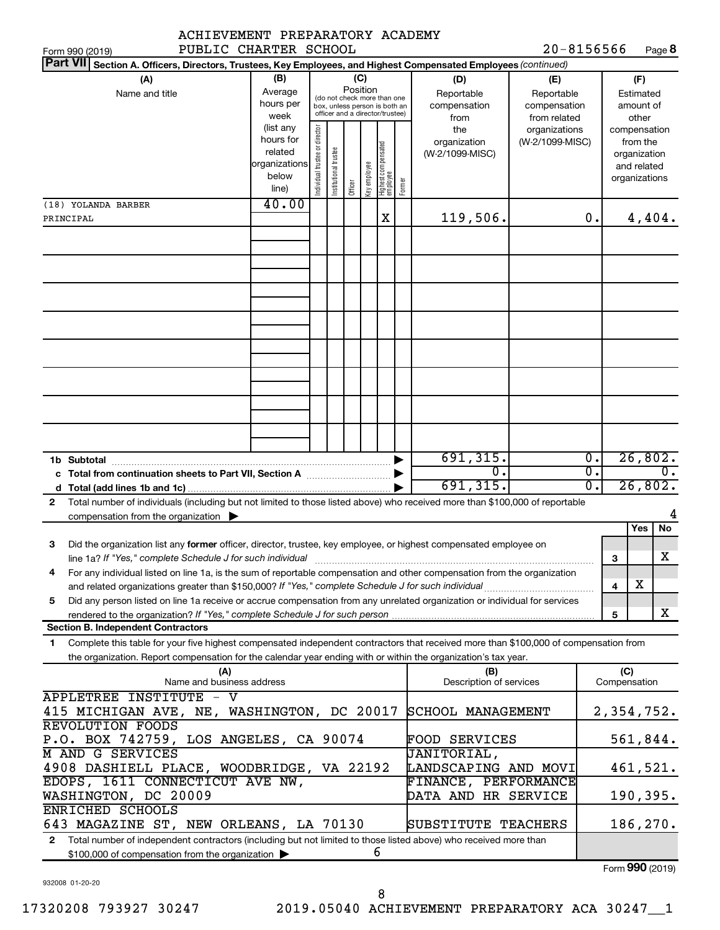| ACHIEVEMENT PREPARATORY ACADEMY                                                                                                              |                        |                                |                                 |          |              |                                 |        |                                |                 |                  |     |               |                  |
|----------------------------------------------------------------------------------------------------------------------------------------------|------------------------|--------------------------------|---------------------------------|----------|--------------|---------------------------------|--------|--------------------------------|-----------------|------------------|-----|---------------|------------------|
| PUBLIC CHARTER SCHOOL<br>Form 990 (2019)                                                                                                     |                        |                                |                                 |          |              |                                 |        |                                | $20 - 8156566$  |                  |     |               | Page 8           |
| <b>Part VII</b><br>Section A. Officers, Directors, Trustees, Key Employees, and Highest Compensated Employees (continued)                    |                        |                                |                                 |          |              |                                 |        |                                |                 |                  |     |               |                  |
| (A)                                                                                                                                          | (B)                    |                                |                                 | (C)      |              |                                 |        | (D)                            | (E)             |                  |     | (F)           |                  |
| Name and title                                                                                                                               | Average                |                                | (do not check more than one     | Position |              |                                 |        | Reportable                     | Reportable      |                  |     | Estimated     |                  |
|                                                                                                                                              | hours per              |                                | box, unless person is both an   |          |              |                                 |        | compensation                   | compensation    |                  |     | amount of     |                  |
|                                                                                                                                              | week                   |                                | officer and a director/trustee) |          |              |                                 |        | from                           | from related    |                  |     | other         |                  |
|                                                                                                                                              | (list any              |                                |                                 |          |              |                                 |        | the                            | organizations   |                  |     | compensation  |                  |
|                                                                                                                                              | hours for              |                                |                                 |          |              |                                 |        | organization                   | (W-2/1099-MISC) |                  |     | from the      |                  |
|                                                                                                                                              | related                |                                |                                 |          |              |                                 |        | (W-2/1099-MISC)                |                 |                  |     | organization  |                  |
|                                                                                                                                              | organizations<br>below |                                |                                 |          |              |                                 |        |                                |                 |                  |     | and related   |                  |
|                                                                                                                                              | line)                  | Individual trustee or director | Institutional trustee           | Officer  | Key employee | Highest compensated<br>employee | Former |                                |                 |                  |     | organizations |                  |
|                                                                                                                                              |                        |                                |                                 |          |              |                                 |        |                                |                 |                  |     |               |                  |
| (18) YOLANDA BARBER                                                                                                                          | 40.00                  |                                |                                 |          |              |                                 |        |                                |                 |                  |     |               |                  |
| PRINCIPAL                                                                                                                                    |                        |                                |                                 |          |              | Χ                               |        | 119,506.                       |                 | 0.               |     | 4,404.        |                  |
|                                                                                                                                              |                        |                                |                                 |          |              |                                 |        |                                |                 |                  |     |               |                  |
|                                                                                                                                              |                        |                                |                                 |          |              |                                 |        |                                |                 |                  |     |               |                  |
|                                                                                                                                              |                        |                                |                                 |          |              |                                 |        |                                |                 |                  |     |               |                  |
|                                                                                                                                              |                        |                                |                                 |          |              |                                 |        |                                |                 |                  |     |               |                  |
|                                                                                                                                              |                        |                                |                                 |          |              |                                 |        |                                |                 |                  |     |               |                  |
|                                                                                                                                              |                        |                                |                                 |          |              |                                 |        |                                |                 |                  |     |               |                  |
|                                                                                                                                              |                        |                                |                                 |          |              |                                 |        |                                |                 |                  |     |               |                  |
|                                                                                                                                              |                        |                                |                                 |          |              |                                 |        |                                |                 |                  |     |               |                  |
|                                                                                                                                              |                        |                                |                                 |          |              |                                 |        |                                |                 |                  |     |               |                  |
|                                                                                                                                              |                        |                                |                                 |          |              |                                 |        |                                |                 |                  |     |               |                  |
|                                                                                                                                              |                        |                                |                                 |          |              |                                 |        |                                |                 |                  |     |               |                  |
|                                                                                                                                              |                        |                                |                                 |          |              |                                 |        |                                |                 |                  |     |               |                  |
|                                                                                                                                              |                        |                                |                                 |          |              |                                 |        |                                |                 |                  |     |               |                  |
|                                                                                                                                              |                        |                                |                                 |          |              |                                 |        |                                |                 |                  |     |               |                  |
|                                                                                                                                              |                        |                                |                                 |          |              |                                 |        |                                |                 |                  |     |               |                  |
|                                                                                                                                              |                        |                                |                                 |          |              |                                 |        |                                |                 |                  |     |               |                  |
|                                                                                                                                              |                        |                                |                                 |          |              |                                 |        |                                |                 |                  |     |               |                  |
| 1b Subtotal                                                                                                                                  |                        |                                |                                 |          |              |                                 |        | 691, 315.                      |                 | $\overline{0}$ . |     | 26,802.       |                  |
|                                                                                                                                              |                        |                                |                                 |          |              |                                 |        | О.                             |                 | σ.               |     |               | $\overline{0}$ . |
|                                                                                                                                              |                        |                                |                                 |          |              |                                 |        | 691, 315.                      |                 | σ.               |     | 26,802.       |                  |
| d                                                                                                                                            |                        |                                |                                 |          |              |                                 |        |                                |                 |                  |     |               |                  |
| Total number of individuals (including but not limited to those listed above) who received more than \$100,000 of reportable<br>$\mathbf{2}$ |                        |                                |                                 |          |              |                                 |        |                                |                 |                  |     |               |                  |
| compensation from the organization $\blacktriangleright$                                                                                     |                        |                                |                                 |          |              |                                 |        |                                |                 |                  |     |               | 4                |
|                                                                                                                                              |                        |                                |                                 |          |              |                                 |        |                                |                 |                  |     | Yes           | No               |
| Did the organization list any former officer, director, trustee, key employee, or highest compensated employee on<br>З                       |                        |                                |                                 |          |              |                                 |        |                                |                 |                  |     |               |                  |
| line 1a? If "Yes," complete Schedule J for such individual manufactured content to the successive complete schedule J for such individual    |                        |                                |                                 |          |              |                                 |        |                                |                 |                  | З   |               | X                |
| For any individual listed on line 1a, is the sum of reportable compensation and other compensation from the organization<br>4                |                        |                                |                                 |          |              |                                 |        |                                |                 |                  |     |               |                  |
|                                                                                                                                              |                        |                                |                                 |          |              |                                 |        |                                |                 |                  | 4   | х             |                  |
| Did any person listed on line 1a receive or accrue compensation from any unrelated organization or individual for services<br>5              |                        |                                |                                 |          |              |                                 |        |                                |                 |                  |     |               |                  |
|                                                                                                                                              |                        |                                |                                 |          |              |                                 |        |                                |                 |                  | 5   |               | x                |
| <b>Section B. Independent Contractors</b>                                                                                                    |                        |                                |                                 |          |              |                                 |        |                                |                 |                  |     |               |                  |
| Complete this table for your five highest compensated independent contractors that received more than \$100,000 of compensation from<br>1    |                        |                                |                                 |          |              |                                 |        |                                |                 |                  |     |               |                  |
|                                                                                                                                              |                        |                                |                                 |          |              |                                 |        |                                |                 |                  |     |               |                  |
| the organization. Report compensation for the calendar year ending with or within the organization's tax year.                               |                        |                                |                                 |          |              |                                 |        |                                |                 |                  |     |               |                  |
| (A)<br>Name and business address                                                                                                             |                        |                                |                                 |          |              |                                 |        | (B)<br>Description of services |                 |                  | (C) | Compensation  |                  |
|                                                                                                                                              |                        |                                |                                 |          |              |                                 |        |                                |                 |                  |     |               |                  |
| <b>APPLETREE INSTITUTE - V</b>                                                                                                               |                        |                                |                                 |          |              |                                 |        |                                |                 |                  |     |               |                  |
| 415 MICHIGAN AVE, NE, WASHINGTON, DC 20017                                                                                                   |                        |                                |                                 |          |              |                                 |        | SCHOOL MANAGEMENT              |                 |                  |     | 2,354,752.    |                  |
| <b>REVOLUTION FOODS</b>                                                                                                                      |                        |                                |                                 |          |              |                                 |        |                                |                 |                  |     |               |                  |
| P.O. BOX 742759, LOS ANGELES, CA 90074                                                                                                       |                        |                                |                                 |          |              |                                 |        | <b>FOOD SERVICES</b>           |                 |                  |     | 561,844.      |                  |
| M AND G SERVICES                                                                                                                             |                        |                                |                                 |          |              |                                 |        | <b>JANITORIAL,</b>             |                 |                  |     |               |                  |
| 4908 DASHIELL PLACE, WOODBRIDGE, VA 22192                                                                                                    |                        |                                |                                 |          |              |                                 |        | LANDSCAPING AND MOVI           |                 |                  |     | 461,521.      |                  |
| EDOPS, 1611 CONNECTICUT AVE NW,                                                                                                              |                        |                                |                                 |          |              |                                 |        | FINANCE, PERFORMANCE           |                 |                  |     |               |                  |
| WASHINGTON, DC 20009                                                                                                                         |                        |                                |                                 |          |              |                                 |        | DATA AND HR SERVICE            |                 |                  |     | 190,395.      |                  |
| ENRICHED SCHOOLS                                                                                                                             |                        |                                |                                 |          |              |                                 |        |                                |                 |                  |     |               |                  |
|                                                                                                                                              |                        |                                |                                 |          |              |                                 |        |                                |                 |                  |     |               |                  |
| 643 MAGAZINE ST, NEW ORLEANS, LA 70130                                                                                                       |                        |                                |                                 |          |              |                                 |        | SUBSTITUTE TEACHERS            |                 |                  |     | 186,270.      |                  |
| Total number of independent contractors (including but not limited to those listed above) who received more than<br>$\mathbf{2}$             |                        |                                |                                 |          |              |                                 |        |                                |                 |                  |     |               |                  |
| \$100,000 of compensation from the organization >                                                                                            |                        |                                |                                 |          | 6            |                                 |        |                                |                 |                  |     |               |                  |

Form (2019) **990**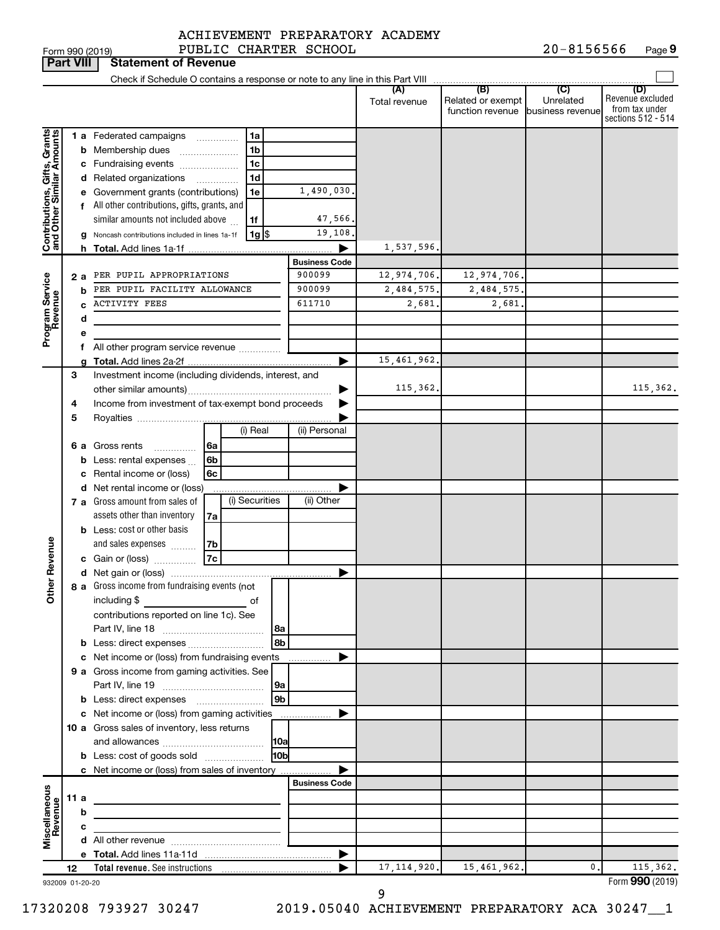**Part VIII Statement of Revenue**

# ACHIEVEMENT PREPARATORY ACADEMY

|                                                           |      |     |                                                                            |                 |                                | Total revenue | (B)<br>Related or exempt<br>function revenue | (C)<br>Unrelated<br>business revenue | (D)<br>Revenue excluded<br>from tax under<br>sections 512 - 514 |
|-----------------------------------------------------------|------|-----|----------------------------------------------------------------------------|-----------------|--------------------------------|---------------|----------------------------------------------|--------------------------------------|-----------------------------------------------------------------|
|                                                           |      |     | <b>1 a</b> Federated campaigns                                             | 1a              |                                |               |                                              |                                      |                                                                 |
| Contributions, Gifts, Grants<br>and Other Similar Amounts |      |     | <b>b</b> Membership dues                                                   | 1 <sub>b</sub>  |                                |               |                                              |                                      |                                                                 |
|                                                           |      |     | c Fundraising events                                                       | 1 <sub>c</sub>  |                                |               |                                              |                                      |                                                                 |
|                                                           |      |     | d Related organizations                                                    | 1d              |                                |               |                                              |                                      |                                                                 |
|                                                           |      |     | e Government grants (contributions)                                        | 1e              | 1,490,030.                     |               |                                              |                                      |                                                                 |
|                                                           |      |     | f All other contributions, gifts, grants, and                              |                 |                                |               |                                              |                                      |                                                                 |
|                                                           |      |     | similar amounts not included above                                         | 1f              | 47,566.                        |               |                                              |                                      |                                                                 |
|                                                           |      |     |                                                                            |                 | 19,108.                        |               |                                              |                                      |                                                                 |
|                                                           |      |     | g Noncash contributions included in lines 1a-1f                            | 1g              |                                |               |                                              |                                      |                                                                 |
|                                                           |      |     |                                                                            |                 |                                | 1,537,596.    |                                              |                                      |                                                                 |
|                                                           |      |     |                                                                            |                 | <b>Business Code</b><br>900099 |               |                                              |                                      |                                                                 |
|                                                           |      | 2 a | PER PUPIL APPROPRIATIONS                                                   |                 |                                | 12,974,706.   | 12,974,706.                                  |                                      |                                                                 |
| Program Service<br>Revenue                                |      | b   | PER PUPIL FACILITY ALLOWANCE                                               |                 | 900099                         | 2,484,575.    | 2,484,575.                                   |                                      |                                                                 |
|                                                           |      | c   | <b>ACTIVITY FEES</b>                                                       |                 | 611710                         | 2,681.        | 2,681.                                       |                                      |                                                                 |
|                                                           |      | d   |                                                                            |                 |                                |               |                                              |                                      |                                                                 |
|                                                           |      | е   |                                                                            |                 |                                |               |                                              |                                      |                                                                 |
|                                                           |      | f   | All other program service revenue                                          |                 |                                |               |                                              |                                      |                                                                 |
|                                                           |      | a   |                                                                            |                 |                                | 15, 461, 962. |                                              |                                      |                                                                 |
|                                                           | 3    |     | Investment income (including dividends, interest, and                      |                 |                                |               |                                              |                                      |                                                                 |
|                                                           |      |     |                                                                            |                 |                                | 115,362.      |                                              |                                      | 115,362.                                                        |
|                                                           | 4    |     | Income from investment of tax-exempt bond proceeds                         |                 |                                |               |                                              |                                      |                                                                 |
|                                                           | 5    |     |                                                                            |                 |                                |               |                                              |                                      |                                                                 |
|                                                           |      |     |                                                                            | (i) Real        | (ii) Personal                  |               |                                              |                                      |                                                                 |
|                                                           |      |     | 6 a Gross rents<br>6a<br>.                                                 |                 |                                |               |                                              |                                      |                                                                 |
|                                                           |      | b   | Less: rental expenses<br>6b                                                |                 |                                |               |                                              |                                      |                                                                 |
|                                                           |      | c   | Rental income or (loss)<br>6с                                              |                 |                                |               |                                              |                                      |                                                                 |
|                                                           |      |     | d Net rental income or (loss)                                              |                 |                                |               |                                              |                                      |                                                                 |
|                                                           |      |     | 7 a Gross amount from sales of                                             | (i) Securities  | (ii) Other                     |               |                                              |                                      |                                                                 |
|                                                           |      |     | assets other than inventory<br>7a                                          |                 |                                |               |                                              |                                      |                                                                 |
|                                                           |      |     | <b>b</b> Less: cost or other basis                                         |                 |                                |               |                                              |                                      |                                                                 |
|                                                           |      |     | and sales expenses<br>7b                                                   |                 |                                |               |                                              |                                      |                                                                 |
| <b>Other Revenue</b>                                      |      |     | 7c<br>c Gain or (loss)                                                     |                 |                                |               |                                              |                                      |                                                                 |
|                                                           |      |     |                                                                            |                 |                                |               |                                              |                                      |                                                                 |
|                                                           |      |     | 8 a Gross income from fundraising events (not                              |                 |                                |               |                                              |                                      |                                                                 |
|                                                           |      |     | including \$<br>$\overline{\phantom{a}}$ of                                |                 |                                |               |                                              |                                      |                                                                 |
|                                                           |      |     | contributions reported on line 1c). See                                    |                 |                                |               |                                              |                                      |                                                                 |
|                                                           |      |     |                                                                            |                 |                                |               |                                              |                                      |                                                                 |
|                                                           |      |     |                                                                            |                 |                                |               |                                              |                                      |                                                                 |
|                                                           |      |     | c Net income or (loss) from fundraising events                             |                 |                                |               |                                              |                                      |                                                                 |
|                                                           |      |     | 9 a Gross income from gaming activities. See                               |                 |                                |               |                                              |                                      |                                                                 |
|                                                           |      |     |                                                                            | 9a              |                                |               |                                              |                                      |                                                                 |
|                                                           |      |     |                                                                            | l 9b            |                                |               |                                              |                                      |                                                                 |
|                                                           |      |     | c Net income or (loss) from gaming activities                              |                 |                                |               |                                              |                                      |                                                                 |
|                                                           |      |     | 10 a Gross sales of inventory, less returns                                |                 |                                |               |                                              |                                      |                                                                 |
|                                                           |      |     |                                                                            | 10a             |                                |               |                                              |                                      |                                                                 |
|                                                           |      |     | <b>b</b> Less: cost of goods sold                                          | 10 <sub>b</sub> |                                |               |                                              |                                      |                                                                 |
|                                                           |      |     |                                                                            |                 |                                |               |                                              |                                      |                                                                 |
|                                                           |      |     | c Net income or (loss) from sales of inventory                             |                 | <b>Business Code</b>           |               |                                              |                                      |                                                                 |
|                                                           |      |     |                                                                            |                 |                                |               |                                              |                                      |                                                                 |
| Miscellaneous<br>Revenue                                  | 11 a |     | the control of the control of the control of the control of the control of |                 |                                |               |                                              |                                      |                                                                 |
|                                                           |      | b   |                                                                            |                 |                                |               |                                              |                                      |                                                                 |
|                                                           |      | с   |                                                                            |                 |                                |               |                                              |                                      |                                                                 |
|                                                           |      |     |                                                                            |                 |                                |               |                                              |                                      |                                                                 |
|                                                           |      |     |                                                                            |                 |                                |               |                                              |                                      |                                                                 |
|                                                           | 12   |     |                                                                            |                 |                                | 17, 114, 920. | 15,461,962.                                  | $\mathbf{0}$ .                       | 115,362.                                                        |
| 932009 01-20-20                                           |      |     |                                                                            |                 |                                |               |                                              |                                      | Form 990 (2019)                                                 |

9

17320208 793927 30247 2019.05040 ACHIEVEMENT PREPARATORY ACA 30247\_\_1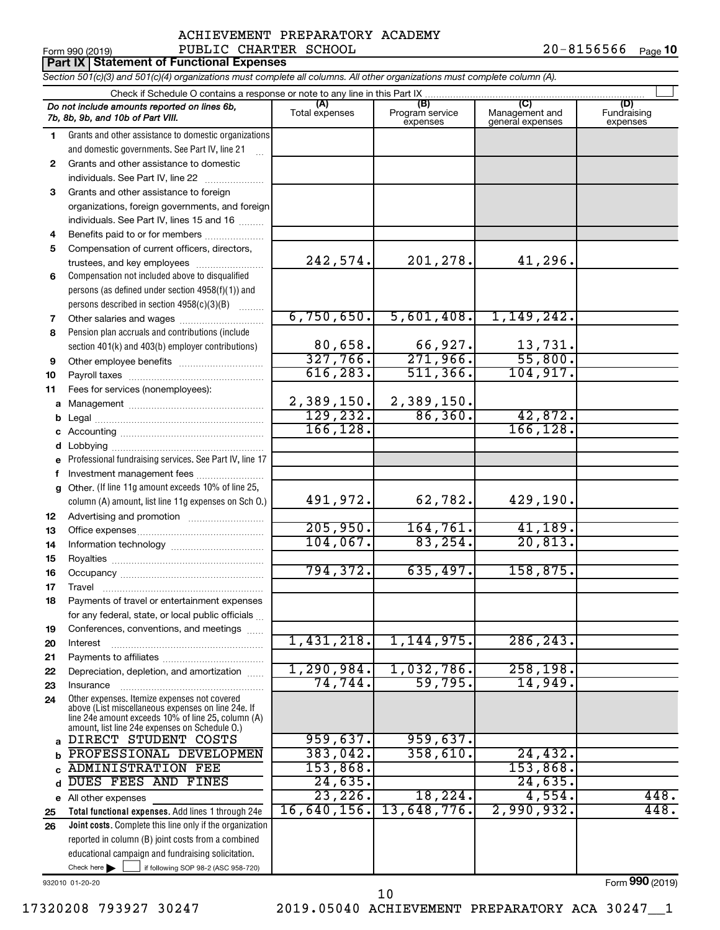Form 990 (2019) PUBLIC CHARTER SCHOOL  $20-8156566$  Page 20-8156566 <sub>Page</sub> 10

|              | <b>Part IX Statement of Functional Expenses</b>                                                                                                                                                            |                         |                                    |                                           |                                |
|--------------|------------------------------------------------------------------------------------------------------------------------------------------------------------------------------------------------------------|-------------------------|------------------------------------|-------------------------------------------|--------------------------------|
|              | Section 501(c)(3) and 501(c)(4) organizations must complete all columns. All other organizations must complete column (A).                                                                                 |                         |                                    |                                           |                                |
|              |                                                                                                                                                                                                            |                         |                                    |                                           |                                |
|              | Do not include amounts reported on lines 6b,<br>7b, 8b, 9b, and 10b of Part VIII.                                                                                                                          | (A)<br>Total expenses   | (B)<br>Program service<br>expenses | (C)<br>Management and<br>general expenses | (D)<br>Fundraising<br>expenses |
| 1.           | Grants and other assistance to domestic organizations                                                                                                                                                      |                         |                                    |                                           |                                |
|              | and domestic governments. See Part IV, line 21                                                                                                                                                             |                         |                                    |                                           |                                |
| $\mathbf{2}$ | Grants and other assistance to domestic                                                                                                                                                                    |                         |                                    |                                           |                                |
|              | individuals. See Part IV, line 22                                                                                                                                                                          |                         |                                    |                                           |                                |
| 3            | Grants and other assistance to foreign                                                                                                                                                                     |                         |                                    |                                           |                                |
|              | organizations, foreign governments, and foreign                                                                                                                                                            |                         |                                    |                                           |                                |
|              | individuals. See Part IV, lines 15 and 16                                                                                                                                                                  |                         |                                    |                                           |                                |
| 4            | Benefits paid to or for members                                                                                                                                                                            |                         |                                    |                                           |                                |
| 5            | Compensation of current officers, directors,                                                                                                                                                               |                         |                                    |                                           |                                |
|              | trustees, and key employees                                                                                                                                                                                | 242,574.                | 201,278.                           | 41,296.                                   |                                |
| 6            | Compensation not included above to disqualified                                                                                                                                                            |                         |                                    |                                           |                                |
|              | persons (as defined under section 4958(f)(1)) and                                                                                                                                                          |                         |                                    |                                           |                                |
|              | persons described in section 4958(c)(3)(B)                                                                                                                                                                 |                         |                                    |                                           |                                |
| 7            |                                                                                                                                                                                                            | 6,750,650.              | 5,601,408.                         | 1,149,242.                                |                                |
| 8            | Pension plan accruals and contributions (include                                                                                                                                                           |                         |                                    |                                           |                                |
|              | section 401(k) and 403(b) employer contributions)                                                                                                                                                          | 80,658.                 | 66,927.                            | 13,731.                                   |                                |
| 9            |                                                                                                                                                                                                            | 327,766.                | 271,966.                           | 55,800.                                   |                                |
| 10           |                                                                                                                                                                                                            | 616, 283.               | 511, 366.                          | 104, 917.                                 |                                |
| 11           | Fees for services (nonemployees):                                                                                                                                                                          |                         |                                    |                                           |                                |
| а            |                                                                                                                                                                                                            | 2,389,150.<br>129, 232. | 2,389,150.<br>86, 360.             | 42,872.                                   |                                |
| b            |                                                                                                                                                                                                            | 166, 128.               |                                    | 166, 128.                                 |                                |
| с            |                                                                                                                                                                                                            |                         |                                    |                                           |                                |
| d            |                                                                                                                                                                                                            |                         |                                    |                                           |                                |
| е            | Professional fundraising services. See Part IV, line 17                                                                                                                                                    |                         |                                    |                                           |                                |
| f            | Investment management fees<br>Other. (If line 11g amount exceeds 10% of line 25,                                                                                                                           |                         |                                    |                                           |                                |
| g            | column (A) amount, list line 11g expenses on Sch O.)                                                                                                                                                       | 491,972.                | 62,782.                            | 429,190.                                  |                                |
| 12           | Advertising and promotion <i>manually contained</i>                                                                                                                                                        |                         |                                    |                                           |                                |
| 13           |                                                                                                                                                                                                            | 205,950.                | 164, 761.                          | 41, 189.                                  |                                |
| 14           |                                                                                                                                                                                                            | 104,067.                | 83, 254.                           | 20,813.                                   |                                |
| 15           |                                                                                                                                                                                                            |                         |                                    |                                           |                                |
| 16           |                                                                                                                                                                                                            | 794,372.                | 635,497.                           | 158,875.                                  |                                |
| 17           | Travel                                                                                                                                                                                                     |                         |                                    |                                           |                                |
| 18           | Payments of travel or entertainment expenses                                                                                                                                                               |                         |                                    |                                           |                                |
|              | for any federal, state, or local public officials                                                                                                                                                          |                         |                                    |                                           |                                |
| 19           | Conferences, conventions, and meetings                                                                                                                                                                     |                         |                                    |                                           |                                |
| 20           | Interest                                                                                                                                                                                                   | 1,431,218.              | 1,144,975.                         | 286, 243.                                 |                                |
| 21           |                                                                                                                                                                                                            |                         |                                    |                                           |                                |
| 22           | Depreciation, depletion, and amortization                                                                                                                                                                  | 1,290,984.              | 1,032,786.                         | 258, 198.                                 |                                |
| 23           | Insurance                                                                                                                                                                                                  | 74,744.                 | 59,795.                            | 14,949.                                   |                                |
| 24           | Other expenses. Itemize expenses not covered<br>above (List miscellaneous expenses on line 24e. If<br>line 24e amount exceeds 10% of line 25, column (A)<br>amount, list line 24e expenses on Schedule O.) |                         |                                    |                                           |                                |
| a            | DIRECT STUDENT COSTS                                                                                                                                                                                       | 959,637.                | 959,637.                           |                                           |                                |
|              | PROFESSIONAL DEVELOPMEN                                                                                                                                                                                    | 383,042.                | 358,610.                           | 24,432.                                   |                                |
|              | <b>ADMINISTRATION FEE</b>                                                                                                                                                                                  | 153,868.                |                                    | 153,868.                                  |                                |
|              | DUES FEES AND FINES                                                                                                                                                                                        | 24,635.                 |                                    | 24,635.                                   |                                |
|              | e All other expenses                                                                                                                                                                                       | 23, 226.                | 18, 224.                           | 4,554.                                    | 448.                           |
| 25           | Total functional expenses. Add lines 1 through 24e                                                                                                                                                         | 16,640,156.             | 13,648,776.                        | 2,990,932.                                | 448.                           |
| 26           | Joint costs. Complete this line only if the organization                                                                                                                                                   |                         |                                    |                                           |                                |
|              | reported in column (B) joint costs from a combined                                                                                                                                                         |                         |                                    |                                           |                                |
|              | educational campaign and fundraising solicitation.<br>Check here $\blacktriangleright$<br>if following SOP 98-2 (ASC 958-720)                                                                              |                         |                                    |                                           |                                |
|              |                                                                                                                                                                                                            |                         |                                    |                                           |                                |

932010 01-20-20

Form (2019) **990**

17320208 793927 30247 2019.05040 ACHIEVEMENT PREPARATORY ACA 30247\_\_1 10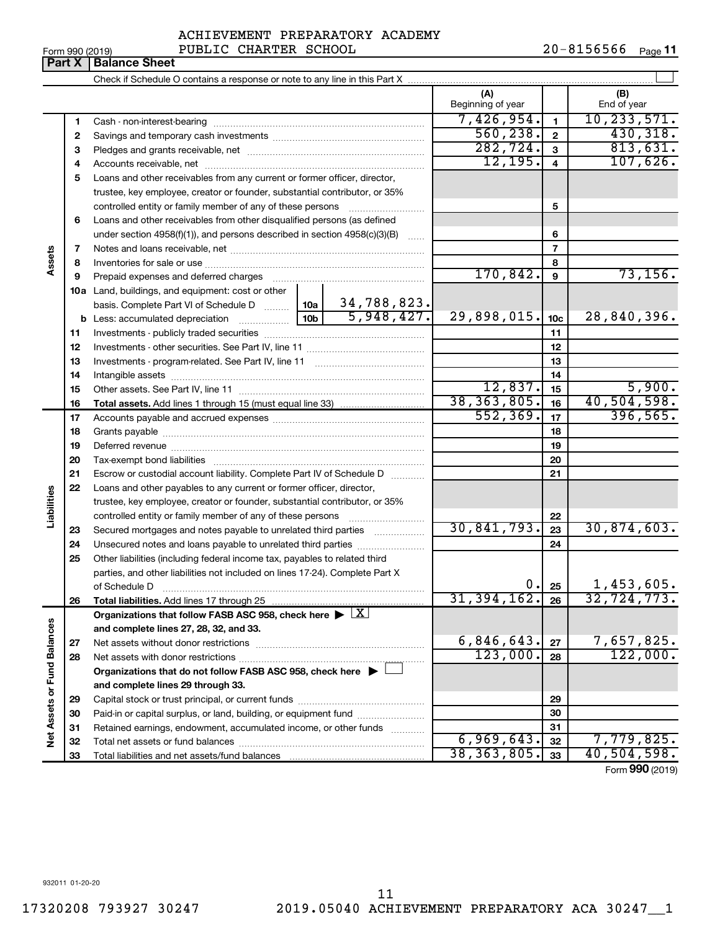| Form 990 (2019) |  |
|-----------------|--|
|-----------------|--|

#### Form 990 (2019) PUBLIC CHARTER SCHOOL  $20-8156566$  Page **Part X Balance Sheet**

|                             |          |                                                                                            |            | (A)               |                         | (B)                             |
|-----------------------------|----------|--------------------------------------------------------------------------------------------|------------|-------------------|-------------------------|---------------------------------|
|                             |          |                                                                                            |            | Beginning of year |                         | End of year                     |
|                             | 1        |                                                                                            |            | 7,426,954.        | $\mathbf{1}$            | 10, 233, 571.                   |
|                             | 2        |                                                                                            |            | 560, 238.         | $\mathbf{2}$            | 430,318.                        |
|                             | з        |                                                                                            |            | 282, 724.         | $\mathbf{3}$            | 813,631.                        |
|                             | 4        |                                                                                            |            | 12, 195.          | $\overline{\mathbf{4}}$ | 107,626.                        |
|                             | 5        | Loans and other receivables from any current or former officer, director,                  |            |                   |                         |                                 |
|                             |          | trustee, key employee, creator or founder, substantial contributor, or 35%                 |            |                   |                         |                                 |
|                             |          |                                                                                            |            |                   | 5                       |                                 |
|                             | 6        | Loans and other receivables from other disqualified persons (as defined                    |            |                   |                         |                                 |
|                             |          | under section $4958(f)(1)$ , and persons described in section $4958(c)(3)(B)$              |            |                   | 6                       |                                 |
|                             | 7        |                                                                                            |            |                   | $\overline{7}$          |                                 |
| Assets                      | 8        |                                                                                            |            |                   | 8                       |                                 |
|                             | 9        | Prepaid expenses and deferred charges                                                      |            | 170,842.          | $\boldsymbol{9}$        | 73, 156.                        |
|                             |          | <b>10a</b> Land, buildings, and equipment: cost or other                                   |            |                   |                         |                                 |
|                             |          | basis. Complete Part VI of Schedule D    10a   34, 788, 823.                               |            |                   |                         |                                 |
|                             |          |                                                                                            | 5,948,427. | 29,898,015.       | 10 <sub>c</sub>         | 28,840,396.                     |
|                             | 11       |                                                                                            |            |                   | 11                      |                                 |
|                             | 12       |                                                                                            |            |                   | 12                      |                                 |
|                             | 13       |                                                                                            |            |                   | 13                      |                                 |
|                             | 14       |                                                                                            |            | 12,837.           | 14                      | 5,900.                          |
|                             | 15       |                                                                                            |            | 38, 363, 805.     | 15<br>16                | 40,504,598.                     |
|                             | 16       |                                                                                            |            | 552, 369.         | 17                      | 396, 565.                       |
|                             | 17       |                                                                                            |            |                   | 18                      |                                 |
|                             | 18       |                                                                                            |            |                   | 19                      |                                 |
|                             | 19<br>20 |                                                                                            |            |                   | 20                      |                                 |
|                             | 21       | Escrow or custodial account liability. Complete Part IV of Schedule D                      |            |                   | 21                      |                                 |
|                             | 22       | Loans and other payables to any current or former officer, director,                       |            |                   |                         |                                 |
| Liabilities                 |          | trustee, key employee, creator or founder, substantial contributor, or 35%                 |            |                   |                         |                                 |
|                             |          | controlled entity or family member of any of these persons                                 |            |                   | 22                      |                                 |
|                             | 23       | Secured mortgages and notes payable to unrelated third parties                             |            | 30,841,793.       | 23                      | 30,874,603.                     |
|                             | 24       | Unsecured notes and loans payable to unrelated third parties                               |            |                   | 24                      |                                 |
|                             | 25       | Other liabilities (including federal income tax, payables to related third                 |            |                   |                         |                                 |
|                             |          | parties, and other liabilities not included on lines 17-24). Complete Part X               |            |                   |                         |                                 |
|                             |          | of Schedule D                                                                              |            |                   | 0.125                   | 1,453,605.                      |
|                             | 26       | Total liabilities. Add lines 17 through 25                                                 |            | $31,394,162.$ 26  |                         | 32,724,773.                     |
|                             |          | Organizations that follow FASB ASC 958, check here $\blacktriangleright \lfloor X \rfloor$ |            |                   |                         |                                 |
|                             |          | and complete lines 27, 28, 32, and 33.                                                     |            |                   |                         |                                 |
|                             | 27       |                                                                                            |            | 6,846,643.        | 27                      | 7,657,825.                      |
|                             | 28       |                                                                                            |            | 123,000.          | 28                      | 122,000.                        |
|                             |          | Organizations that do not follow FASB ASC 958, check here $\blacktriangleright$            |            |                   |                         |                                 |
|                             |          | and complete lines 29 through 33.                                                          |            |                   |                         |                                 |
|                             | 29       |                                                                                            |            |                   | 29                      |                                 |
| Net Assets or Fund Balances | 30       | Paid-in or capital surplus, or land, building, or equipment fund                           |            |                   | 30                      |                                 |
|                             | 31       | Retained earnings, endowment, accumulated income, or other funds                           |            |                   | 31                      |                                 |
|                             | 32       |                                                                                            |            | 6,969,643.        | 32                      | 7,779,825 <b>.</b>              |
|                             | 33       |                                                                                            |            | 38, 363, 805.     | 33                      | 40,504,598.<br>$000$ ( $0.20$ ) |

Form (2019) **990**

932011 01-20-20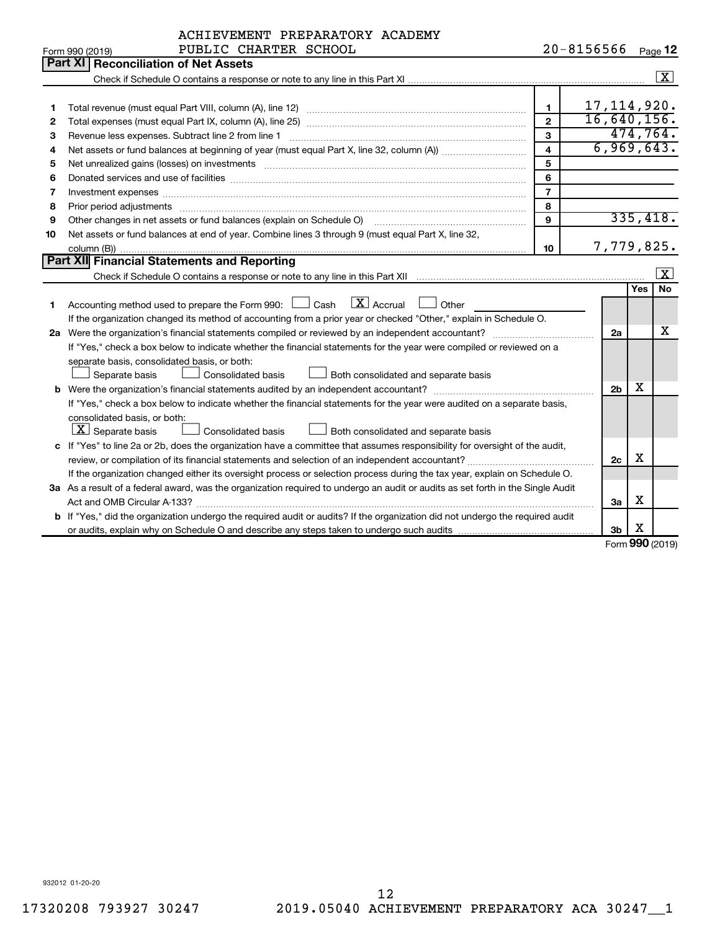|              | ACHIEVEMENT PREPARATORY ACADEMY                                                                                                                                                                                                |                         |                    |                |                   |                         |
|--------------|--------------------------------------------------------------------------------------------------------------------------------------------------------------------------------------------------------------------------------|-------------------------|--------------------|----------------|-------------------|-------------------------|
|              | PUBLIC CHARTER SCHOOL<br>Form 990 (2019)                                                                                                                                                                                       |                         | 20-8156566 Page 12 |                |                   |                         |
|              | Part XI<br><b>Reconciliation of Net Assets</b>                                                                                                                                                                                 |                         |                    |                |                   |                         |
|              |                                                                                                                                                                                                                                |                         |                    |                |                   | $\overline{\mathbf{x}}$ |
|              |                                                                                                                                                                                                                                |                         |                    |                |                   |                         |
| 1            |                                                                                                                                                                                                                                | $\blacksquare$          | 17, 114, 920.      |                |                   |                         |
| $\mathbf{2}$ |                                                                                                                                                                                                                                | $\overline{2}$          | 16,640,156.        |                |                   |                         |
| З            | Revenue less expenses. Subtract line 2 from line 1                                                                                                                                                                             | 3                       |                    |                |                   | 474,764.                |
| 4            |                                                                                                                                                                                                                                | $\overline{\mathbf{4}}$ |                    |                |                   | 6,969,643.              |
| 5            |                                                                                                                                                                                                                                | 5                       |                    |                |                   |                         |
| 6            |                                                                                                                                                                                                                                | 6                       |                    |                |                   |                         |
| 7            | Investment expenses [[11] https://www.facebook.com/www.facebook.com/www.facebook.com/www.facebook.com/www.facebook.com/www.facebook.com/www.facebook.com/www.facebook.com/www.facebook.com/www.facebook.com/www.facebook.com/w | $\overline{7}$          |                    |                |                   |                         |
| 8            |                                                                                                                                                                                                                                | 8                       |                    |                |                   |                         |
| 9            | Other changes in net assets or fund balances (explain on Schedule O)                                                                                                                                                           | $\mathbf{Q}$            |                    |                |                   | 335,418.                |
| 10           | Net assets or fund balances at end of year. Combine lines 3 through 9 (must equal Part X, line 32,                                                                                                                             |                         |                    |                |                   |                         |
|              |                                                                                                                                                                                                                                | 10                      |                    |                |                   | 7,779,825.              |
|              | Part XII Financial Statements and Reporting                                                                                                                                                                                    |                         |                    |                |                   |                         |
|              |                                                                                                                                                                                                                                |                         |                    |                |                   | X                       |
|              |                                                                                                                                                                                                                                |                         |                    |                | <b>Yes</b>        | No                      |
| 1            | $\boxed{\text{X}}$ Accrual<br>Accounting method used to prepare the Form 990: [130] Cash<br>Other                                                                                                                              |                         |                    |                |                   |                         |
|              | If the organization changed its method of accounting from a prior year or checked "Other," explain in Schedule O.                                                                                                              |                         |                    |                |                   |                         |
|              |                                                                                                                                                                                                                                |                         |                    | 2a             |                   | х                       |
|              | If "Yes," check a box below to indicate whether the financial statements for the year were compiled or reviewed on a                                                                                                           |                         |                    |                |                   |                         |
|              | separate basis, consolidated basis, or both:                                                                                                                                                                                   |                         |                    |                |                   |                         |
|              | Consolidated basis<br>Separate basis<br>Both consolidated and separate basis                                                                                                                                                   |                         |                    |                |                   |                         |
|              |                                                                                                                                                                                                                                |                         |                    | 2 <sub>b</sub> | х                 |                         |
|              | If "Yes," check a box below to indicate whether the financial statements for the year were audited on a separate basis,                                                                                                        |                         |                    |                |                   |                         |
|              | consolidated basis, or both:                                                                                                                                                                                                   |                         |                    |                |                   |                         |
|              | $ \mathbf{X} $ Separate basis<br>Consolidated basis<br>Both consolidated and separate basis                                                                                                                                    |                         |                    |                |                   |                         |
|              | c If "Yes" to line 2a or 2b, does the organization have a committee that assumes responsibility for oversight of the audit,                                                                                                    |                         |                    |                |                   |                         |
|              | review, or compilation of its financial statements and selection of an independent accountant?                                                                                                                                 |                         |                    | 2c             | x                 |                         |
|              | If the organization changed either its oversight process or selection process during the tax year, explain on Schedule O.                                                                                                      |                         |                    |                |                   |                         |
|              | 3a As a result of a federal award, was the organization required to undergo an audit or audits as set forth in the Single Audit                                                                                                |                         |                    |                |                   |                         |
|              |                                                                                                                                                                                                                                |                         |                    | За             | х                 |                         |
|              | b If "Yes," did the organization undergo the required audit or audits? If the organization did not undergo the required audit                                                                                                  |                         |                    |                |                   |                         |
|              |                                                                                                                                                                                                                                |                         |                    | 3b             | X                 |                         |
|              |                                                                                                                                                                                                                                |                         |                    |                | nnn <sub>is</sub> |                         |

Form (2019) **990**

932012 01-20-20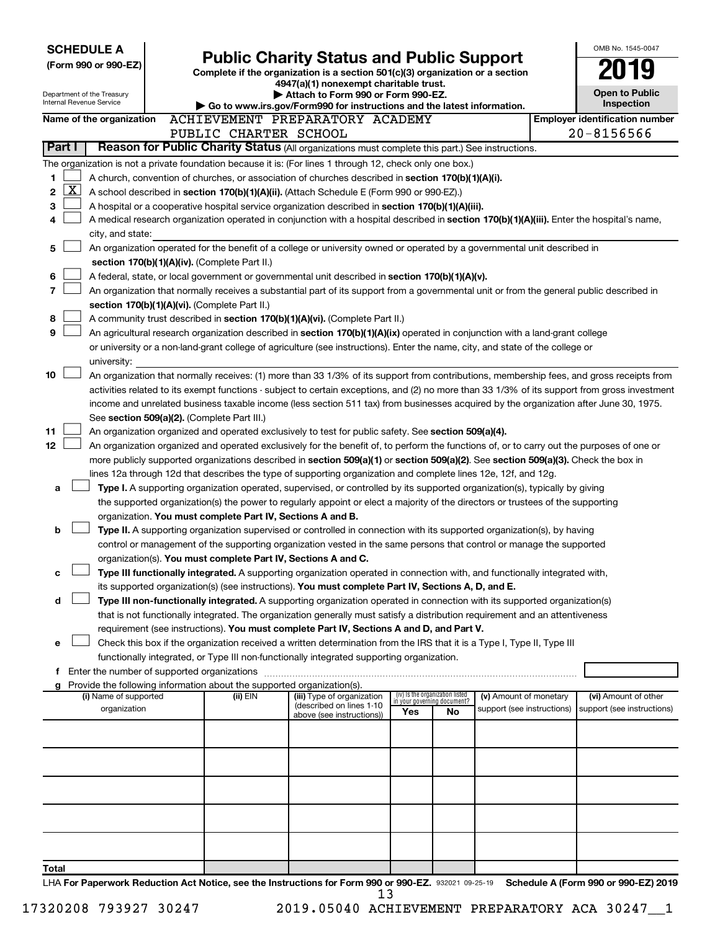| <b>SCHEDULE A</b>                                                                                                                                   |                                                               |                                                                                                                                                                                                                                                      |     |                                    |                            | OMB No. 1545-0047                          |
|-----------------------------------------------------------------------------------------------------------------------------------------------------|---------------------------------------------------------------|------------------------------------------------------------------------------------------------------------------------------------------------------------------------------------------------------------------------------------------------------|-----|------------------------------------|----------------------------|--------------------------------------------|
| (Form 990 or 990-EZ)                                                                                                                                |                                                               | <b>Public Charity Status and Public Support</b><br>Complete if the organization is a section 501(c)(3) organization or a section                                                                                                                     |     |                                    |                            |                                            |
|                                                                                                                                                     |                                                               | 4947(a)(1) nonexempt charitable trust.                                                                                                                                                                                                               |     |                                    |                            |                                            |
| Department of the Treasury<br>Internal Revenue Service                                                                                              |                                                               | Attach to Form 990 or Form 990-EZ.<br>Go to www.irs.gov/Form990 for instructions and the latest information.                                                                                                                                         |     |                                    |                            | <b>Open to Public</b><br><b>Inspection</b> |
| Name of the organization                                                                                                                            |                                                               | ACHIEVEMENT PREPARATORY ACADEMY                                                                                                                                                                                                                      |     |                                    |                            | <b>Employer identification number</b>      |
|                                                                                                                                                     | PUBLIC CHARTER SCHOOL                                         |                                                                                                                                                                                                                                                      |     |                                    |                            | $20 - 8156566$                             |
| Part I                                                                                                                                              |                                                               | Reason for Public Charity Status (All organizations must complete this part.) See instructions.                                                                                                                                                      |     |                                    |                            |                                            |
| The organization is not a private foundation because it is: (For lines 1 through 12, check only one box.)                                           |                                                               |                                                                                                                                                                                                                                                      |     |                                    |                            |                                            |
| 1                                                                                                                                                   |                                                               | A church, convention of churches, or association of churches described in section 170(b)(1)(A)(i).                                                                                                                                                   |     |                                    |                            |                                            |
| <u>X  </u><br>2                                                                                                                                     |                                                               | A school described in section 170(b)(1)(A)(ii). (Attach Schedule E (Form 990 or 990-EZ).)                                                                                                                                                            |     |                                    |                            |                                            |
| 3                                                                                                                                                   |                                                               | A hospital or a cooperative hospital service organization described in section 170(b)(1)(A)(iii).                                                                                                                                                    |     |                                    |                            |                                            |
| 4                                                                                                                                                   |                                                               | A medical research organization operated in conjunction with a hospital described in section 170(b)(1)(A)(iii). Enter the hospital's name,                                                                                                           |     |                                    |                            |                                            |
| city, and state:<br>5                                                                                                                               |                                                               | An organization operated for the benefit of a college or university owned or operated by a governmental unit described in                                                                                                                            |     |                                    |                            |                                            |
| section 170(b)(1)(A)(iv). (Complete Part II.)                                                                                                       |                                                               |                                                                                                                                                                                                                                                      |     |                                    |                            |                                            |
| 6                                                                                                                                                   |                                                               | A federal, state, or local government or governmental unit described in section 170(b)(1)(A)(v).                                                                                                                                                     |     |                                    |                            |                                            |
| 7                                                                                                                                                   |                                                               | An organization that normally receives a substantial part of its support from a governmental unit or from the general public described in                                                                                                            |     |                                    |                            |                                            |
| section 170(b)(1)(A)(vi). (Complete Part II.)                                                                                                       |                                                               |                                                                                                                                                                                                                                                      |     |                                    |                            |                                            |
| 8                                                                                                                                                   |                                                               | A community trust described in section 170(b)(1)(A)(vi). (Complete Part II.)                                                                                                                                                                         |     |                                    |                            |                                            |
| 9                                                                                                                                                   |                                                               | An agricultural research organization described in section 170(b)(1)(A)(ix) operated in conjunction with a land-grant college                                                                                                                        |     |                                    |                            |                                            |
| university:                                                                                                                                         |                                                               | or university or a non-land-grant college of agriculture (see instructions). Enter the name, city, and state of the college or                                                                                                                       |     |                                    |                            |                                            |
| 10                                                                                                                                                  |                                                               | An organization that normally receives: (1) more than 33 1/3% of its support from contributions, membership fees, and gross receipts from                                                                                                            |     |                                    |                            |                                            |
|                                                                                                                                                     |                                                               | activities related to its exempt functions - subject to certain exceptions, and (2) no more than 33 1/3% of its support from gross investment                                                                                                        |     |                                    |                            |                                            |
|                                                                                                                                                     |                                                               | income and unrelated business taxable income (less section 511 tax) from businesses acquired by the organization after June 30, 1975.                                                                                                                |     |                                    |                            |                                            |
| See section 509(a)(2). (Complete Part III.)                                                                                                         |                                                               |                                                                                                                                                                                                                                                      |     |                                    |                            |                                            |
| 11                                                                                                                                                  |                                                               | An organization organized and operated exclusively to test for public safety. See section 509(a)(4).                                                                                                                                                 |     |                                    |                            |                                            |
| 12                                                                                                                                                  |                                                               | An organization organized and operated exclusively for the benefit of, to perform the functions of, or to carry out the purposes of one or                                                                                                           |     |                                    |                            |                                            |
|                                                                                                                                                     |                                                               | more publicly supported organizations described in section 509(a)(1) or section 509(a)(2). See section 509(a)(3). Check the box in<br>lines 12a through 12d that describes the type of supporting organization and complete lines 12e, 12f, and 12g. |     |                                    |                            |                                            |
| a                                                                                                                                                   |                                                               | Type I. A supporting organization operated, supervised, or controlled by its supported organization(s), typically by giving                                                                                                                          |     |                                    |                            |                                            |
|                                                                                                                                                     |                                                               | the supported organization(s) the power to regularly appoint or elect a majority of the directors or trustees of the supporting                                                                                                                      |     |                                    |                            |                                            |
|                                                                                                                                                     | organization. You must complete Part IV, Sections A and B.    |                                                                                                                                                                                                                                                      |     |                                    |                            |                                            |
| b                                                                                                                                                   |                                                               | Type II. A supporting organization supervised or controlled in connection with its supported organization(s), by having                                                                                                                              |     |                                    |                            |                                            |
|                                                                                                                                                     |                                                               | control or management of the supporting organization vested in the same persons that control or manage the supported                                                                                                                                 |     |                                    |                            |                                            |
|                                                                                                                                                     | organization(s). You must complete Part IV, Sections A and C. |                                                                                                                                                                                                                                                      |     |                                    |                            |                                            |
| с                                                                                                                                                   |                                                               | Type III functionally integrated. A supporting organization operated in connection with, and functionally integrated with,<br>its supported organization(s) (see instructions). You must complete Part IV, Sections A, D, and E.                     |     |                                    |                            |                                            |
| d                                                                                                                                                   |                                                               | Type III non-functionally integrated. A supporting organization operated in connection with its supported organization(s)                                                                                                                            |     |                                    |                            |                                            |
|                                                                                                                                                     |                                                               | that is not functionally integrated. The organization generally must satisfy a distribution requirement and an attentiveness                                                                                                                         |     |                                    |                            |                                            |
|                                                                                                                                                     |                                                               | requirement (see instructions). You must complete Part IV, Sections A and D, and Part V.                                                                                                                                                             |     |                                    |                            |                                            |
| е                                                                                                                                                   |                                                               | Check this box if the organization received a written determination from the IRS that it is a Type I, Type II, Type III                                                                                                                              |     |                                    |                            |                                            |
|                                                                                                                                                     |                                                               | functionally integrated, or Type III non-functionally integrated supporting organization.                                                                                                                                                            |     |                                    |                            |                                            |
| f Enter the number of supported organizations                                                                                                       |                                                               |                                                                                                                                                                                                                                                      |     |                                    |                            |                                            |
| Provide the following information about the supported organization(s).<br>(i) Name of supported                                                     | (ii) EIN                                                      | (iii) Type of organization                                                                                                                                                                                                                           |     | (iv) Is the organization listed    | (v) Amount of monetary     | (vi) Amount of other                       |
| organization                                                                                                                                        |                                                               | (described on lines 1-10<br>above (see instructions))                                                                                                                                                                                                | Yes | in your governing document?<br>No. | support (see instructions) | support (see instructions)                 |
|                                                                                                                                                     |                                                               |                                                                                                                                                                                                                                                      |     |                                    |                            |                                            |
|                                                                                                                                                     |                                                               |                                                                                                                                                                                                                                                      |     |                                    |                            |                                            |
|                                                                                                                                                     |                                                               |                                                                                                                                                                                                                                                      |     |                                    |                            |                                            |
|                                                                                                                                                     |                                                               |                                                                                                                                                                                                                                                      |     |                                    |                            |                                            |
|                                                                                                                                                     |                                                               |                                                                                                                                                                                                                                                      |     |                                    |                            |                                            |
|                                                                                                                                                     |                                                               |                                                                                                                                                                                                                                                      |     |                                    |                            |                                            |
|                                                                                                                                                     |                                                               |                                                                                                                                                                                                                                                      |     |                                    |                            |                                            |
|                                                                                                                                                     |                                                               |                                                                                                                                                                                                                                                      |     |                                    |                            |                                            |
|                                                                                                                                                     |                                                               |                                                                                                                                                                                                                                                      |     |                                    |                            |                                            |
| Total<br>LHA For Dangrwork Reduction Act Notice, see the Instructions for Form 990 or 990-F7, 020031,00.25.10. Schedule A (Form 990 or 990-F7) 2019 |                                                               |                                                                                                                                                                                                                                                      |     |                                    |                            |                                            |

932021 09-25-19 **Rotice, see the Instructions for Form 990 or 990-EZ.** 932021 09-25-19 Schedule A (Form 990 or 990-EZ) 2019 LHA  $13$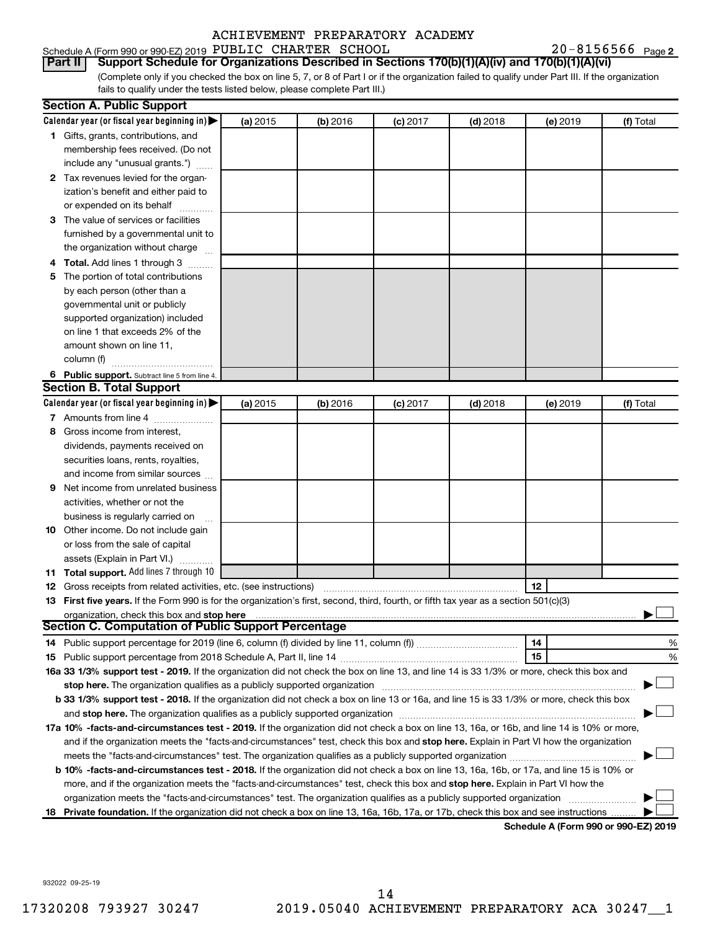| Schedule A (Form 990 or 990-EZ) 2019 PUBLIC CHARTER SCHOOL |  | $20 - 8156566$ Page 2 |  |
|------------------------------------------------------------|--|-----------------------|--|
|                                                            |  |                       |  |

(Complete only if you checked the box on line 5, 7, or 8 of Part I or if the organization failed to qualify under Part III. If the organization fails to qualify under the tests listed below, please complete Part III.) **Part II Support Schedule for Organizations Described in Sections 170(b)(1)(A)(iv) and 170(b)(1)(A)(vi)**

|   | <b>Section A. Public Support</b>                                                                                                                                                                                               |          |          |            |            |          |                                      |
|---|--------------------------------------------------------------------------------------------------------------------------------------------------------------------------------------------------------------------------------|----------|----------|------------|------------|----------|--------------------------------------|
|   | Calendar year (or fiscal year beginning in)                                                                                                                                                                                    | (a) 2015 | (b) 2016 | $(c)$ 2017 | $(d)$ 2018 | (e) 2019 | (f) Total                            |
|   | 1 Gifts, grants, contributions, and                                                                                                                                                                                            |          |          |            |            |          |                                      |
|   | membership fees received. (Do not                                                                                                                                                                                              |          |          |            |            |          |                                      |
|   | include any "unusual grants.")                                                                                                                                                                                                 |          |          |            |            |          |                                      |
|   | 2 Tax revenues levied for the organ-                                                                                                                                                                                           |          |          |            |            |          |                                      |
|   | ization's benefit and either paid to                                                                                                                                                                                           |          |          |            |            |          |                                      |
|   | or expended on its behalf                                                                                                                                                                                                      |          |          |            |            |          |                                      |
|   | 3 The value of services or facilities                                                                                                                                                                                          |          |          |            |            |          |                                      |
|   | furnished by a governmental unit to                                                                                                                                                                                            |          |          |            |            |          |                                      |
|   | the organization without charge                                                                                                                                                                                                |          |          |            |            |          |                                      |
|   | 4 Total. Add lines 1 through 3                                                                                                                                                                                                 |          |          |            |            |          |                                      |
|   | 5 The portion of total contributions                                                                                                                                                                                           |          |          |            |            |          |                                      |
|   | by each person (other than a                                                                                                                                                                                                   |          |          |            |            |          |                                      |
|   | governmental unit or publicly                                                                                                                                                                                                  |          |          |            |            |          |                                      |
|   | supported organization) included                                                                                                                                                                                               |          |          |            |            |          |                                      |
|   | on line 1 that exceeds 2% of the                                                                                                                                                                                               |          |          |            |            |          |                                      |
|   | amount shown on line 11,                                                                                                                                                                                                       |          |          |            |            |          |                                      |
|   | column (f)                                                                                                                                                                                                                     |          |          |            |            |          |                                      |
|   | 6 Public support. Subtract line 5 from line 4.                                                                                                                                                                                 |          |          |            |            |          |                                      |
|   | <b>Section B. Total Support</b>                                                                                                                                                                                                |          |          |            |            |          |                                      |
|   | Calendar year (or fiscal year beginning in)                                                                                                                                                                                    | (a) 2015 | (b) 2016 | $(c)$ 2017 | $(d)$ 2018 | (e) 2019 | (f) Total                            |
|   | 7 Amounts from line 4                                                                                                                                                                                                          |          |          |            |            |          |                                      |
| 8 | Gross income from interest,                                                                                                                                                                                                    |          |          |            |            |          |                                      |
|   | dividends, payments received on                                                                                                                                                                                                |          |          |            |            |          |                                      |
|   | securities loans, rents, royalties,                                                                                                                                                                                            |          |          |            |            |          |                                      |
|   | and income from similar sources                                                                                                                                                                                                |          |          |            |            |          |                                      |
| 9 | Net income from unrelated business                                                                                                                                                                                             |          |          |            |            |          |                                      |
|   | activities, whether or not the                                                                                                                                                                                                 |          |          |            |            |          |                                      |
|   | business is regularly carried on                                                                                                                                                                                               |          |          |            |            |          |                                      |
|   | 10 Other income. Do not include gain                                                                                                                                                                                           |          |          |            |            |          |                                      |
|   | or loss from the sale of capital                                                                                                                                                                                               |          |          |            |            |          |                                      |
|   | assets (Explain in Part VI.)                                                                                                                                                                                                   |          |          |            |            |          |                                      |
|   | 11 Total support. Add lines 7 through 10                                                                                                                                                                                       |          |          |            |            |          |                                      |
|   | <b>12</b> Gross receipts from related activities, etc. (see instructions)                                                                                                                                                      |          |          |            |            | 12       |                                      |
|   | 13 First five years. If the Form 990 is for the organization's first, second, third, fourth, or fifth tax year as a section 501(c)(3)                                                                                          |          |          |            |            |          |                                      |
|   | organization, check this box and stop here                                                                                                                                                                                     |          |          |            |            |          |                                      |
|   | <b>Section C. Computation of Public Support Percentage</b>                                                                                                                                                                     |          |          |            |            |          |                                      |
|   |                                                                                                                                                                                                                                |          |          |            |            | 14       | %                                    |
|   |                                                                                                                                                                                                                                |          |          |            |            | 15       | %                                    |
|   | 16a 33 1/3% support test - 2019. If the organization did not check the box on line 13, and line 14 is 33 1/3% or more, check this box and                                                                                      |          |          |            |            |          |                                      |
|   | stop here. The organization qualifies as a publicly supported organization manufaction manufacture or the organization manufacture or the organization manufacture or the organization manufacture or the state of the state o |          |          |            |            |          |                                      |
|   | b 33 1/3% support test - 2018. If the organization did not check a box on line 13 or 16a, and line 15 is 33 1/3% or more, check this box                                                                                       |          |          |            |            |          |                                      |
|   |                                                                                                                                                                                                                                |          |          |            |            |          |                                      |
|   | 17a 10% -facts-and-circumstances test - 2019. If the organization did not check a box on line 13, 16a, or 16b, and line 14 is 10% or more,                                                                                     |          |          |            |            |          |                                      |
|   | and if the organization meets the "facts-and-circumstances" test, check this box and stop here. Explain in Part VI how the organization                                                                                        |          |          |            |            |          |                                      |
|   | meets the "facts-and-circumstances" test. The organization qualifies as a publicly supported organization <i>manumumumum</i>                                                                                                   |          |          |            |            |          |                                      |
|   | b 10% -facts-and-circumstances test - 2018. If the organization did not check a box on line 13, 16a, 16b, or 17a, and line 15 is 10% or                                                                                        |          |          |            |            |          |                                      |
|   | more, and if the organization meets the "facts-and-circumstances" test, check this box and stop here. Explain in Part VI how the                                                                                               |          |          |            |            |          |                                      |
|   | organization meets the "facts-and-circumstances" test. The organization qualifies as a publicly supported organization                                                                                                         |          |          |            |            |          |                                      |
|   | 18 Private foundation. If the organization did not check a box on line 13, 16a, 16b, 17a, or 17b, check this box and see instructions                                                                                          |          |          |            |            |          |                                      |
|   |                                                                                                                                                                                                                                |          |          |            |            |          | Schodule A (Form 000 or 000 F7) 2010 |

**Schedule A (Form 990 or 990-EZ) 2019**

932022 09-25-19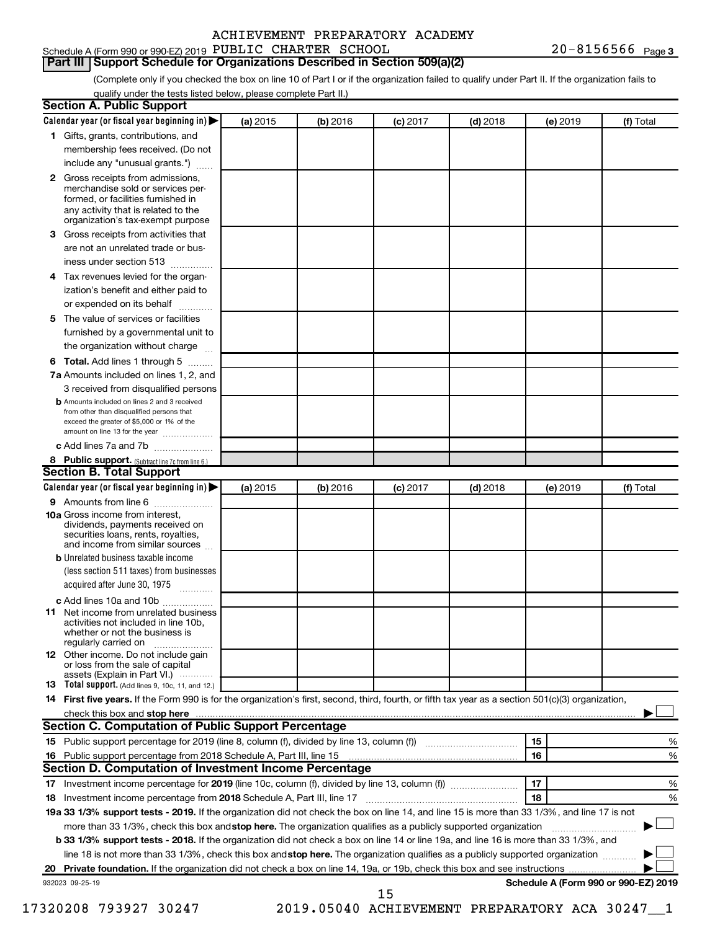#### Schedule A (Form 990 or 990-EZ) 2019 PUBLIC CHARTER SCHOOL  $20-8156566$  Page

#### **Part III Support Schedule for Organizations Described in Section 509(a)(2)**

(Complete only if you checked the box on line 10 of Part I or if the organization failed to qualify under Part II. If the organization fails to qualify under the tests listed below, please complete Part II.)

|    | 1 Gifts, grants, contributions, and<br>membership fees received. (Do not<br>include any "unusual grants.")                                                                                                                                                                      |          |          |            |            |    |          |                                      |
|----|---------------------------------------------------------------------------------------------------------------------------------------------------------------------------------------------------------------------------------------------------------------------------------|----------|----------|------------|------------|----|----------|--------------------------------------|
|    |                                                                                                                                                                                                                                                                                 |          |          |            |            |    |          |                                      |
|    |                                                                                                                                                                                                                                                                                 |          |          |            |            |    |          |                                      |
|    |                                                                                                                                                                                                                                                                                 |          |          |            |            |    |          |                                      |
|    | 2 Gross receipts from admissions,<br>merchandise sold or services per-<br>formed, or facilities furnished in<br>any activity that is related to the<br>organization's tax-exempt purpose                                                                                        |          |          |            |            |    |          |                                      |
| 3  | Gross receipts from activities that                                                                                                                                                                                                                                             |          |          |            |            |    |          |                                      |
|    | are not an unrelated trade or bus-                                                                                                                                                                                                                                              |          |          |            |            |    |          |                                      |
|    | iness under section 513                                                                                                                                                                                                                                                         |          |          |            |            |    |          |                                      |
| 4  | Tax revenues levied for the organ-                                                                                                                                                                                                                                              |          |          |            |            |    |          |                                      |
|    | ization's benefit and either paid to<br>or expended on its behalf<br>.                                                                                                                                                                                                          |          |          |            |            |    |          |                                      |
| 5. | The value of services or facilities                                                                                                                                                                                                                                             |          |          |            |            |    |          |                                      |
|    | furnished by a governmental unit to                                                                                                                                                                                                                                             |          |          |            |            |    |          |                                      |
|    | the organization without charge                                                                                                                                                                                                                                                 |          |          |            |            |    |          |                                      |
| 6  | Total. Add lines 1 through 5                                                                                                                                                                                                                                                    |          |          |            |            |    |          |                                      |
|    | 7a Amounts included on lines 1, 2, and                                                                                                                                                                                                                                          |          |          |            |            |    |          |                                      |
|    | 3 received from disqualified persons<br><b>b</b> Amounts included on lines 2 and 3 received                                                                                                                                                                                     |          |          |            |            |    |          |                                      |
|    | from other than disqualified persons that<br>exceed the greater of \$5,000 or 1% of the<br>amount on line 13 for the year                                                                                                                                                       |          |          |            |            |    |          |                                      |
|    | c Add lines 7a and 7b                                                                                                                                                                                                                                                           |          |          |            |            |    |          |                                      |
|    | 8 Public support. (Subtract line 7c from line 6.)                                                                                                                                                                                                                               |          |          |            |            |    |          |                                      |
|    | <b>Section B. Total Support</b>                                                                                                                                                                                                                                                 |          |          |            |            |    |          |                                      |
|    | Calendar year (or fiscal year beginning in)                                                                                                                                                                                                                                     | (a) 2015 | (b) 2016 | $(c)$ 2017 | $(d)$ 2018 |    | (e) 2019 | (f) Total                            |
|    | 9 Amounts from line 6                                                                                                                                                                                                                                                           |          |          |            |            |    |          |                                      |
|    | <b>10a</b> Gross income from interest,<br>dividends, payments received on<br>securities loans, rents, royalties,<br>and income from similar sources                                                                                                                             |          |          |            |            |    |          |                                      |
|    | <b>b</b> Unrelated business taxable income                                                                                                                                                                                                                                      |          |          |            |            |    |          |                                      |
|    | (less section 511 taxes) from businesses<br>acquired after June 30, 1975                                                                                                                                                                                                        |          |          |            |            |    |          |                                      |
|    | c Add lines 10a and 10b                                                                                                                                                                                                                                                         |          |          |            |            |    |          |                                      |
| 11 | Net income from unrelated business<br>activities not included in line 10b.<br>whether or not the business is<br>regularly carried on                                                                                                                                            |          |          |            |            |    |          |                                      |
|    | <b>12</b> Other income. Do not include gain<br>or loss from the sale of capital<br>assets (Explain in Part VI.)                                                                                                                                                                 |          |          |            |            |    |          |                                      |
|    | <b>13</b> Total support. (Add lines 9, 10c, 11, and 12.)                                                                                                                                                                                                                        |          |          |            |            |    |          |                                      |
|    | 14 First five years. If the Form 990 is for the organization's first, second, third, fourth, or fifth tax year as a section 501(c)(3) organization,                                                                                                                             |          |          |            |            |    |          |                                      |
|    | check this box and stop here <i>macuum macuum macuum macuum macuum macuum macuum macuum macuum</i>                                                                                                                                                                              |          |          |            |            |    |          |                                      |
|    | Section C. Computation of Public Support Percentage                                                                                                                                                                                                                             |          |          |            |            |    |          |                                      |
|    |                                                                                                                                                                                                                                                                                 |          |          |            |            | 15 |          | %                                    |
|    |                                                                                                                                                                                                                                                                                 |          |          |            |            | 16 |          | %                                    |
|    | Section D. Computation of Investment Income Percentage                                                                                                                                                                                                                          |          |          |            |            |    |          |                                      |
|    |                                                                                                                                                                                                                                                                                 |          |          |            |            | 17 |          | %                                    |
|    |                                                                                                                                                                                                                                                                                 |          |          |            |            | 18 |          | %                                    |
|    | 19a 33 1/3% support tests - 2019. If the organization did not check the box on line 14, and line 15 is more than 33 1/3%, and line 17 is not                                                                                                                                    |          |          |            |            |    |          |                                      |
|    | more than 33 1/3%, check this box and stop here. The organization qualifies as a publicly supported organization                                                                                                                                                                |          |          |            |            |    |          |                                      |
|    | <b>b 33 1/3% support tests - 2018.</b> If the organization did not check a box on line 14 or line 19a, and line 16 is more than 33 1/3%, and<br>line 18 is not more than 33 1/3%, check this box and stop here. The organization qualifies as a publicly supported organization |          |          |            |            |    |          |                                      |
|    |                                                                                                                                                                                                                                                                                 |          |          |            |            |    |          |                                      |
|    |                                                                                                                                                                                                                                                                                 |          |          |            |            |    |          |                                      |
|    | 932023 09-25-19                                                                                                                                                                                                                                                                 |          |          |            |            |    |          | Schedule A (Form 990 or 990-EZ) 2019 |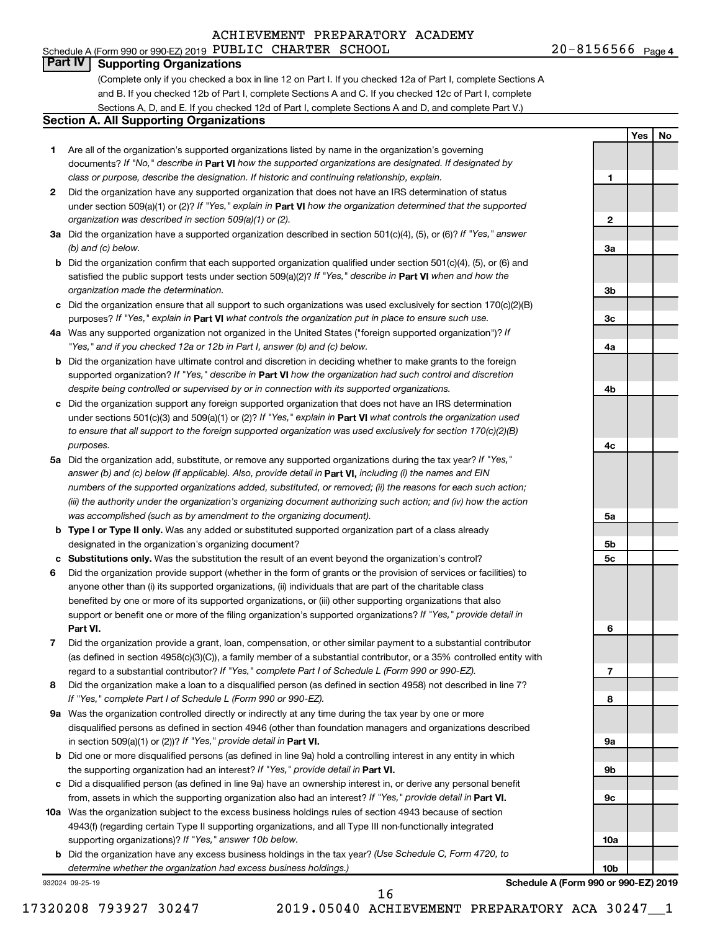## Schedule A (Form 990 or 990-EZ) 2019 PUBLIC CHARTER SCHOOL  $20-8156566$  Page ACHIEVEMENT PREPARATORY ACADEMY

**1**

**2**

**3a**

**3b**

**3c**

**4a**

**4b**

**4c**

**5a**

**5b 5c**

**6**

**7**

**8**

**9a**

**9b**

**9c**

**10a**

**10b**

**Yes No**

# **Part IV Supporting Organizations**

(Complete only if you checked a box in line 12 on Part I. If you checked 12a of Part I, complete Sections A and B. If you checked 12b of Part I, complete Sections A and C. If you checked 12c of Part I, complete Sections A, D, and E. If you checked 12d of Part I, complete Sections A and D, and complete Part V.)

#### **Section A. All Supporting Organizations**

- **1** Are all of the organization's supported organizations listed by name in the organization's governing documents? If "No," describe in Part VI how the supported organizations are designated. If designated by *class or purpose, describe the designation. If historic and continuing relationship, explain.*
- **2** Did the organization have any supported organization that does not have an IRS determination of status under section 509(a)(1) or (2)? If "Yes," explain in Part **VI** how the organization determined that the supported *organization was described in section 509(a)(1) or (2).*
- **3a** Did the organization have a supported organization described in section 501(c)(4), (5), or (6)? If "Yes," answer *(b) and (c) below.*
- **b** Did the organization confirm that each supported organization qualified under section 501(c)(4), (5), or (6) and satisfied the public support tests under section 509(a)(2)? If "Yes," describe in Part VI when and how the *organization made the determination.*
- **c** Did the organization ensure that all support to such organizations was used exclusively for section 170(c)(2)(B) purposes? If "Yes," explain in Part VI what controls the organization put in place to ensure such use.
- **4 a** *If* Was any supported organization not organized in the United States ("foreign supported organization")? *"Yes," and if you checked 12a or 12b in Part I, answer (b) and (c) below.*
- **b** Did the organization have ultimate control and discretion in deciding whether to make grants to the foreign supported organization? If "Yes," describe in Part VI how the organization had such control and discretion *despite being controlled or supervised by or in connection with its supported organizations.*
- **c** Did the organization support any foreign supported organization that does not have an IRS determination under sections 501(c)(3) and 509(a)(1) or (2)? If "Yes," explain in Part VI what controls the organization used *to ensure that all support to the foreign supported organization was used exclusively for section 170(c)(2)(B) purposes.*
- **5a** Did the organization add, substitute, or remove any supported organizations during the tax year? If "Yes," answer (b) and (c) below (if applicable). Also, provide detail in **Part VI,** including (i) the names and EIN *numbers of the supported organizations added, substituted, or removed; (ii) the reasons for each such action; (iii) the authority under the organization's organizing document authorizing such action; and (iv) how the action was accomplished (such as by amendment to the organizing document).*
- **b Type I or Type II only.** Was any added or substituted supported organization part of a class already designated in the organization's organizing document?
- **c Substitutions only.**  Was the substitution the result of an event beyond the organization's control?
- **6** Did the organization provide support (whether in the form of grants or the provision of services or facilities) to **Part VI.** support or benefit one or more of the filing organization's supported organizations? If "Yes," provide detail in anyone other than (i) its supported organizations, (ii) individuals that are part of the charitable class benefited by one or more of its supported organizations, or (iii) other supporting organizations that also
- **7** Did the organization provide a grant, loan, compensation, or other similar payment to a substantial contributor regard to a substantial contributor? If "Yes," complete Part I of Schedule L (Form 990 or 990-EZ). (as defined in section 4958(c)(3)(C)), a family member of a substantial contributor, or a 35% controlled entity with
- **8** Did the organization make a loan to a disqualified person (as defined in section 4958) not described in line 7? *If "Yes," complete Part I of Schedule L (Form 990 or 990-EZ).*
- **9 a** Was the organization controlled directly or indirectly at any time during the tax year by one or more in section 509(a)(1) or (2))? If "Yes," provide detail in **Part VI.** disqualified persons as defined in section 4946 (other than foundation managers and organizations described
- **b** Did one or more disqualified persons (as defined in line 9a) hold a controlling interest in any entity in which the supporting organization had an interest? If "Yes," provide detail in Part VI.
- **c** Did a disqualified person (as defined in line 9a) have an ownership interest in, or derive any personal benefit from, assets in which the supporting organization also had an interest? If "Yes," provide detail in Part VI.
- **10 a** Was the organization subject to the excess business holdings rules of section 4943 because of section supporting organizations)? If "Yes," answer 10b below. 4943(f) (regarding certain Type II supporting organizations, and all Type III non-functionally integrated
	- **b** Did the organization have any excess business holdings in the tax year? (Use Schedule C, Form 4720, to *determine whether the organization had excess business holdings.)*

932024 09-25-19

**Schedule A (Form 990 or 990-EZ) 2019**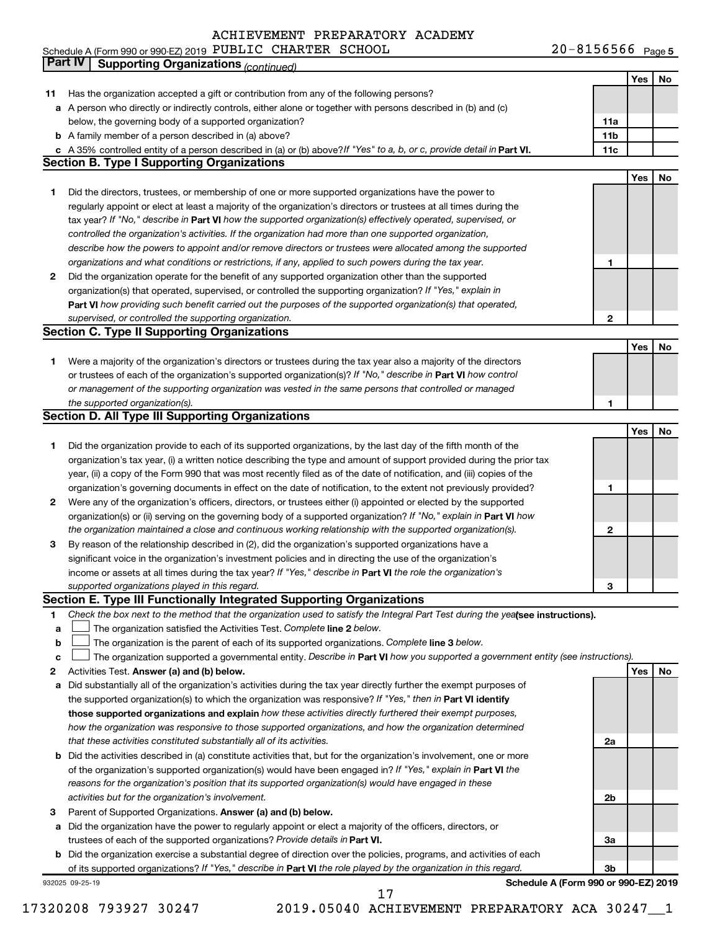|  | Schedule A (Form 990 or 990-EZ) 2019 PUBLIC CHARTER SCHOOL |  |  |  | $20 - 8156566$ Page 5 |  |
|--|------------------------------------------------------------|--|--|--|-----------------------|--|
|--|------------------------------------------------------------|--|--|--|-----------------------|--|

|    | Part IV<br><b>Supporting Organizations (continued)</b>                                                                          |                 |     |    |
|----|---------------------------------------------------------------------------------------------------------------------------------|-----------------|-----|----|
|    |                                                                                                                                 |                 | Yes | No |
| 11 | Has the organization accepted a gift or contribution from any of the following persons?                                         |                 |     |    |
|    | a A person who directly or indirectly controls, either alone or together with persons described in (b) and (c)                  |                 |     |    |
|    | below, the governing body of a supported organization?                                                                          | 11a             |     |    |
|    | <b>b</b> A family member of a person described in (a) above?                                                                    | 11 <sub>b</sub> |     |    |
|    | c A 35% controlled entity of a person described in (a) or (b) above? If "Yes" to a, b, or c, provide detail in Part VI.         | 11c             |     |    |
|    | <b>Section B. Type I Supporting Organizations</b>                                                                               |                 |     |    |
|    |                                                                                                                                 |                 | Yes | No |
| 1  | Did the directors, trustees, or membership of one or more supported organizations have the power to                             |                 |     |    |
|    | regularly appoint or elect at least a majority of the organization's directors or trustees at all times during the              |                 |     |    |
|    | tax year? If "No," describe in Part VI how the supported organization(s) effectively operated, supervised, or                   |                 |     |    |
|    | controlled the organization's activities. If the organization had more than one supported organization,                         |                 |     |    |
|    | describe how the powers to appoint and/or remove directors or trustees were allocated among the supported                       |                 |     |    |
|    |                                                                                                                                 | 1               |     |    |
|    | organizations and what conditions or restrictions, if any, applied to such powers during the tax year.                          |                 |     |    |
| 2  | Did the organization operate for the benefit of any supported organization other than the supported                             |                 |     |    |
|    | organization(s) that operated, supervised, or controlled the supporting organization? If "Yes," explain in                      |                 |     |    |
|    | Part VI how providing such benefit carried out the purposes of the supported organization(s) that operated,                     |                 |     |    |
|    | supervised, or controlled the supporting organization.                                                                          | 2               |     |    |
|    | <b>Section C. Type II Supporting Organizations</b>                                                                              |                 |     |    |
|    |                                                                                                                                 |                 | Yes | No |
| 1. | Were a majority of the organization's directors or trustees during the tax year also a majority of the directors                |                 |     |    |
|    | or trustees of each of the organization's supported organization(s)? If "No," describe in Part VI how control                   |                 |     |    |
|    | or management of the supporting organization was vested in the same persons that controlled or managed                          |                 |     |    |
|    | the supported organization(s).                                                                                                  | 1               |     |    |
|    | <b>Section D. All Type III Supporting Organizations</b>                                                                         |                 |     |    |
|    |                                                                                                                                 |                 | Yes | No |
| 1  | Did the organization provide to each of its supported organizations, by the last day of the fifth month of the                  |                 |     |    |
|    | organization's tax year, (i) a written notice describing the type and amount of support provided during the prior tax           |                 |     |    |
|    | year, (ii) a copy of the Form 990 that was most recently filed as of the date of notification, and (iii) copies of the          |                 |     |    |
|    | organization's governing documents in effect on the date of notification, to the extent not previously provided?                | 1               |     |    |
| 2  | Were any of the organization's officers, directors, or trustees either (i) appointed or elected by the supported                |                 |     |    |
|    | organization(s) or (ii) serving on the governing body of a supported organization? If "No," explain in Part VI how              |                 |     |    |
|    | the organization maintained a close and continuous working relationship with the supported organization(s).                     | $\mathbf{2}$    |     |    |
| 3  | By reason of the relationship described in (2), did the organization's supported organizations have a                           |                 |     |    |
|    | significant voice in the organization's investment policies and in directing the use of the organization's                      |                 |     |    |
|    | income or assets at all times during the tax year? If "Yes," describe in Part VI the role the organization's                    |                 |     |    |
|    | supported organizations played in this regard.                                                                                  | з               |     |    |
|    | Section E. Type III Functionally Integrated Supporting Organizations                                                            |                 |     |    |
| 1  | Check the box next to the method that the organization used to satisfy the Integral Part Test during the yealsee instructions). |                 |     |    |
| a  | The organization satisfied the Activities Test. Complete line 2 below.                                                          |                 |     |    |
| b  | The organization is the parent of each of its supported organizations. Complete line 3 below.                                   |                 |     |    |
| c  | The organization supported a governmental entity. Describe in Part VI how you supported a government entity (see instructions). |                 |     |    |
| 2  | Activities Test. Answer (a) and (b) below.                                                                                      |                 | Yes | No |
| а  | Did substantially all of the organization's activities during the tax year directly further the exempt purposes of              |                 |     |    |
|    | the supported organization(s) to which the organization was responsive? If "Yes," then in Part VI identify                      |                 |     |    |
|    | those supported organizations and explain how these activities directly furthered their exempt purposes,                        |                 |     |    |
|    | how the organization was responsive to those supported organizations, and how the organization determined                       |                 |     |    |
|    | that these activities constituted substantially all of its activities.                                                          | 2a              |     |    |
| b  | Did the activities described in (a) constitute activities that, but for the organization's involvement, one or more             |                 |     |    |
|    | of the organization's supported organization(s) would have been engaged in? If "Yes," explain in Part VI the                    |                 |     |    |
|    | reasons for the organization's position that its supported organization(s) would have engaged in these                          |                 |     |    |
|    | activities but for the organization's involvement.                                                                              | 2b              |     |    |
|    |                                                                                                                                 |                 |     |    |
| 3  | Parent of Supported Organizations. Answer (a) and (b) below.                                                                    |                 |     |    |
| а  | Did the organization have the power to regularly appoint or elect a majority of the officers, directors, or                     |                 |     |    |
|    | trustees of each of the supported organizations? Provide details in Part VI.                                                    | За              |     |    |
|    | <b>b</b> Did the organization exercise a substantial degree of direction over the policies, programs, and activities of each    |                 |     |    |
|    | of its supported organizations? If "Yes," describe in Part VI the role played by the organization in this regard.               | 3b              |     |    |
|    | Schedule A (Form 990 or 990-EZ) 2019<br>932025 09-25-19<br>17                                                                   |                 |     |    |
|    |                                                                                                                                 |                 |     |    |

<sup>17320208 793927 30247 2019.05040</sup> ACHIEVEMENT PREPARATORY ACA 30247\_\_1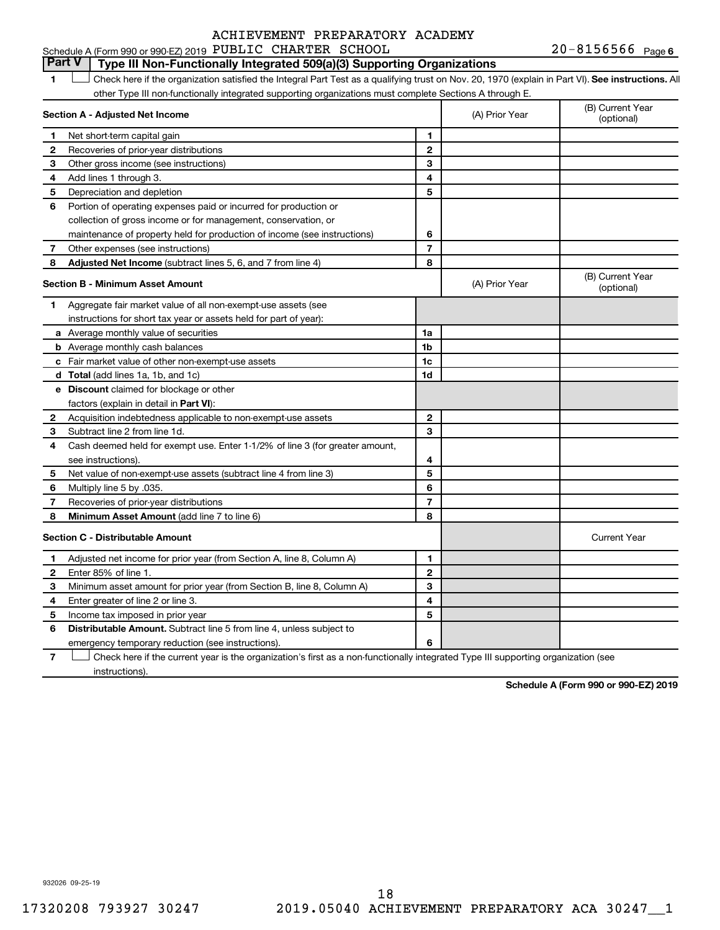# **Part V Type III Non-Functionally Integrated 509(a)(3) Supporting Organizations**

1 **Letter See instructions.** All Check here if the organization satisfied the Integral Part Test as a qualifying trust on Nov. 20, 1970 (explain in Part VI). See instructions. All other Type III non-functionally integrated supporting organizations must complete Sections A through E.

|                | Section A - Adjusted Net Income                                              |                | (A) Prior Year | (B) Current Year<br>(optional) |
|----------------|------------------------------------------------------------------------------|----------------|----------------|--------------------------------|
| 1.             | Net short-term capital gain                                                  | 1              |                |                                |
| 2              | Recoveries of prior-year distributions                                       | $\overline{2}$ |                |                                |
| 3              | Other gross income (see instructions)                                        | 3              |                |                                |
| 4              | Add lines 1 through 3.                                                       | 4              |                |                                |
| 5              | Depreciation and depletion                                                   | 5              |                |                                |
| 6              | Portion of operating expenses paid or incurred for production or             |                |                |                                |
|                | collection of gross income or for management, conservation, or               |                |                |                                |
|                | maintenance of property held for production of income (see instructions)     | 6              |                |                                |
| 7              | Other expenses (see instructions)                                            | 7              |                |                                |
| 8              | Adjusted Net Income (subtract lines 5, 6, and 7 from line 4)                 | 8              |                |                                |
|                | <b>Section B - Minimum Asset Amount</b>                                      |                | (A) Prior Year | (B) Current Year<br>(optional) |
| 1.             | Aggregate fair market value of all non-exempt-use assets (see                |                |                |                                |
|                | instructions for short tax year or assets held for part of year):            |                |                |                                |
|                | <b>a</b> Average monthly value of securities                                 | 1a             |                |                                |
|                | <b>b</b> Average monthly cash balances                                       | 1b             |                |                                |
|                | c Fair market value of other non-exempt-use assets                           | 1c             |                |                                |
|                | <b>d</b> Total (add lines 1a, 1b, and 1c)                                    | 1d             |                |                                |
|                | e Discount claimed for blockage or other                                     |                |                |                                |
|                | factors (explain in detail in <b>Part VI</b> ):                              |                |                |                                |
| 2              | Acquisition indebtedness applicable to non-exempt-use assets                 | $\mathbf{2}$   |                |                                |
| З              | Subtract line 2 from line 1d.                                                | 3              |                |                                |
| 4              | Cash deemed held for exempt use. Enter 1-1/2% of line 3 (for greater amount, |                |                |                                |
|                | see instructions).                                                           | 4              |                |                                |
| 5              | Net value of non-exempt-use assets (subtract line 4 from line 3)             | 5              |                |                                |
| 6              | Multiply line 5 by .035.                                                     | 6              |                |                                |
| $\overline{7}$ | Recoveries of prior-year distributions                                       | $\overline{7}$ |                |                                |
| 8              | Minimum Asset Amount (add line 7 to line 6)                                  | 8              |                |                                |
|                | <b>Section C - Distributable Amount</b>                                      |                |                | <b>Current Year</b>            |
| 1              | Adjusted net income for prior year (from Section A, line 8, Column A)        | 1              |                |                                |
| $\mathbf{2}$   | Enter 85% of line 1.                                                         | $\overline{2}$ |                |                                |
| З              | Minimum asset amount for prior year (from Section B, line 8, Column A)       | 3              |                |                                |
| 4              | Enter greater of line 2 or line 3.                                           | 4              |                |                                |
| 5              | Income tax imposed in prior year                                             | 5              |                |                                |
| 6              | <b>Distributable Amount.</b> Subtract line 5 from line 4, unless subject to  |                |                |                                |
|                | emergency temporary reduction (see instructions).                            | 6              |                |                                |
|                |                                                                              |                |                |                                |

**7** Check here if the current year is the organization's first as a non-functionally integrated Type III supporting organization (see † instructions).

**Schedule A (Form 990 or 990-EZ) 2019**

932026 09-25-19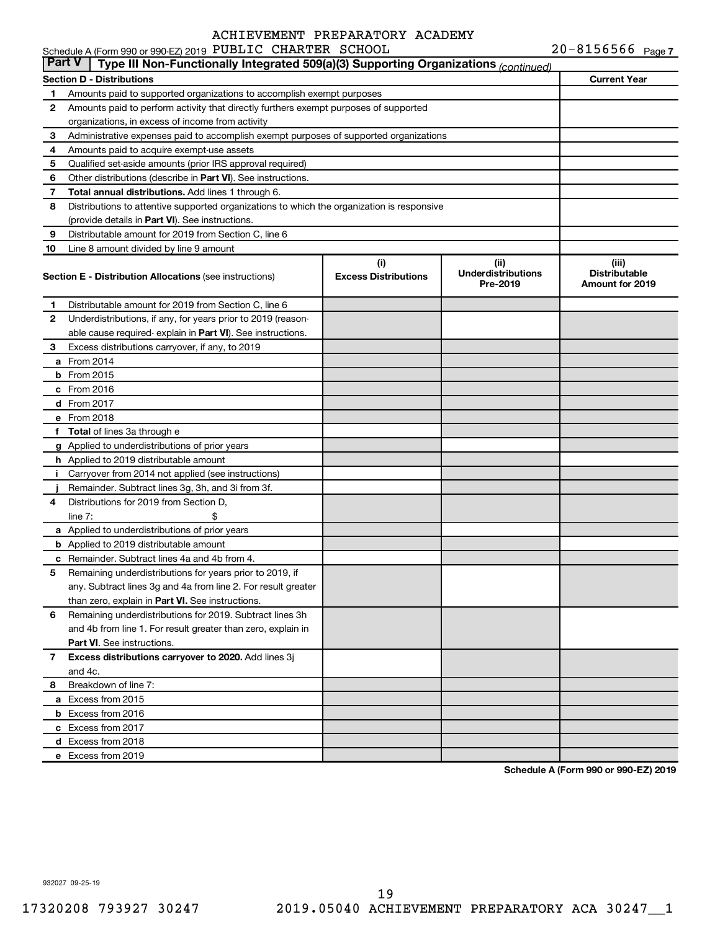|               | Schedule A (Form 990 or 990-EZ) 2019 PUBLIC CHARTER SCHOOL                                 |                                    |                                               | $20 - 8156566$ Page 7                                   |
|---------------|--------------------------------------------------------------------------------------------|------------------------------------|-----------------------------------------------|---------------------------------------------------------|
| <b>Part V</b> | Type III Non-Functionally Integrated 509(a)(3) Supporting Organizations (continued)        |                                    |                                               |                                                         |
|               | <b>Section D - Distributions</b>                                                           |                                    |                                               | <b>Current Year</b>                                     |
| 1             | Amounts paid to supported organizations to accomplish exempt purposes                      |                                    |                                               |                                                         |
| 2             | Amounts paid to perform activity that directly furthers exempt purposes of supported       |                                    |                                               |                                                         |
|               | organizations, in excess of income from activity                                           |                                    |                                               |                                                         |
| 3             | Administrative expenses paid to accomplish exempt purposes of supported organizations      |                                    |                                               |                                                         |
| 4             | Amounts paid to acquire exempt-use assets                                                  |                                    |                                               |                                                         |
| 5             | Qualified set-aside amounts (prior IRS approval required)                                  |                                    |                                               |                                                         |
| 6             | Other distributions (describe in <b>Part VI</b> ). See instructions.                       |                                    |                                               |                                                         |
| 7             | Total annual distributions. Add lines 1 through 6.                                         |                                    |                                               |                                                         |
| 8             | Distributions to attentive supported organizations to which the organization is responsive |                                    |                                               |                                                         |
|               | (provide details in Part VI). See instructions.                                            |                                    |                                               |                                                         |
| 9             | Distributable amount for 2019 from Section C, line 6                                       |                                    |                                               |                                                         |
| 10            | Line 8 amount divided by line 9 amount                                                     |                                    |                                               |                                                         |
|               | <b>Section E - Distribution Allocations (see instructions)</b>                             | (i)<br><b>Excess Distributions</b> | (ii)<br><b>Underdistributions</b><br>Pre-2019 | (iii)<br><b>Distributable</b><br><b>Amount for 2019</b> |
| 1             | Distributable amount for 2019 from Section C, line 6                                       |                                    |                                               |                                                         |
| 2             | Underdistributions, if any, for years prior to 2019 (reason-                               |                                    |                                               |                                                         |
|               | able cause required-explain in Part VI). See instructions.                                 |                                    |                                               |                                                         |
| 3             | Excess distributions carryover, if any, to 2019                                            |                                    |                                               |                                                         |
|               | <b>a</b> From 2014                                                                         |                                    |                                               |                                                         |
|               | <b>b</b> From 2015                                                                         |                                    |                                               |                                                         |
|               | $c$ From 2016                                                                              |                                    |                                               |                                                         |
|               | d From 2017                                                                                |                                    |                                               |                                                         |
|               | e From 2018                                                                                |                                    |                                               |                                                         |
| f.            | <b>Total</b> of lines 3a through e                                                         |                                    |                                               |                                                         |
|               | g Applied to underdistributions of prior years                                             |                                    |                                               |                                                         |
|               | <b>h</b> Applied to 2019 distributable amount                                              |                                    |                                               |                                                         |
| Ť.            | Carryover from 2014 not applied (see instructions)                                         |                                    |                                               |                                                         |
|               | Remainder. Subtract lines 3g, 3h, and 3i from 3f.                                          |                                    |                                               |                                                         |
| 4             | Distributions for 2019 from Section D,                                                     |                                    |                                               |                                                         |
|               | line $7:$                                                                                  |                                    |                                               |                                                         |
|               | a Applied to underdistributions of prior years                                             |                                    |                                               |                                                         |
|               | <b>b</b> Applied to 2019 distributable amount                                              |                                    |                                               |                                                         |
|               | <b>c</b> Remainder. Subtract lines 4a and 4b from 4.                                       |                                    |                                               |                                                         |
|               | 5 Remaining underdistributions for years prior to 2019, if                                 |                                    |                                               |                                                         |
|               | any. Subtract lines 3g and 4a from line 2. For result greater                              |                                    |                                               |                                                         |
|               | than zero, explain in Part VI. See instructions.                                           |                                    |                                               |                                                         |
| 6             | Remaining underdistributions for 2019. Subtract lines 3h                                   |                                    |                                               |                                                         |
|               | and 4b from line 1. For result greater than zero, explain in                               |                                    |                                               |                                                         |
|               | <b>Part VI.</b> See instructions.                                                          |                                    |                                               |                                                         |
| 7             | Excess distributions carryover to 2020. Add lines 3j                                       |                                    |                                               |                                                         |
|               | and 4c.                                                                                    |                                    |                                               |                                                         |
| 8             | Breakdown of line 7:                                                                       |                                    |                                               |                                                         |
|               | a Excess from 2015                                                                         |                                    |                                               |                                                         |
|               | <b>b</b> Excess from 2016                                                                  |                                    |                                               |                                                         |
|               | c Excess from 2017                                                                         |                                    |                                               |                                                         |
|               | d Excess from 2018                                                                         |                                    |                                               |                                                         |
|               | e Excess from 2019                                                                         |                                    |                                               |                                                         |
|               |                                                                                            |                                    |                                               |                                                         |

**Schedule A (Form 990 or 990-EZ) 2019**

932027 09-25-19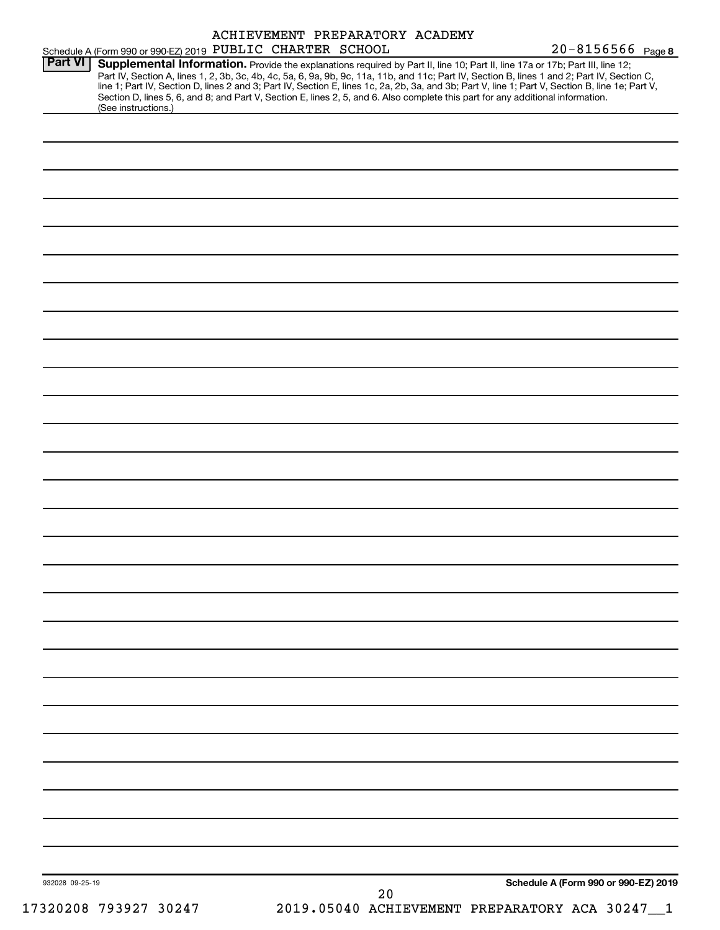|                |                                                                                                                                                                                                                                                                                                                                                                                                                                                                                                                                                                                             |  |  | ACHIEVEMENT PREPARATORY ACADEMY |                   |                                      |
|----------------|---------------------------------------------------------------------------------------------------------------------------------------------------------------------------------------------------------------------------------------------------------------------------------------------------------------------------------------------------------------------------------------------------------------------------------------------------------------------------------------------------------------------------------------------------------------------------------------------|--|--|---------------------------------|-------------------|--------------------------------------|
| <b>Part VI</b> | Schedule A (Form 990 or 990-EZ) 2019 PUBLIC CHARTER SCHOOL                                                                                                                                                                                                                                                                                                                                                                                                                                                                                                                                  |  |  |                                 | 20-8156566 Page 8 |                                      |
|                | Supplemental Information. Provide the explanations required by Part II, line 10; Part II, line 17a or 17b; Part III, line 12;<br>Part IV, Section A, lines 1, 2, 3b, 3c, 4b, 4c, 5a, 6, 9a, 9b, 9c, 11a, 11b, and 11c; Part IV, Section B, lines 1 and 2; Part IV, Section C,<br>line 1; Part IV, Section D, lines 2 and 3; Part IV, Section E, lines 1c, 2a, 2b, 3a, and 3b; Part V, line 1; Part V, Section B, line 1e; Part V,<br>Section D, lines 5, 6, and 8; and Part V, Section E, lines 2, 5, and 6. Also complete this part for any additional information.<br>(See instructions.) |  |  |                                 |                   |                                      |
|                |                                                                                                                                                                                                                                                                                                                                                                                                                                                                                                                                                                                             |  |  |                                 |                   |                                      |
|                |                                                                                                                                                                                                                                                                                                                                                                                                                                                                                                                                                                                             |  |  |                                 |                   |                                      |
|                |                                                                                                                                                                                                                                                                                                                                                                                                                                                                                                                                                                                             |  |  |                                 |                   |                                      |
|                |                                                                                                                                                                                                                                                                                                                                                                                                                                                                                                                                                                                             |  |  |                                 |                   |                                      |
|                |                                                                                                                                                                                                                                                                                                                                                                                                                                                                                                                                                                                             |  |  |                                 |                   |                                      |
|                |                                                                                                                                                                                                                                                                                                                                                                                                                                                                                                                                                                                             |  |  |                                 |                   |                                      |
|                |                                                                                                                                                                                                                                                                                                                                                                                                                                                                                                                                                                                             |  |  |                                 |                   |                                      |
|                |                                                                                                                                                                                                                                                                                                                                                                                                                                                                                                                                                                                             |  |  |                                 |                   |                                      |
|                |                                                                                                                                                                                                                                                                                                                                                                                                                                                                                                                                                                                             |  |  |                                 |                   |                                      |
|                |                                                                                                                                                                                                                                                                                                                                                                                                                                                                                                                                                                                             |  |  |                                 |                   |                                      |
|                |                                                                                                                                                                                                                                                                                                                                                                                                                                                                                                                                                                                             |  |  |                                 |                   |                                      |
|                |                                                                                                                                                                                                                                                                                                                                                                                                                                                                                                                                                                                             |  |  |                                 |                   |                                      |
|                |                                                                                                                                                                                                                                                                                                                                                                                                                                                                                                                                                                                             |  |  |                                 |                   |                                      |
|                |                                                                                                                                                                                                                                                                                                                                                                                                                                                                                                                                                                                             |  |  |                                 |                   |                                      |
|                |                                                                                                                                                                                                                                                                                                                                                                                                                                                                                                                                                                                             |  |  |                                 |                   |                                      |
|                |                                                                                                                                                                                                                                                                                                                                                                                                                                                                                                                                                                                             |  |  |                                 |                   |                                      |
|                |                                                                                                                                                                                                                                                                                                                                                                                                                                                                                                                                                                                             |  |  |                                 |                   |                                      |
|                |                                                                                                                                                                                                                                                                                                                                                                                                                                                                                                                                                                                             |  |  |                                 |                   |                                      |
|                |                                                                                                                                                                                                                                                                                                                                                                                                                                                                                                                                                                                             |  |  |                                 |                   |                                      |
|                |                                                                                                                                                                                                                                                                                                                                                                                                                                                                                                                                                                                             |  |  |                                 |                   |                                      |
|                |                                                                                                                                                                                                                                                                                                                                                                                                                                                                                                                                                                                             |  |  |                                 |                   |                                      |
|                |                                                                                                                                                                                                                                                                                                                                                                                                                                                                                                                                                                                             |  |  |                                 |                   |                                      |
|                |                                                                                                                                                                                                                                                                                                                                                                                                                                                                                                                                                                                             |  |  |                                 |                   |                                      |
|                |                                                                                                                                                                                                                                                                                                                                                                                                                                                                                                                                                                                             |  |  |                                 |                   |                                      |
|                |                                                                                                                                                                                                                                                                                                                                                                                                                                                                                                                                                                                             |  |  |                                 |                   |                                      |
|                |                                                                                                                                                                                                                                                                                                                                                                                                                                                                                                                                                                                             |  |  |                                 |                   |                                      |
|                |                                                                                                                                                                                                                                                                                                                                                                                                                                                                                                                                                                                             |  |  |                                 |                   |                                      |
|                |                                                                                                                                                                                                                                                                                                                                                                                                                                                                                                                                                                                             |  |  |                                 |                   |                                      |
|                |                                                                                                                                                                                                                                                                                                                                                                                                                                                                                                                                                                                             |  |  |                                 |                   |                                      |
|                |                                                                                                                                                                                                                                                                                                                                                                                                                                                                                                                                                                                             |  |  |                                 |                   |                                      |
|                |                                                                                                                                                                                                                                                                                                                                                                                                                                                                                                                                                                                             |  |  |                                 |                   |                                      |
|                |                                                                                                                                                                                                                                                                                                                                                                                                                                                                                                                                                                                             |  |  |                                 |                   | Schedule A (Form 990 or 990-EZ) 2019 |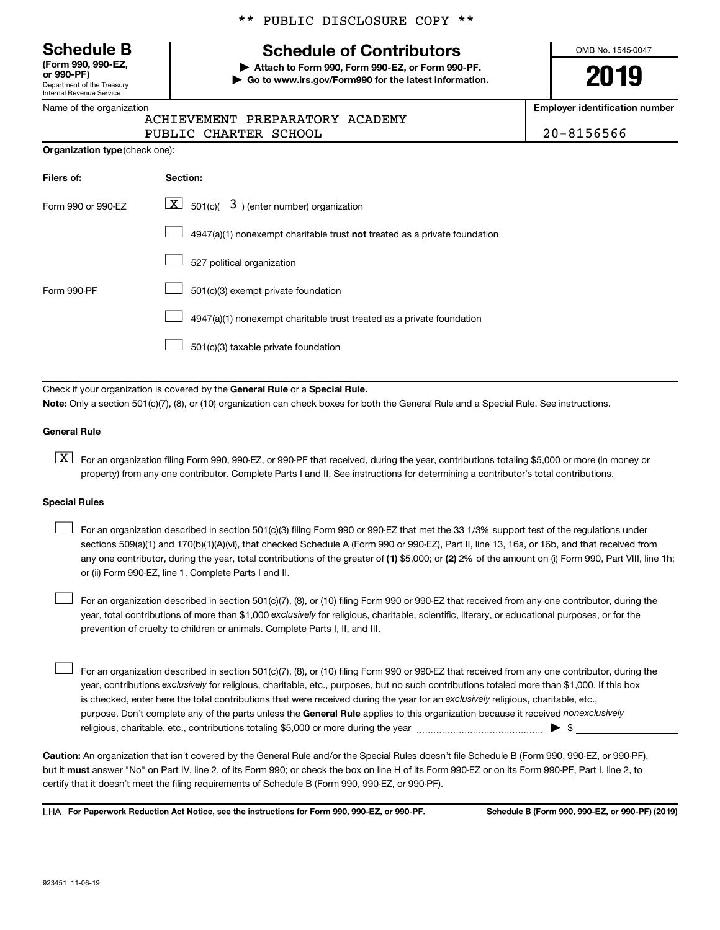Department of the Treasury Internal Revenue Service **(Form 990, 990-EZ,**

|  | Name of the organization |  |
|--|--------------------------|--|
|  |                          |  |

**Organization type** (check one):

## \*\* PUBLIC DISCLOSURE COPY \*\*

# **Schedule B Schedule of Contributors**

**or 990-PF) | Attach to Form 990, Form 990-EZ, or Form 990-PF. | Go to www.irs.gov/Form990 for the latest information.** OMB No. 1545-0047

**2019**

**Employer identification number**

| ACHIEVEMENT PREPARATORY ACADEMY |  |
|---------------------------------|--|
|                                 |  |

PUBLIC CHARTER SCHOOL 20-8156566

| Filers of:         | Section:                                                                           |
|--------------------|------------------------------------------------------------------------------------|
| Form 990 or 990-EZ | $\boxed{\textbf{X}}$ 501(c)( 3) (enter number) organization                        |
|                    | $4947(a)(1)$ nonexempt charitable trust <b>not</b> treated as a private foundation |
|                    | 527 political organization                                                         |
| Form 990-PF        | 501(c)(3) exempt private foundation                                                |
|                    | 4947(a)(1) nonexempt charitable trust treated as a private foundation              |
|                    | 501(c)(3) taxable private foundation                                               |

Check if your organization is covered by the General Rule or a Special Rule.

**Note:**  Only a section 501(c)(7), (8), or (10) organization can check boxes for both the General Rule and a Special Rule. See instructions.

#### **General Rule**

**K** For an organization filing Form 990, 990-EZ, or 990-PF that received, during the year, contributions totaling \$5,000 or more (in money or property) from any one contributor. Complete Parts I and II. See instructions for determining a contributor's total contributions.

## **Special Rules**

 $\Box$ 

 $\Box$ 

any one contributor, during the year, total contributions of the greater of (1) \$5,000; or (2) 2% of the amount on (i) Form 990, Part VIII, line 1h; For an organization described in section 501(c)(3) filing Form 990 or 990-EZ that met the 33 1/3% support test of the regulations under sections 509(a)(1) and 170(b)(1)(A)(vi), that checked Schedule A (Form 990 or 990-EZ), Part II, line 13, 16a, or 16b, and that received from or (ii) Form 990-EZ, line 1. Complete Parts I and II.  $\Box$ 

year, total contributions of more than \$1,000 *exclusively* for religious, charitable, scientific, literary, or educational purposes, or for the For an organization described in section 501(c)(7), (8), or (10) filing Form 990 or 990-EZ that received from any one contributor, during the prevention of cruelty to children or animals. Complete Parts I, II, and III.

purpose. Don't complete any of the parts unless the General Rule applies to this organization because it received nonexclusively year, contributions exclusively for religious, charitable, etc., purposes, but no such contributions totaled more than \$1,000. If this box is checked, enter here the total contributions that were received during the year for an exclusively religious, charitable, etc., For an organization described in section 501(c)(7), (8), or (10) filing Form 990 or 990-EZ that received from any one contributor, during the religious, charitable, etc., contributions totaling \$5,000 or more during the year  $\ldots$  $\ldots$  $\ldots$  $\ldots$  $\ldots$  $\ldots$ 

**Caution:**  An organization that isn't covered by the General Rule and/or the Special Rules doesn't file Schedule B (Form 990, 990-EZ, or 990-PF),  **must** but it answer "No" on Part IV, line 2, of its Form 990; or check the box on line H of its Form 990-EZ or on its Form 990-PF, Part I, line 2, to certify that it doesn't meet the filing requirements of Schedule B (Form 990, 990-EZ, or 990-PF).

**For Paperwork Reduction Act Notice, see the instructions for Form 990, 990-EZ, or 990-PF. Schedule B (Form 990, 990-EZ, or 990-PF) (2019)** LHA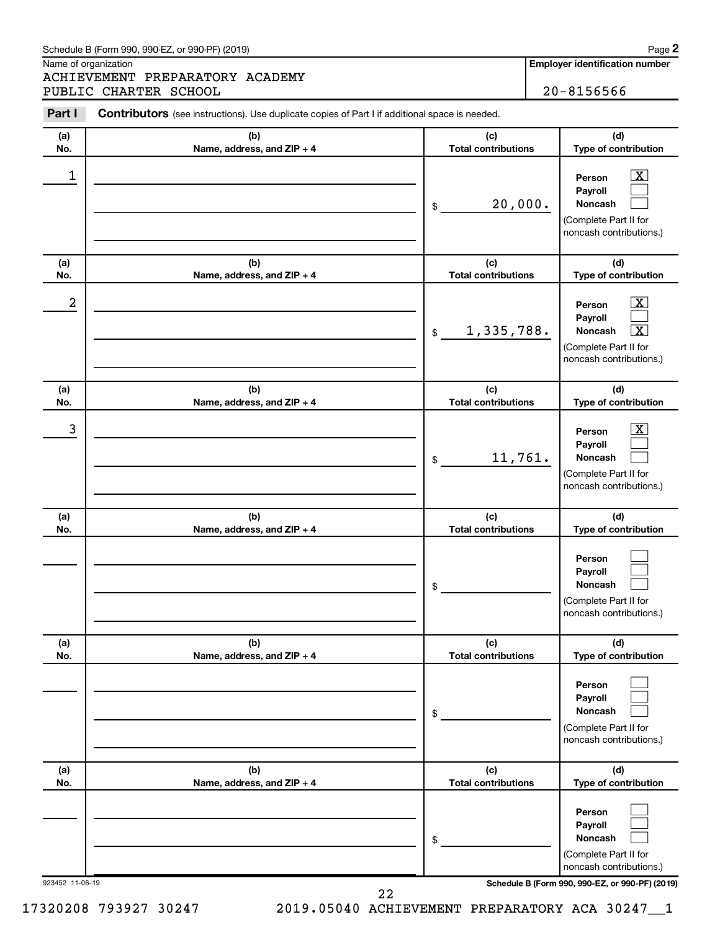#### Schedule B (Form 990, 990-EZ, or 990-PF) (2019)

Name of organization

923452 11-06-19 **Schedule B (Form 990, 990-EZ, or 990-PF) (2019)**

| 23452 11-06-19 |  |
|----------------|--|
|                |  |

17320208 793927 30247 2019.05040 ACHIEVEMENT PREPARATORY ACA 30247\_\_1 22

| <b>Employer identification number</b> |
|---------------------------------------|
|                                       |

| Part I     | <b>Contributors</b> (see instructions). Use duplicate copies of Part I if additional space is needed. |                                   |                                                                                                                  |
|------------|-------------------------------------------------------------------------------------------------------|-----------------------------------|------------------------------------------------------------------------------------------------------------------|
| (a)        | (b)                                                                                                   | (c)                               | (d)                                                                                                              |
| No.        | Name, address, and ZIP + 4                                                                            | <b>Total contributions</b>        | Type of contribution                                                                                             |
| 1          |                                                                                                       | 20,000.<br>\$                     | $\overline{\mathbf{X}}$<br>Person<br>Payroll<br>Noncash<br>(Complete Part II for<br>noncash contributions.)      |
| (a)<br>No. | (b)<br>Name, address, and ZIP + 4                                                                     | (c)<br><b>Total contributions</b> | (d)<br>Type of contribution                                                                                      |
| 2          |                                                                                                       | 1,335,788.<br>\$                  | $\overline{\mathbf{X}}$<br>Person<br>Payroll<br>Noncash<br>х<br>(Complete Part II for<br>noncash contributions.) |
| (a)<br>No. | (b)<br>Name, address, and ZIP + 4                                                                     | (c)<br><b>Total contributions</b> | (d)<br>Type of contribution                                                                                      |
| 3          |                                                                                                       | 11,761.<br>\$                     | $\overline{\mathbf{X}}$<br>Person<br>Payroll<br>Noncash<br>(Complete Part II for<br>noncash contributions.)      |
| (a)<br>No. | (b)<br>Name, address, and ZIP + 4                                                                     | (c)<br><b>Total contributions</b> | (d)<br>Type of contribution                                                                                      |
|            |                                                                                                       | \$                                | Person<br>Payroll<br><b>Noncash</b><br>(Complete Part II for<br>noncash contributions.)                          |
| (a)<br>No. | (b)<br>Name, address, and ZIP + 4                                                                     | (c)<br><b>Total contributions</b> | (d)<br>Type of contribution                                                                                      |
|            |                                                                                                       | \$                                | Person<br>Payroll<br>Noncash<br>(Complete Part II for<br>noncash contributions.)                                 |
| (a)<br>No. | (b)<br>Name, address, and ZIP + 4                                                                     | (c)<br><b>Total contributions</b> | (d)<br>Type of contribution                                                                                      |
|            |                                                                                                       | \$                                | Person<br>Payroll<br>Noncash<br>(Complete Part II for                                                            |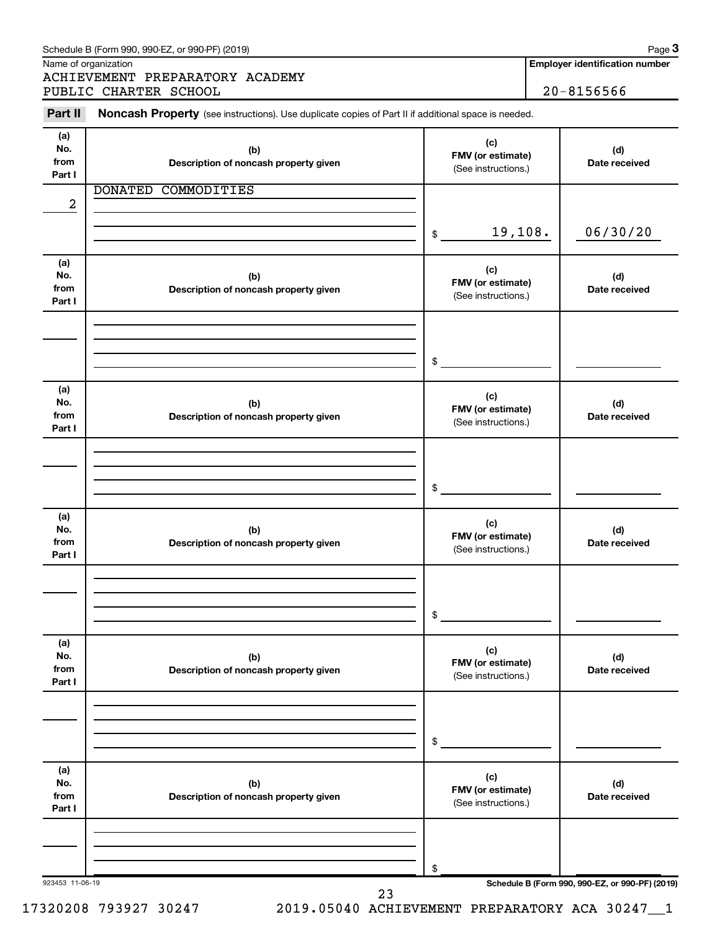| Name of organization<br>ACHIEVEMENT PREPARATORY ACADEMY |                            | <b>Employer identification number</b>                                                                                                                                                                                                                                                                                                          |
|---------------------------------------------------------|----------------------------|------------------------------------------------------------------------------------------------------------------------------------------------------------------------------------------------------------------------------------------------------------------------------------------------------------------------------------------------|
| PUBLIC CHARTER SCHOOL                                   |                            | $20 - 8156566$                                                                                                                                                                                                                                                                                                                                 |
|                                                         |                            |                                                                                                                                                                                                                                                                                                                                                |
| (b)<br>Description of noncash property given            | (c)                        | (d)<br>Date received                                                                                                                                                                                                                                                                                                                           |
| <b>DONATED</b><br>COMMODITIES                           |                            |                                                                                                                                                                                                                                                                                                                                                |
|                                                         | $\mathfrak{S}$             | 06/30/20                                                                                                                                                                                                                                                                                                                                       |
| (b)<br>Description of noncash property given            | (c)                        | (d)<br>Date received                                                                                                                                                                                                                                                                                                                           |
|                                                         |                            |                                                                                                                                                                                                                                                                                                                                                |
|                                                         |                            |                                                                                                                                                                                                                                                                                                                                                |
| (b)<br>Description of noncash property given            | (c)                        | (d)<br>Date received                                                                                                                                                                                                                                                                                                                           |
|                                                         |                            |                                                                                                                                                                                                                                                                                                                                                |
|                                                         | \$                         |                                                                                                                                                                                                                                                                                                                                                |
| (b)<br>Description of noncash property given            | (c)                        | (d)<br>Date received                                                                                                                                                                                                                                                                                                                           |
|                                                         |                            |                                                                                                                                                                                                                                                                                                                                                |
|                                                         | \$                         |                                                                                                                                                                                                                                                                                                                                                |
| (b)<br>Description of noncash property given            | (c)<br>(See instructions.) | (d)<br>Date received                                                                                                                                                                                                                                                                                                                           |
|                                                         |                            |                                                                                                                                                                                                                                                                                                                                                |
|                                                         | \$                         |                                                                                                                                                                                                                                                                                                                                                |
| (b)<br>Description of noncash property given            | (c)<br>(See instructions.) | (d)<br>Date received                                                                                                                                                                                                                                                                                                                           |
|                                                         |                            |                                                                                                                                                                                                                                                                                                                                                |
|                                                         | \$                         |                                                                                                                                                                                                                                                                                                                                                |
|                                                         |                            | Noncash Property (see instructions). Use duplicate copies of Part II if additional space is needed.<br>FMV (or estimate)<br>(See instructions.)<br>19,108.<br>FMV (or estimate)<br>(See instructions.)<br>\$<br>FMV (or estimate)<br>(See instructions.)<br>FMV (or estimate)<br>(See instructions.)<br>FMV (or estimate)<br>FMV (or estimate) |

17320208 793927 30247 2019.05040 ACHIEVEMENT PREPARATORY ACA 30247\_\_1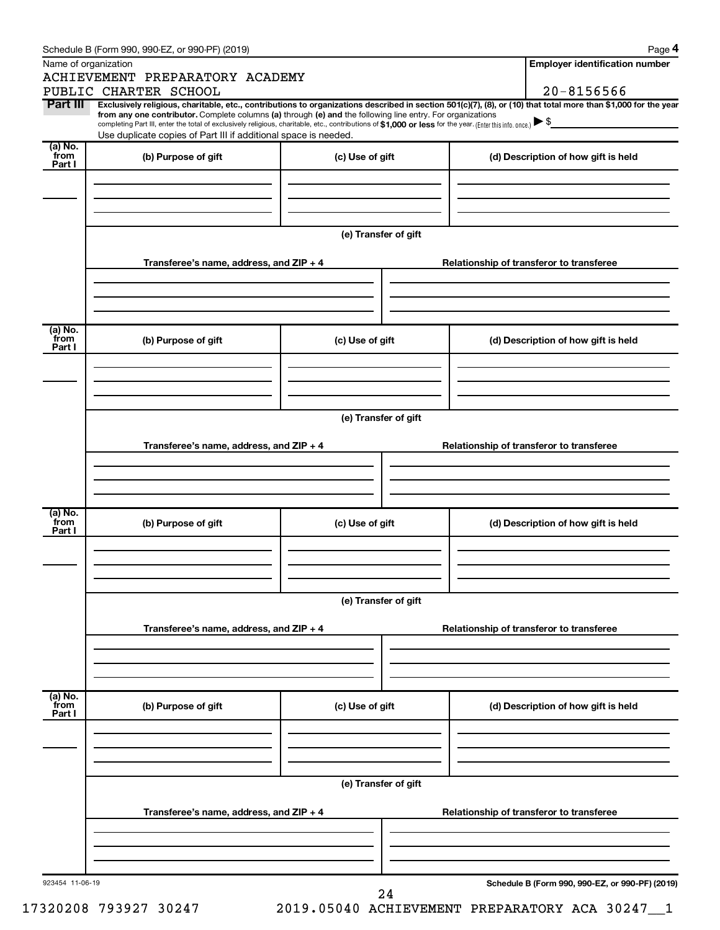| Name of organization       | ACHIEVEMENT PREPARATORY ACADEMY                                                                                                                                                                                                                                                                                                                                    |                                          | <b>Employer identification number</b>                                                                                                                          |  |  |  |  |
|----------------------------|--------------------------------------------------------------------------------------------------------------------------------------------------------------------------------------------------------------------------------------------------------------------------------------------------------------------------------------------------------------------|------------------------------------------|----------------------------------------------------------------------------------------------------------------------------------------------------------------|--|--|--|--|
|                            | PUBLIC CHARTER SCHOOL                                                                                                                                                                                                                                                                                                                                              |                                          | $20 - 8156566$                                                                                                                                                 |  |  |  |  |
| Part III                   | from any one contributor. Complete columns (a) through (e) and the following line entry. For organizations<br>completing Part III, enter the total of exclusively religious, charitable, etc., contributions of \$1,000 or less for the year. (Enter this info. once.) $\blacktriangleright$ \$<br>Use duplicate copies of Part III if additional space is needed. |                                          | Exclusively religious, charitable, etc., contributions to organizations described in section 501(c)(7), (8), or (10) that total more than \$1,000 for the year |  |  |  |  |
| (a) No.<br>`from           | (b) Purpose of gift                                                                                                                                                                                                                                                                                                                                                | (c) Use of gift                          | (d) Description of how gift is held                                                                                                                            |  |  |  |  |
| Part I                     |                                                                                                                                                                                                                                                                                                                                                                    |                                          |                                                                                                                                                                |  |  |  |  |
|                            |                                                                                                                                                                                                                                                                                                                                                                    | (e) Transfer of gift                     |                                                                                                                                                                |  |  |  |  |
|                            | Transferee's name, address, and ZIP + 4                                                                                                                                                                                                                                                                                                                            |                                          | Relationship of transferor to transferee                                                                                                                       |  |  |  |  |
| (a) No.<br>from<br>Part I  | (b) Purpose of gift                                                                                                                                                                                                                                                                                                                                                | (c) Use of gift                          | (d) Description of how gift is held                                                                                                                            |  |  |  |  |
|                            |                                                                                                                                                                                                                                                                                                                                                                    |                                          |                                                                                                                                                                |  |  |  |  |
|                            |                                                                                                                                                                                                                                                                                                                                                                    | (e) Transfer of gift                     |                                                                                                                                                                |  |  |  |  |
|                            | Transferee's name, address, and ZIP + 4                                                                                                                                                                                                                                                                                                                            |                                          | Relationship of transferor to transferee                                                                                                                       |  |  |  |  |
|                            |                                                                                                                                                                                                                                                                                                                                                                    |                                          |                                                                                                                                                                |  |  |  |  |
| (a) No.<br>`from<br>Part I | (b) Purpose of gift                                                                                                                                                                                                                                                                                                                                                | (c) Use of gift                          | (d) Description of how gift is held                                                                                                                            |  |  |  |  |
|                            |                                                                                                                                                                                                                                                                                                                                                                    |                                          |                                                                                                                                                                |  |  |  |  |
|                            | (e) Transfer of gift                                                                                                                                                                                                                                                                                                                                               |                                          |                                                                                                                                                                |  |  |  |  |
|                            | Transferee's name, address, and ZIP + 4                                                                                                                                                                                                                                                                                                                            |                                          | Relationship of transferor to transferee                                                                                                                       |  |  |  |  |
|                            |                                                                                                                                                                                                                                                                                                                                                                    |                                          |                                                                                                                                                                |  |  |  |  |
| (a) No.<br>from<br>Part I  | (b) Purpose of gift                                                                                                                                                                                                                                                                                                                                                | (c) Use of gift                          | (d) Description of how gift is held                                                                                                                            |  |  |  |  |
|                            |                                                                                                                                                                                                                                                                                                                                                                    | (e) Transfer of gift                     |                                                                                                                                                                |  |  |  |  |
|                            | Transferee's name, address, and ZIP + 4                                                                                                                                                                                                                                                                                                                            | Relationship of transferor to transferee |                                                                                                                                                                |  |  |  |  |
|                            |                                                                                                                                                                                                                                                                                                                                                                    |                                          |                                                                                                                                                                |  |  |  |  |
| 923454 11-06-19            |                                                                                                                                                                                                                                                                                                                                                                    |                                          | Schedule B (Form 990, 990-EZ, or 990-PF) (2019)                                                                                                                |  |  |  |  |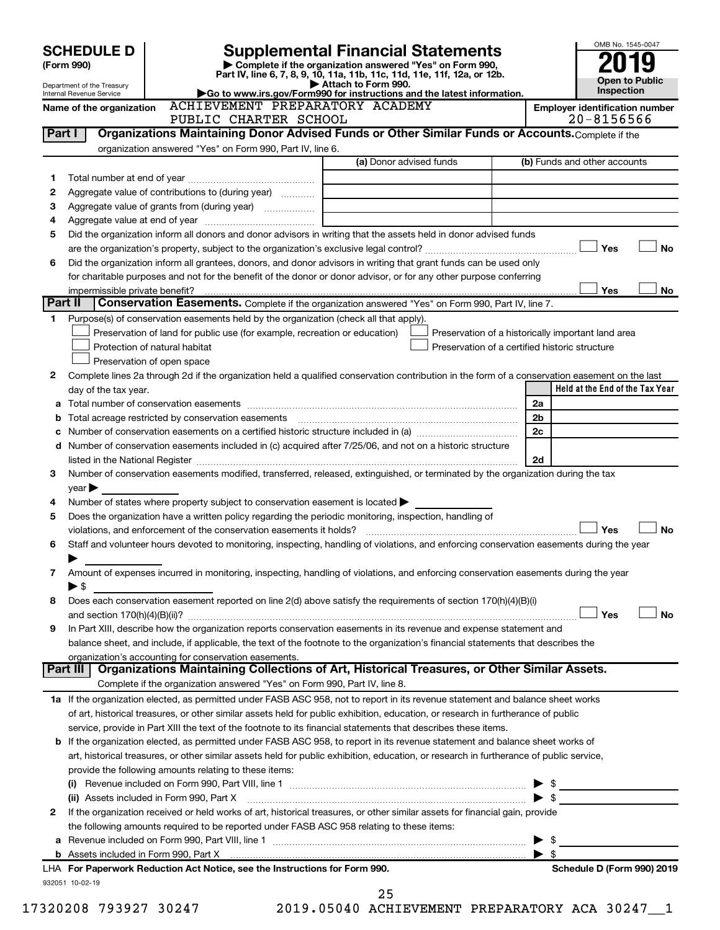|         | <b>SCHEDULE D</b>              |                                                                                                                                                                                                                                                                                 | <b>Supplemental Financial Statements</b>                                                                                             |                                                    | OMB No. 1545-0047               |           |
|---------|--------------------------------|---------------------------------------------------------------------------------------------------------------------------------------------------------------------------------------------------------------------------------------------------------------------------------|--------------------------------------------------------------------------------------------------------------------------------------|----------------------------------------------------|---------------------------------|-----------|
|         | (Form 990)                     |                                                                                                                                                                                                                                                                                 | Complete if the organization answered "Yes" on Form 990,<br>Part IV, line 6, 7, 8, 9, 10, 11a, 11b, 11c, 11d, 11e, 11f, 12a, or 12b. |                                                    |                                 |           |
|         | Department of the Treasury     |                                                                                                                                                                                                                                                                                 | Attach to Form 990.                                                                                                                  |                                                    | <b>Open to Public</b>           |           |
|         | Internal Revenue Service       | <b>ACHIEVEMENT PREPARATORY ACADEMY</b>                                                                                                                                                                                                                                          | Go to www.irs.gov/Form990 for instructions and the latest information.                                                               |                                                    | Inspection                      |           |
|         | Name of the organization       | PUBLIC CHARTER SCHOOL                                                                                                                                                                                                                                                           |                                                                                                                                      | <b>Employer identification number</b>              | $20 - 8156566$                  |           |
| Part I  |                                | Organizations Maintaining Donor Advised Funds or Other Similar Funds or Accounts. Complete if the                                                                                                                                                                               |                                                                                                                                      |                                                    |                                 |           |
|         |                                | organization answered "Yes" on Form 990, Part IV, line 6.                                                                                                                                                                                                                       |                                                                                                                                      |                                                    |                                 |           |
|         |                                |                                                                                                                                                                                                                                                                                 | (a) Donor advised funds                                                                                                              | (b) Funds and other accounts                       |                                 |           |
| 1       |                                |                                                                                                                                                                                                                                                                                 |                                                                                                                                      |                                                    |                                 |           |
| 2       |                                | Aggregate value of contributions to (during year)                                                                                                                                                                                                                               |                                                                                                                                      |                                                    |                                 |           |
| 3       |                                |                                                                                                                                                                                                                                                                                 |                                                                                                                                      |                                                    |                                 |           |
| 4       |                                |                                                                                                                                                                                                                                                                                 |                                                                                                                                      |                                                    |                                 |           |
| 5       |                                | Did the organization inform all donors and donor advisors in writing that the assets held in donor advised funds                                                                                                                                                                |                                                                                                                                      |                                                    | Yes                             |           |
| 6       |                                | Did the organization inform all grantees, donors, and donor advisors in writing that grant funds can be used only                                                                                                                                                               |                                                                                                                                      |                                                    |                                 | No        |
|         |                                | for charitable purposes and not for the benefit of the donor or donor advisor, or for any other purpose conferring                                                                                                                                                              |                                                                                                                                      |                                                    |                                 |           |
|         | impermissible private benefit? |                                                                                                                                                                                                                                                                                 |                                                                                                                                      |                                                    | Yes                             | <b>No</b> |
| Part II |                                | Conservation Easements. Complete if the organization answered "Yes" on Form 990, Part IV, line 7.                                                                                                                                                                               |                                                                                                                                      |                                                    |                                 |           |
| 1.      |                                | Purpose(s) of conservation easements held by the organization (check all that apply).                                                                                                                                                                                           |                                                                                                                                      |                                                    |                                 |           |
|         |                                | Preservation of land for public use (for example, recreation or education)                                                                                                                                                                                                      |                                                                                                                                      | Preservation of a historically important land area |                                 |           |
|         |                                | Protection of natural habitat                                                                                                                                                                                                                                                   |                                                                                                                                      | Preservation of a certified historic structure     |                                 |           |
|         |                                | Preservation of open space                                                                                                                                                                                                                                                      |                                                                                                                                      |                                                    |                                 |           |
| 2       |                                | Complete lines 2a through 2d if the organization held a qualified conservation contribution in the form of a conservation easement on the last                                                                                                                                  |                                                                                                                                      |                                                    |                                 |           |
|         | day of the tax year.           |                                                                                                                                                                                                                                                                                 |                                                                                                                                      |                                                    | Held at the End of the Tax Year |           |
| а       |                                |                                                                                                                                                                                                                                                                                 |                                                                                                                                      | 2a<br>2 <sub>b</sub>                               |                                 |           |
| b<br>c  |                                | Number of conservation easements on a certified historic structure included in (a) manufacture included in (a)                                                                                                                                                                  |                                                                                                                                      | 2c                                                 |                                 |           |
|         |                                | d Number of conservation easements included in (c) acquired after 7/25/06, and not on a historic structure                                                                                                                                                                      |                                                                                                                                      |                                                    |                                 |           |
|         |                                |                                                                                                                                                                                                                                                                                 |                                                                                                                                      | 2d                                                 |                                 |           |
| 3       |                                | Number of conservation easements modified, transferred, released, extinguished, or terminated by the organization during the tax                                                                                                                                                |                                                                                                                                      |                                                    |                                 |           |
|         | $\mathsf{year}$                |                                                                                                                                                                                                                                                                                 |                                                                                                                                      |                                                    |                                 |           |
| 4       |                                | Number of states where property subject to conservation easement is located >                                                                                                                                                                                                   |                                                                                                                                      |                                                    |                                 |           |
| 5       |                                | Does the organization have a written policy regarding the periodic monitoring, inspection, handling of                                                                                                                                                                          |                                                                                                                                      |                                                    |                                 |           |
|         |                                | violations, and enforcement of the conservation easements it holds?                                                                                                                                                                                                             |                                                                                                                                      |                                                    | Yes                             | <b>No</b> |
| 6       |                                | Staff and volunteer hours devoted to monitoring, inspecting, handling of violations, and enforcing conservation easements during the year                                                                                                                                       |                                                                                                                                      |                                                    |                                 |           |
|         |                                |                                                                                                                                                                                                                                                                                 |                                                                                                                                      |                                                    |                                 |           |
| 7       | $\blacktriangleright$ \$       | Amount of expenses incurred in monitoring, inspecting, handling of violations, and enforcing conservation easements during the year                                                                                                                                             |                                                                                                                                      |                                                    |                                 |           |
| 8       |                                | Does each conservation easement reported on line 2(d) above satisfy the requirements of section 170(h)(4)(B)(i)                                                                                                                                                                 |                                                                                                                                      |                                                    |                                 |           |
|         |                                |                                                                                                                                                                                                                                                                                 |                                                                                                                                      |                                                    | Yes                             | <b>No</b> |
| 9       |                                | In Part XIII, describe how the organization reports conservation easements in its revenue and expense statement and                                                                                                                                                             |                                                                                                                                      |                                                    |                                 |           |
|         |                                | balance sheet, and include, if applicable, the text of the footnote to the organization's financial statements that describes the                                                                                                                                               |                                                                                                                                      |                                                    |                                 |           |
|         |                                | organization's accounting for conservation easements.                                                                                                                                                                                                                           |                                                                                                                                      |                                                    |                                 |           |
|         | Part III                       | Organizations Maintaining Collections of Art, Historical Treasures, or Other Similar Assets.                                                                                                                                                                                    |                                                                                                                                      |                                                    |                                 |           |
|         |                                | Complete if the organization answered "Yes" on Form 990, Part IV, line 8.                                                                                                                                                                                                       |                                                                                                                                      |                                                    |                                 |           |
|         |                                | 1a If the organization elected, as permitted under FASB ASC 958, not to report in its revenue statement and balance sheet works                                                                                                                                                 |                                                                                                                                      |                                                    |                                 |           |
|         |                                | of art, historical treasures, or other similar assets held for public exhibition, education, or research in furtherance of public                                                                                                                                               |                                                                                                                                      |                                                    |                                 |           |
|         |                                | service, provide in Part XIII the text of the footnote to its financial statements that describes these items.                                                                                                                                                                  |                                                                                                                                      |                                                    |                                 |           |
|         |                                | <b>b</b> If the organization elected, as permitted under FASB ASC 958, to report in its revenue statement and balance sheet works of<br>art, historical treasures, or other similar assets held for public exhibition, education, or research in furtherance of public service, |                                                                                                                                      |                                                    |                                 |           |
|         |                                | provide the following amounts relating to these items:                                                                                                                                                                                                                          |                                                                                                                                      |                                                    |                                 |           |
|         |                                |                                                                                                                                                                                                                                                                                 |                                                                                                                                      | \$<br>▶                                            |                                 |           |
|         |                                |                                                                                                                                                                                                                                                                                 |                                                                                                                                      | $\blacktriangleright$ \$                           |                                 |           |
| 2       |                                | If the organization received or held works of art, historical treasures, or other similar assets for financial gain, provide                                                                                                                                                    |                                                                                                                                      |                                                    |                                 |           |
|         |                                | the following amounts required to be reported under FASB ASC 958 relating to these items:                                                                                                                                                                                       |                                                                                                                                      |                                                    |                                 |           |
|         |                                |                                                                                                                                                                                                                                                                                 |                                                                                                                                      | $\blacktriangleright$ \$                           |                                 |           |
|         |                                |                                                                                                                                                                                                                                                                                 |                                                                                                                                      | $\blacktriangleright$ s                            |                                 |           |
|         |                                | LHA For Paperwork Reduction Act Notice, see the Instructions for Form 990.                                                                                                                                                                                                      |                                                                                                                                      |                                                    | Schedule D (Form 990) 2019      |           |
|         | 932051 10-02-19                |                                                                                                                                                                                                                                                                                 |                                                                                                                                      |                                                    |                                 |           |
|         |                                |                                                                                                                                                                                                                                                                                 | 25                                                                                                                                   |                                                    |                                 |           |

17320208 793927 30247 2019.05040 ACHIEVEMENT PREPARATORY ACA 30247\_\_1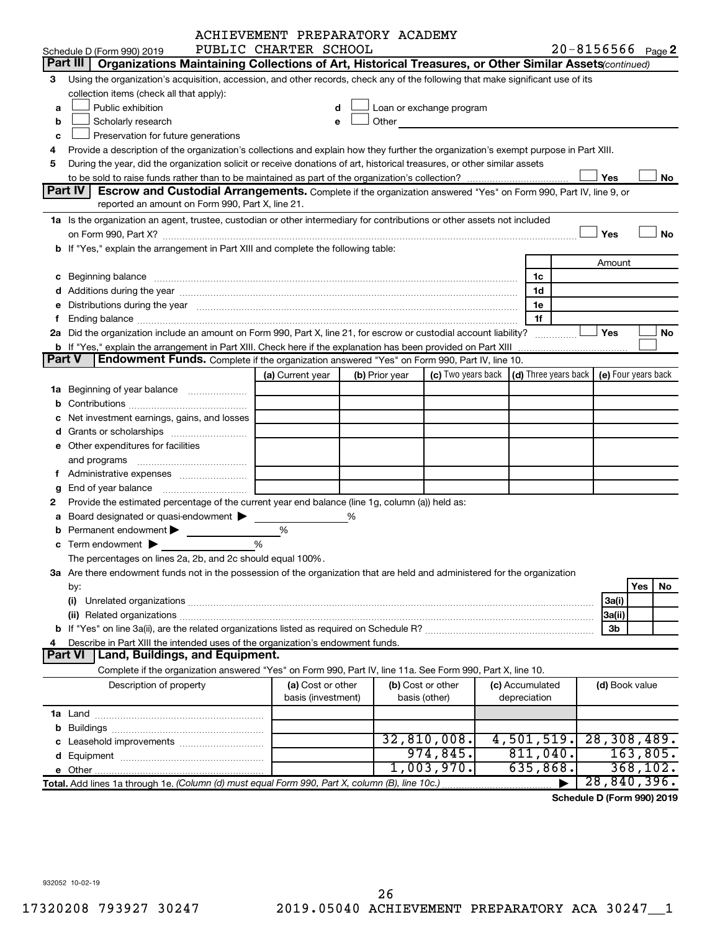|   |                                                                                                                                                                                                                                                                                                                      | ACHIEVEMENT PREPARATORY ACADEMY |   |                |                                                                                                                                                                                                                               |                      |                       |                     |
|---|----------------------------------------------------------------------------------------------------------------------------------------------------------------------------------------------------------------------------------------------------------------------------------------------------------------------|---------------------------------|---|----------------|-------------------------------------------------------------------------------------------------------------------------------------------------------------------------------------------------------------------------------|----------------------|-----------------------|---------------------|
|   | Schedule D (Form 990) 2019                                                                                                                                                                                                                                                                                           | PUBLIC CHARTER SCHOOL           |   |                |                                                                                                                                                                                                                               |                      | $20 - 8156566$ Page 2 |                     |
|   | Part III   Organizations Maintaining Collections of Art, Historical Treasures, or Other Similar Assets (continued)                                                                                                                                                                                                   |                                 |   |                |                                                                                                                                                                                                                               |                      |                       |                     |
| 3 | Using the organization's acquisition, accession, and other records, check any of the following that make significant use of its                                                                                                                                                                                      |                                 |   |                |                                                                                                                                                                                                                               |                      |                       |                     |
|   | collection items (check all that apply):                                                                                                                                                                                                                                                                             |                                 |   |                |                                                                                                                                                                                                                               |                      |                       |                     |
| a | Public exhibition                                                                                                                                                                                                                                                                                                    | d                               |   |                | Loan or exchange program                                                                                                                                                                                                      |                      |                       |                     |
| b | Scholarly research                                                                                                                                                                                                                                                                                                   | е                               |   |                | Other and the contract of the contract of the contract of the contract of the contract of the contract of the contract of the contract of the contract of the contract of the contract of the contract of the contract of the |                      |                       |                     |
| с | Preservation for future generations                                                                                                                                                                                                                                                                                  |                                 |   |                |                                                                                                                                                                                                                               |                      |                       |                     |
|   | Provide a description of the organization's collections and explain how they further the organization's exempt purpose in Part XIII.                                                                                                                                                                                 |                                 |   |                |                                                                                                                                                                                                                               |                      |                       |                     |
| 5 | During the year, did the organization solicit or receive donations of art, historical treasures, or other similar assets                                                                                                                                                                                             |                                 |   |                |                                                                                                                                                                                                                               |                      |                       |                     |
|   |                                                                                                                                                                                                                                                                                                                      |                                 |   |                |                                                                                                                                                                                                                               |                      | Yes                   | No                  |
|   | Part IV<br>Escrow and Custodial Arrangements. Complete if the organization answered "Yes" on Form 990, Part IV, line 9, or<br>reported an amount on Form 990, Part X, line 21.                                                                                                                                       |                                 |   |                |                                                                                                                                                                                                                               |                      |                       |                     |
|   | 1a Is the organization an agent, trustee, custodian or other intermediary for contributions or other assets not included                                                                                                                                                                                             |                                 |   |                |                                                                                                                                                                                                                               |                      |                       |                     |
|   |                                                                                                                                                                                                                                                                                                                      |                                 |   |                |                                                                                                                                                                                                                               |                      | Yes                   | <b>No</b>           |
|   | on Form 990, Part X? [11] matter contracts and contracts and contracts are contracted and contracts are contracted and contract and contract of the set of the set of the set of the set of the set of the set of the set of t<br>b If "Yes," explain the arrangement in Part XIII and complete the following table: |                                 |   |                |                                                                                                                                                                                                                               |                      |                       |                     |
|   |                                                                                                                                                                                                                                                                                                                      |                                 |   |                |                                                                                                                                                                                                                               |                      | Amount                |                     |
|   |                                                                                                                                                                                                                                                                                                                      |                                 |   |                |                                                                                                                                                                                                                               | 1c                   |                       |                     |
|   |                                                                                                                                                                                                                                                                                                                      |                                 |   |                |                                                                                                                                                                                                                               | 1d                   |                       |                     |
|   | e Distributions during the year manufactured and contained and contained and the year manufactured and contained and the year manufactured and contained and contained and contained and contained and contained and contained                                                                                       |                                 |   |                |                                                                                                                                                                                                                               | 1е                   |                       |                     |
|   |                                                                                                                                                                                                                                                                                                                      |                                 |   |                |                                                                                                                                                                                                                               | 1f                   |                       |                     |
|   | 2a Did the organization include an amount on Form 990, Part X, line 21, for escrow or custodial account liability?                                                                                                                                                                                                   |                                 |   |                |                                                                                                                                                                                                                               |                      | Yes                   | No                  |
|   | <b>b</b> If "Yes," explain the arrangement in Part XIII. Check here if the explanation has been provided on Part XIII                                                                                                                                                                                                |                                 |   |                |                                                                                                                                                                                                                               |                      |                       |                     |
|   | Endowment Funds. Complete if the organization answered "Yes" on Form 990, Part IV, line 10.<br>Part V                                                                                                                                                                                                                |                                 |   |                |                                                                                                                                                                                                                               |                      |                       |                     |
|   |                                                                                                                                                                                                                                                                                                                      | (a) Current year                |   | (b) Prior year | (c) Two years back                                                                                                                                                                                                            | (d) Three years back |                       | (e) Four years back |
|   |                                                                                                                                                                                                                                                                                                                      |                                 |   |                |                                                                                                                                                                                                                               |                      |                       |                     |
|   |                                                                                                                                                                                                                                                                                                                      |                                 |   |                |                                                                                                                                                                                                                               |                      |                       |                     |
|   | Net investment earnings, gains, and losses                                                                                                                                                                                                                                                                           |                                 |   |                |                                                                                                                                                                                                                               |                      |                       |                     |
|   |                                                                                                                                                                                                                                                                                                                      |                                 |   |                |                                                                                                                                                                                                                               |                      |                       |                     |
|   | e Other expenditures for facilities                                                                                                                                                                                                                                                                                  |                                 |   |                |                                                                                                                                                                                                                               |                      |                       |                     |
|   |                                                                                                                                                                                                                                                                                                                      |                                 |   |                |                                                                                                                                                                                                                               |                      |                       |                     |
|   |                                                                                                                                                                                                                                                                                                                      |                                 |   |                |                                                                                                                                                                                                                               |                      |                       |                     |
| g |                                                                                                                                                                                                                                                                                                                      |                                 |   |                |                                                                                                                                                                                                                               |                      |                       |                     |
|   | Provide the estimated percentage of the current year end balance (line 1g, column (a)) held as:                                                                                                                                                                                                                      |                                 |   |                |                                                                                                                                                                                                                               |                      |                       |                     |
|   | a Board designated or quasi-endowment >                                                                                                                                                                                                                                                                              |                                 | % |                |                                                                                                                                                                                                                               |                      |                       |                     |
|   | Permanent endowment $\blacktriangleright$<br>%                                                                                                                                                                                                                                                                       | %                               |   |                |                                                                                                                                                                                                                               |                      |                       |                     |
|   | <b>c</b> Term endowment $\blacktriangleright$<br>The percentages on lines 2a, 2b, and 2c should equal 100%.                                                                                                                                                                                                          |                                 |   |                |                                                                                                                                                                                                                               |                      |                       |                     |
|   | 3a Are there endowment funds not in the possession of the organization that are held and administered for the organization                                                                                                                                                                                           |                                 |   |                |                                                                                                                                                                                                                               |                      |                       |                     |
|   | by:                                                                                                                                                                                                                                                                                                                  |                                 |   |                |                                                                                                                                                                                                                               |                      |                       | Yes<br>No           |
|   | (i)                                                                                                                                                                                                                                                                                                                  |                                 |   |                |                                                                                                                                                                                                                               |                      | 3a(i)                 |                     |
|   |                                                                                                                                                                                                                                                                                                                      |                                 |   |                |                                                                                                                                                                                                                               |                      | 3a(ii)                |                     |
|   |                                                                                                                                                                                                                                                                                                                      |                                 |   |                |                                                                                                                                                                                                                               |                      | 3b                    |                     |
|   | Describe in Part XIII the intended uses of the organization's endowment funds.                                                                                                                                                                                                                                       |                                 |   |                |                                                                                                                                                                                                                               |                      |                       |                     |
|   | Land, Buildings, and Equipment.<br><b>Part VI</b>                                                                                                                                                                                                                                                                    |                                 |   |                |                                                                                                                                                                                                                               |                      |                       |                     |
|   | Complete if the organization answered "Yes" on Form 990, Part IV, line 11a. See Form 990, Part X, line 10.                                                                                                                                                                                                           |                                 |   |                |                                                                                                                                                                                                                               |                      |                       |                     |
|   | Description of property                                                                                                                                                                                                                                                                                              | (a) Cost or other               |   |                | (b) Cost or other                                                                                                                                                                                                             | (c) Accumulated      | (d) Book value        |                     |
|   |                                                                                                                                                                                                                                                                                                                      | basis (investment)              |   |                | basis (other)                                                                                                                                                                                                                 | depreciation         |                       |                     |
|   |                                                                                                                                                                                                                                                                                                                      |                                 |   |                |                                                                                                                                                                                                                               |                      |                       |                     |
|   |                                                                                                                                                                                                                                                                                                                      |                                 |   |                |                                                                                                                                                                                                                               |                      |                       |                     |
|   |                                                                                                                                                                                                                                                                                                                      |                                 |   |                | 32,810,008.                                                                                                                                                                                                                   | 4,501,519.           | 28, 308, 489.         |                     |
|   |                                                                                                                                                                                                                                                                                                                      |                                 |   |                | 974,845.                                                                                                                                                                                                                      | 811,040.             |                       | 163,805.            |
|   |                                                                                                                                                                                                                                                                                                                      |                                 |   |                | 1,003,970.                                                                                                                                                                                                                    | 635,868.             | 28,840,396.           | 368, 102.           |
|   | Total. Add lines 1a through 1e. (Column (d) must equal Form 990, Part X, column (B), line 10c.)                                                                                                                                                                                                                      |                                 |   |                |                                                                                                                                                                                                                               |                      |                       |                     |

**Schedule D (Form 990) 2019**

932052 10-02-19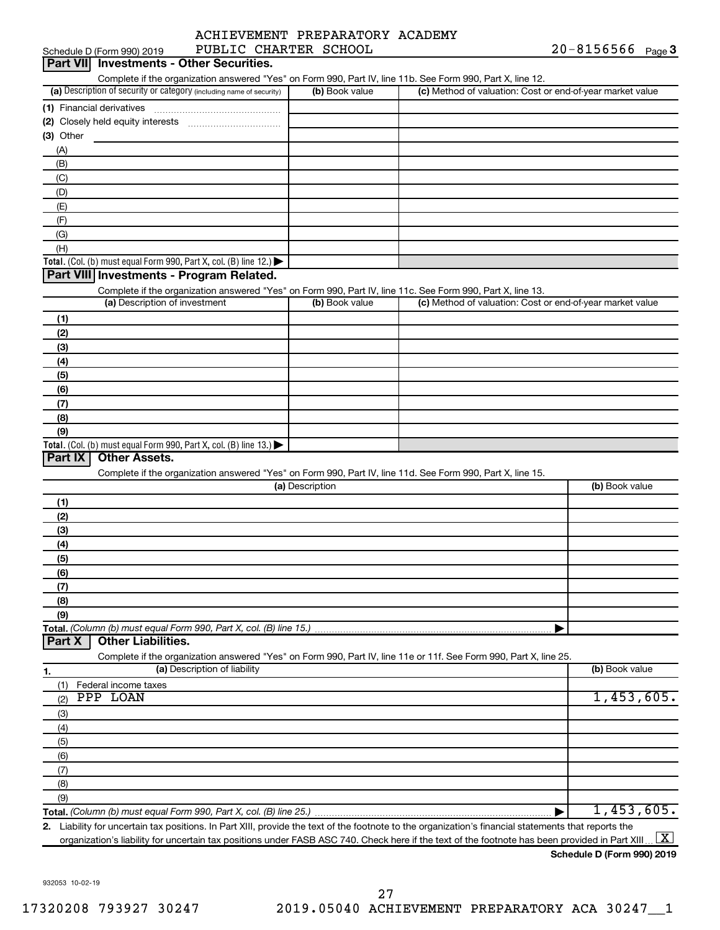|                     | ACHIEVEMENT PREPARATORY ACADEMY |  |
|---------------------|---------------------------------|--|
| AUTO CUINDER CAUCOT |                                 |  |

| Schedule D (Form 990) 2019                                                                                                                           | PUBLIC CHARTER SCHOOL |                                                           | $20 - 8156566$ Page 3 |
|------------------------------------------------------------------------------------------------------------------------------------------------------|-----------------------|-----------------------------------------------------------|-----------------------|
| Part VII Investments - Other Securities.                                                                                                             |                       |                                                           |                       |
| Complete if the organization answered "Yes" on Form 990, Part IV, line 11b. See Form 990, Part X, line 12.                                           |                       |                                                           |                       |
| (a) Description of security or category (including name of security)                                                                                 | (b) Book value        | (c) Method of valuation: Cost or end-of-year market value |                       |
|                                                                                                                                                      |                       |                                                           |                       |
|                                                                                                                                                      |                       |                                                           |                       |
| (3) Other                                                                                                                                            |                       |                                                           |                       |
| (A)                                                                                                                                                  |                       |                                                           |                       |
| (B)                                                                                                                                                  |                       |                                                           |                       |
| (C)                                                                                                                                                  |                       |                                                           |                       |
|                                                                                                                                                      |                       |                                                           |                       |
| (D)                                                                                                                                                  |                       |                                                           |                       |
| (E)                                                                                                                                                  |                       |                                                           |                       |
| (F)                                                                                                                                                  |                       |                                                           |                       |
| (G)                                                                                                                                                  |                       |                                                           |                       |
| (H)                                                                                                                                                  |                       |                                                           |                       |
| Total. (Col. (b) must equal Form 990, Part X, col. (B) line 12.)                                                                                     |                       |                                                           |                       |
| Part VIII Investments - Program Related.                                                                                                             |                       |                                                           |                       |
| Complete if the organization answered "Yes" on Form 990, Part IV, line 11c. See Form 990, Part X, line 13.                                           |                       |                                                           |                       |
| (a) Description of investment                                                                                                                        | (b) Book value        | (c) Method of valuation: Cost or end-of-year market value |                       |
| (1)                                                                                                                                                  |                       |                                                           |                       |
| (2)                                                                                                                                                  |                       |                                                           |                       |
| (3)                                                                                                                                                  |                       |                                                           |                       |
| (4)                                                                                                                                                  |                       |                                                           |                       |
| (5)                                                                                                                                                  |                       |                                                           |                       |
| (6)                                                                                                                                                  |                       |                                                           |                       |
|                                                                                                                                                      |                       |                                                           |                       |
| (7)                                                                                                                                                  |                       |                                                           |                       |
| (8)                                                                                                                                                  |                       |                                                           |                       |
| (9)                                                                                                                                                  |                       |                                                           |                       |
| Total. (Col. (b) must equal Form 990, Part X, col. (B) line 13.)<br>Part IX<br><b>Other Assets.</b>                                                  |                       |                                                           |                       |
|                                                                                                                                                      |                       |                                                           |                       |
| Complete if the organization answered "Yes" on Form 990, Part IV, line 11d. See Form 990, Part X, line 15.                                           |                       |                                                           |                       |
|                                                                                                                                                      | (a) Description       |                                                           | (b) Book value        |
| (1)                                                                                                                                                  |                       |                                                           |                       |
| (2)                                                                                                                                                  |                       |                                                           |                       |
| (3)                                                                                                                                                  |                       |                                                           |                       |
| (4)                                                                                                                                                  |                       |                                                           |                       |
| (5)                                                                                                                                                  |                       |                                                           |                       |
| (6)                                                                                                                                                  |                       |                                                           |                       |
| (7)                                                                                                                                                  |                       |                                                           |                       |
| (8)                                                                                                                                                  |                       |                                                           |                       |
| (9)                                                                                                                                                  |                       |                                                           |                       |
| Total. (Column (b) must equal Form 990, Part X, col. (B) line 15.)                                                                                   |                       |                                                           |                       |
| <b>Other Liabilities.</b><br>Part X                                                                                                                  |                       |                                                           |                       |
|                                                                                                                                                      |                       |                                                           |                       |
| Complete if the organization answered "Yes" on Form 990, Part IV, line 11e or 11f. See Form 990, Part X, line 25.<br>(a) Description of liability    |                       |                                                           | (b) Book value        |
| 1.                                                                                                                                                   |                       |                                                           |                       |
| Federal income taxes<br>(1)                                                                                                                          |                       |                                                           |                       |
| PPP LOAN<br>(2)                                                                                                                                      |                       |                                                           | 1,453,605.            |
| (3)                                                                                                                                                  |                       |                                                           |                       |
| (4)                                                                                                                                                  |                       |                                                           |                       |
| (5)                                                                                                                                                  |                       |                                                           |                       |
| (6)                                                                                                                                                  |                       |                                                           |                       |
| (7)                                                                                                                                                  |                       |                                                           |                       |
| (8)                                                                                                                                                  |                       |                                                           |                       |
| (9)                                                                                                                                                  |                       |                                                           |                       |
|                                                                                                                                                      |                       |                                                           | 1,453,605.            |
| 2. Liability for uncertain tax positions. In Part XIII, provide the text of the footnote to the organization's financial statements that reports the |                       |                                                           |                       |
|                                                                                                                                                      |                       |                                                           | <b>1999</b>           |

organization's liability for uncertain tax positions under FASB ASC 740. Check here if the text of the footnote has been provided in Part XIII ...  $\fbox{\bf X}$ 

**Schedule D (Form 990) 2019**

932053 10-02-19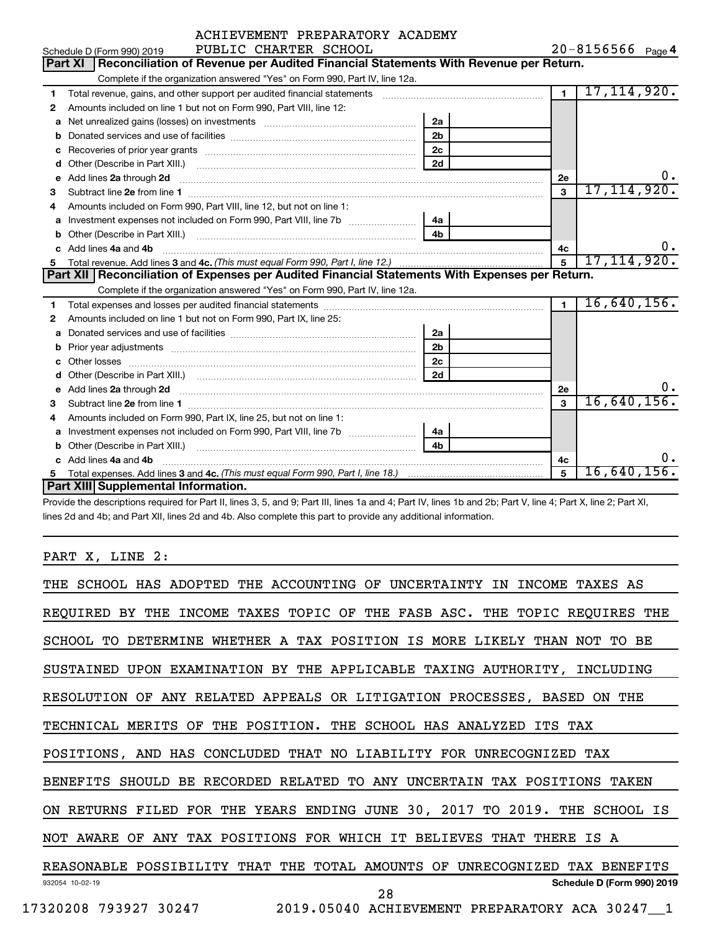|    | PUBLIC CHARTER SCHOOL<br>Schedule D (Form 990) 2019                                                                                                                                                                                 |                |                | $20 - 8156566$ Page 4 |
|----|-------------------------------------------------------------------------------------------------------------------------------------------------------------------------------------------------------------------------------------|----------------|----------------|-----------------------|
|    | Reconciliation of Revenue per Audited Financial Statements With Revenue per Return.<br>Part XI                                                                                                                                      |                |                |                       |
|    | Complete if the organization answered "Yes" on Form 990, Part IV, line 12a.                                                                                                                                                         |                |                |                       |
| 1  | Total revenue, gains, and other support per audited financial statements [111] [11] Total revenue, gains, and other support per audited financial statements                                                                        |                | $\overline{1}$ | 17, 114, 920.         |
| 2  | Amounts included on line 1 but not on Form 990, Part VIII, line 12:                                                                                                                                                                 |                |                |                       |
| a  |                                                                                                                                                                                                                                     | 2a             |                |                       |
|    |                                                                                                                                                                                                                                     | 2 <sub>b</sub> |                |                       |
| с  |                                                                                                                                                                                                                                     | 2 <sub>c</sub> |                |                       |
| d  |                                                                                                                                                                                                                                     | 2d             |                |                       |
| е  | Add lines 2a through 2d <b>contained a contained a contained a contained a</b> contained a contact the contact of the contact of the contact of the contact of the contact of the contact of the contact of the contact of the cont |                | <b>2e</b>      | 0.                    |
| з  |                                                                                                                                                                                                                                     |                | 3              | 17, 114, 920.         |
| 4  | Amounts included on Form 990, Part VIII, line 12, but not on line 1:                                                                                                                                                                |                |                |                       |
| a  |                                                                                                                                                                                                                                     | 4a             |                |                       |
| b  |                                                                                                                                                                                                                                     | 4 <sub>h</sub> |                |                       |
| c. | Add lines 4a and 4b                                                                                                                                                                                                                 |                | 4c             | υ.                    |
| 5  |                                                                                                                                                                                                                                     |                | $\overline{5}$ | 17, 114, 920.         |
|    |                                                                                                                                                                                                                                     |                |                |                       |
|    | Part XII   Reconciliation of Expenses per Audited Financial Statements With Expenses per Return.                                                                                                                                    |                |                |                       |
|    | Complete if the organization answered "Yes" on Form 990, Part IV, line 12a.                                                                                                                                                         |                |                |                       |
| 1  |                                                                                                                                                                                                                                     |                | $\mathbf{1}$   | 16,640,156.           |
| 2  | Amounts included on line 1 but not on Form 990, Part IX, line 25:                                                                                                                                                                   |                |                |                       |
| a  |                                                                                                                                                                                                                                     | 2a             |                |                       |
| b  |                                                                                                                                                                                                                                     | 2 <sub>b</sub> |                |                       |
| c  |                                                                                                                                                                                                                                     | 2 <sub>c</sub> |                |                       |
|    |                                                                                                                                                                                                                                     | 2d             |                |                       |
|    |                                                                                                                                                                                                                                     |                | 2e             | ο.                    |
| 3  | e Add lines 2a through 2d <b>contract and a contract and a contract a</b> contract a contract and a contract a contract a contract a contract a contract a contract a contract a contract a contract a contract a contract a contra |                | 3              | 16,640,156.           |
| 4  | Amounts included on Form 990, Part IX, line 25, but not on line 1:                                                                                                                                                                  |                |                |                       |
| а  |                                                                                                                                                                                                                                     | 4a             |                |                       |
| b  |                                                                                                                                                                                                                                     | 4b             |                |                       |
|    | Add lines 4a and 4b                                                                                                                                                                                                                 |                | 4c             | 0.                    |
| 5  | Part XIII Supplemental Information.                                                                                                                                                                                                 |                | 5              | $16,640,156$ .        |

Provide the descriptions required for Part II, lines 3, 5, and 9; Part III, lines 1a and 4; Part IV, lines 1b and 2b; Part V, line 4; Part X, line 2; Part XI, lines 2d and 4b; and Part XII, lines 2d and 4b. Also complete this part to provide any additional information.

# PART X, LINE 2:

| THE SCHOOL HAS ADOPTED THE ACCOUNTING OF UNCERTAINTY IN INCOME TAXES AS    |
|----------------------------------------------------------------------------|
| REQUIRED BY THE INCOME TAXES TOPIC OF THE FASB ASC. THE TOPIC REQUIRES THE |
| SCHOOL TO DETERMINE WHETHER A TAX POSITION IS MORE LIKELY THAN NOT TO BE   |
| SUSTAINED UPON EXAMINATION BY THE APPLICABLE TAXING AUTHORITY, INCLUDING   |
| RESOLUTION OF ANY RELATED APPEALS OR LITIGATION PROCESSES, BASED ON THE    |
| TECHNICAL MERITS OF THE POSITION. THE SCHOOL HAS ANALYZED ITS TAX          |
| POSITIONS, AND HAS CONCLUDED THAT NO LIABILITY FOR UNRECOGNIZED TAX        |
| BENEFITS SHOULD BE RECORDED RELATED TO ANY UNCERTAIN TAX POSITIONS TAKEN   |
| ON RETURNS FILED FOR THE YEARS ENDING JUNE 30, 2017 TO 2019. THE SCHOOL IS |
| NOT AWARE OF ANY TAX POSITIONS FOR WHICH IT BELIEVES THAT THERE IS A       |
| REASONABLE POSSIBILITY THAT THE TOTAL AMOUNTS OF UNRECOGNIZED TAX BENEFITS |
| Schedule D (Form 990) 2019<br>932054 10-02-19<br>28                        |
| 17320208 793927 30247 2019.05040 ACHIEVEMENT PREPARATORY ACA 30247 1       |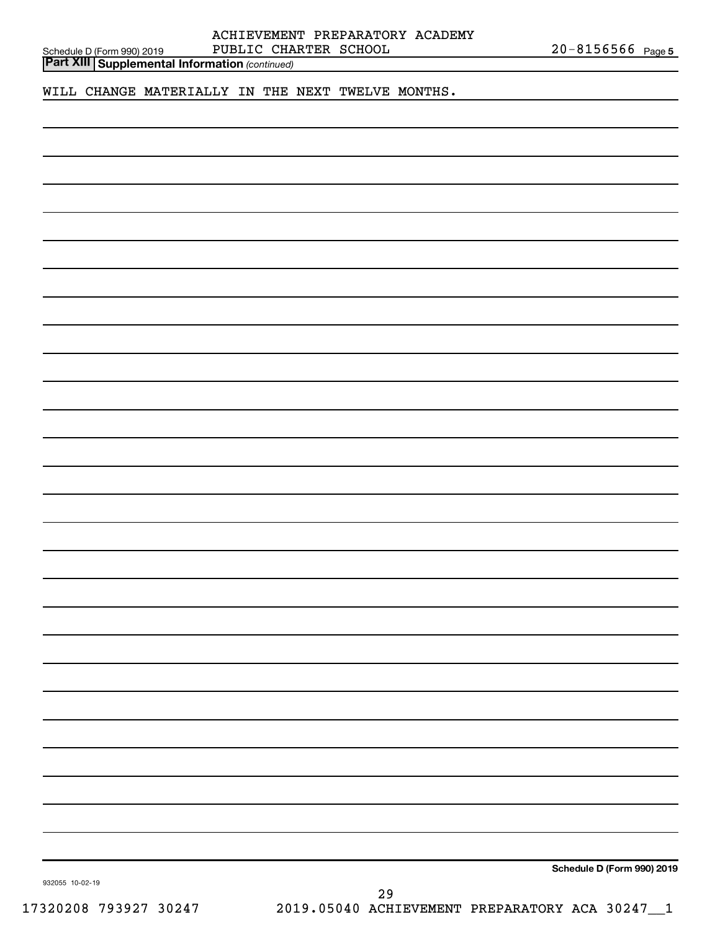|                 | <b>Part XIII Supplemental Information (continued)</b> |    |  |                            |
|-----------------|-------------------------------------------------------|----|--|----------------------------|
|                 | WILL CHANGE MATERIALLY IN THE NEXT TWELVE MONTHS.     |    |  |                            |
|                 |                                                       |    |  |                            |
|                 |                                                       |    |  |                            |
|                 |                                                       |    |  |                            |
|                 |                                                       |    |  |                            |
|                 |                                                       |    |  |                            |
|                 |                                                       |    |  |                            |
|                 |                                                       |    |  |                            |
|                 |                                                       |    |  |                            |
|                 |                                                       |    |  |                            |
|                 |                                                       |    |  |                            |
|                 |                                                       |    |  |                            |
|                 |                                                       |    |  |                            |
|                 |                                                       |    |  |                            |
|                 |                                                       |    |  |                            |
|                 |                                                       |    |  |                            |
|                 |                                                       |    |  |                            |
|                 |                                                       |    |  |                            |
|                 |                                                       |    |  |                            |
|                 |                                                       |    |  |                            |
|                 |                                                       |    |  |                            |
|                 |                                                       |    |  |                            |
|                 |                                                       |    |  |                            |
|                 |                                                       |    |  |                            |
|                 |                                                       |    |  |                            |
|                 |                                                       |    |  |                            |
|                 |                                                       |    |  |                            |
|                 |                                                       |    |  |                            |
|                 |                                                       |    |  |                            |
|                 |                                                       |    |  |                            |
|                 |                                                       |    |  |                            |
|                 |                                                       |    |  |                            |
|                 |                                                       |    |  |                            |
|                 |                                                       |    |  |                            |
|                 |                                                       |    |  |                            |
|                 |                                                       |    |  |                            |
|                 |                                                       |    |  |                            |
|                 |                                                       |    |  |                            |
|                 |                                                       |    |  |                            |
|                 |                                                       |    |  |                            |
|                 |                                                       |    |  |                            |
|                 |                                                       |    |  |                            |
|                 |                                                       |    |  |                            |
| 932055 10-02-19 |                                                       |    |  | Schedule D (Form 990) 2019 |
|                 |                                                       | 29 |  |                            |

Schedule D (Form 990) 2019 PUBLILU CHARTER SCHOOL ZU-8156566 Page

ACHIEVEMENT PREPARATORY ACADEMY

PUBLIC CHARTER SCHOOL

20-8156566 Page 5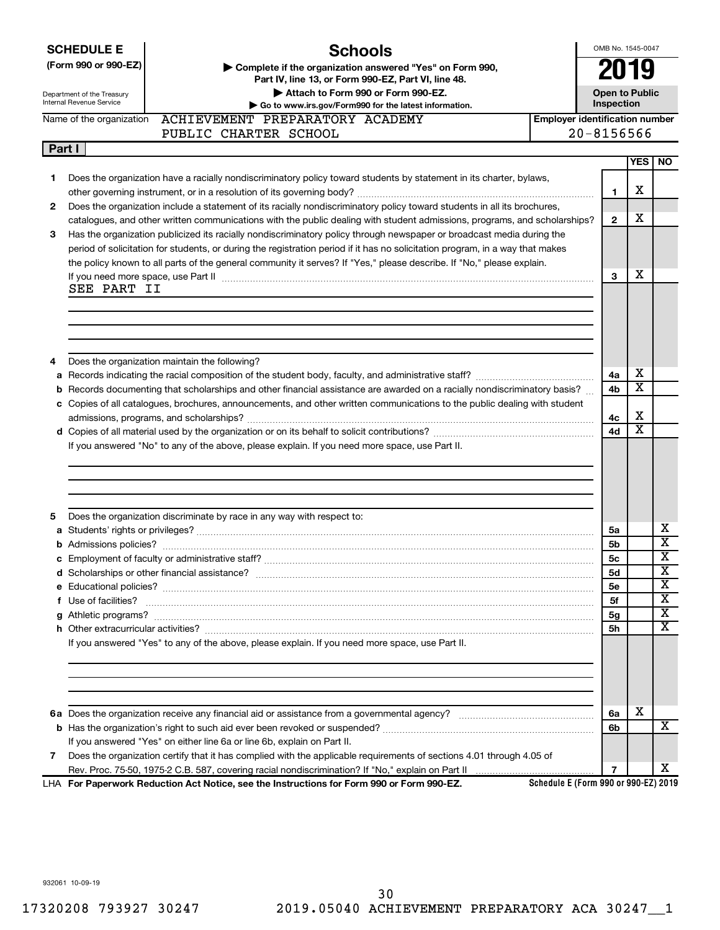|   | <b>SCHEDULE E</b>                                                                                                                                          | <b>Schools</b>                                                                                                                                                                                                                     |                                      | OMB No. 1545-0047                   |                              |                         |  |
|---|------------------------------------------------------------------------------------------------------------------------------------------------------------|------------------------------------------------------------------------------------------------------------------------------------------------------------------------------------------------------------------------------------|--------------------------------------|-------------------------------------|------------------------------|-------------------------|--|
|   | (Form 990 or 990-EZ)                                                                                                                                       | Complete if the organization answered "Yes" on Form 990,                                                                                                                                                                           |                                      |                                     |                              |                         |  |
|   |                                                                                                                                                            | Part IV, line 13, or Form 990-EZ, Part VI, line 48.                                                                                                                                                                                |                                      |                                     |                              |                         |  |
|   | Department of the Treasury<br>Internal Revenue Service                                                                                                     | Attach to Form 990 or Form 990-EZ.                                                                                                                                                                                                 |                                      | <b>Open to Public</b><br>Inspection |                              |                         |  |
|   | Go to www.irs.gov/Form990 for the latest information.<br>Name of the organization ACHIEVEMENT PREPARATORY ACADEMY<br><b>Employer identification number</b> |                                                                                                                                                                                                                                    |                                      |                                     |                              |                         |  |
|   |                                                                                                                                                            | PUBLIC CHARTER SCHOOL                                                                                                                                                                                                              |                                      | $20 - 8156566$                      |                              |                         |  |
|   | Part I                                                                                                                                                     |                                                                                                                                                                                                                                    |                                      |                                     |                              |                         |  |
|   |                                                                                                                                                            |                                                                                                                                                                                                                                    |                                      |                                     | <b>YES</b>                   | <b>NO</b>               |  |
| 1 |                                                                                                                                                            | Does the organization have a racially nondiscriminatory policy toward students by statement in its charter, bylaws,                                                                                                                |                                      |                                     |                              |                         |  |
|   |                                                                                                                                                            |                                                                                                                                                                                                                                    |                                      | 1                                   | х                            |                         |  |
| 2 |                                                                                                                                                            | Does the organization include a statement of its racially nondiscriminatory policy toward students in all its brochures,                                                                                                           |                                      |                                     |                              |                         |  |
|   |                                                                                                                                                            | catalogues, and other written communications with the public dealing with student admissions, programs, and scholarships?                                                                                                          |                                      | $\mathbf{2}$                        | х                            |                         |  |
| З |                                                                                                                                                            | Has the organization publicized its racially nondiscriminatory policy through newspaper or broadcast media during the                                                                                                              |                                      |                                     |                              |                         |  |
|   |                                                                                                                                                            | period of solicitation for students, or during the registration period if it has no solicitation program, in a way that makes                                                                                                      |                                      |                                     |                              |                         |  |
|   |                                                                                                                                                            | the policy known to all parts of the general community it serves? If "Yes," please describe. If "No," please explain.                                                                                                              |                                      | 3                                   | х                            |                         |  |
|   | SEE PART II                                                                                                                                                | If you need more space, use Part II manufactured and an intervention of the space of the manufactured and the                                                                                                                      |                                      |                                     |                              |                         |  |
|   |                                                                                                                                                            |                                                                                                                                                                                                                                    |                                      |                                     |                              |                         |  |
|   |                                                                                                                                                            |                                                                                                                                                                                                                                    |                                      |                                     |                              |                         |  |
|   |                                                                                                                                                            |                                                                                                                                                                                                                                    |                                      |                                     |                              |                         |  |
|   |                                                                                                                                                            |                                                                                                                                                                                                                                    |                                      |                                     |                              |                         |  |
| 4 |                                                                                                                                                            | Does the organization maintain the following?                                                                                                                                                                                      |                                      |                                     |                              |                         |  |
|   |                                                                                                                                                            |                                                                                                                                                                                                                                    |                                      | 4a                                  | х                            |                         |  |
|   |                                                                                                                                                            | b Records documenting that scholarships and other financial assistance are awarded on a racially nondiscriminatory basis?                                                                                                          |                                      | 4b                                  | $\overline{\textbf{x}}$      |                         |  |
|   |                                                                                                                                                            | c Copies of all catalogues, brochures, announcements, and other written communications to the public dealing with student                                                                                                          |                                      |                                     |                              |                         |  |
|   |                                                                                                                                                            |                                                                                                                                                                                                                                    |                                      | 4с                                  | х<br>$\overline{\textbf{x}}$ |                         |  |
|   |                                                                                                                                                            |                                                                                                                                                                                                                                    |                                      | 4d                                  |                              |                         |  |
|   |                                                                                                                                                            | If you answered "No" to any of the above, please explain. If you need more space, use Part II.                                                                                                                                     |                                      |                                     |                              |                         |  |
|   |                                                                                                                                                            |                                                                                                                                                                                                                                    |                                      |                                     |                              |                         |  |
|   |                                                                                                                                                            |                                                                                                                                                                                                                                    |                                      |                                     |                              |                         |  |
|   |                                                                                                                                                            |                                                                                                                                                                                                                                    |                                      |                                     |                              |                         |  |
| 5 |                                                                                                                                                            | Does the organization discriminate by race in any way with respect to:                                                                                                                                                             |                                      |                                     |                              |                         |  |
|   |                                                                                                                                                            |                                                                                                                                                                                                                                    |                                      | 5a                                  |                              | х                       |  |
|   |                                                                                                                                                            |                                                                                                                                                                                                                                    |                                      | 5b                                  |                              | $\overline{\textbf{x}}$ |  |
|   |                                                                                                                                                            |                                                                                                                                                                                                                                    |                                      | 5 <sub>c</sub>                      |                              | $\overline{\mathbf{x}}$ |  |
|   |                                                                                                                                                            |                                                                                                                                                                                                                                    |                                      | 5d                                  |                              | $\overline{\text{X}}$   |  |
|   |                                                                                                                                                            |                                                                                                                                                                                                                                    |                                      | 5е                                  |                              | X<br>X                  |  |
|   |                                                                                                                                                            | f Use of facilities? <b>www.communities.</b> We can be a series of the contract of the contract of the contract of the contract of the contract of the contract of the contract of the contract of the contract of the contract of |                                      | 5f                                  |                              | X                       |  |
|   |                                                                                                                                                            |                                                                                                                                                                                                                                    |                                      | 5g<br><b>5h</b>                     |                              | x                       |  |
|   |                                                                                                                                                            | If you answered "Yes" to any of the above, please explain. If you need more space, use Part II.                                                                                                                                    |                                      |                                     |                              |                         |  |
|   |                                                                                                                                                            |                                                                                                                                                                                                                                    |                                      |                                     |                              |                         |  |
|   |                                                                                                                                                            |                                                                                                                                                                                                                                    |                                      |                                     |                              |                         |  |
|   |                                                                                                                                                            |                                                                                                                                                                                                                                    |                                      |                                     |                              |                         |  |
|   |                                                                                                                                                            |                                                                                                                                                                                                                                    |                                      |                                     |                              |                         |  |
|   |                                                                                                                                                            |                                                                                                                                                                                                                                    |                                      | 6a                                  | х                            |                         |  |
|   |                                                                                                                                                            |                                                                                                                                                                                                                                    |                                      | 6b                                  |                              | x                       |  |
|   |                                                                                                                                                            | If you answered "Yes" on either line 6a or line 6b, explain on Part II.                                                                                                                                                            |                                      |                                     |                              |                         |  |
| 7 |                                                                                                                                                            | Does the organization certify that it has complied with the applicable requirements of sections 4.01 through 4.05 of                                                                                                               |                                      |                                     |                              |                         |  |
|   |                                                                                                                                                            |                                                                                                                                                                                                                                    |                                      | 7                                   |                              | x                       |  |
|   |                                                                                                                                                            | LHA For Paperwork Reduction Act Notice, see the Instructions for Form 990 or Form 990-EZ.                                                                                                                                          | Schedule E (Form 990 or 990-EZ) 2019 |                                     |                              |                         |  |

932061 10-09-19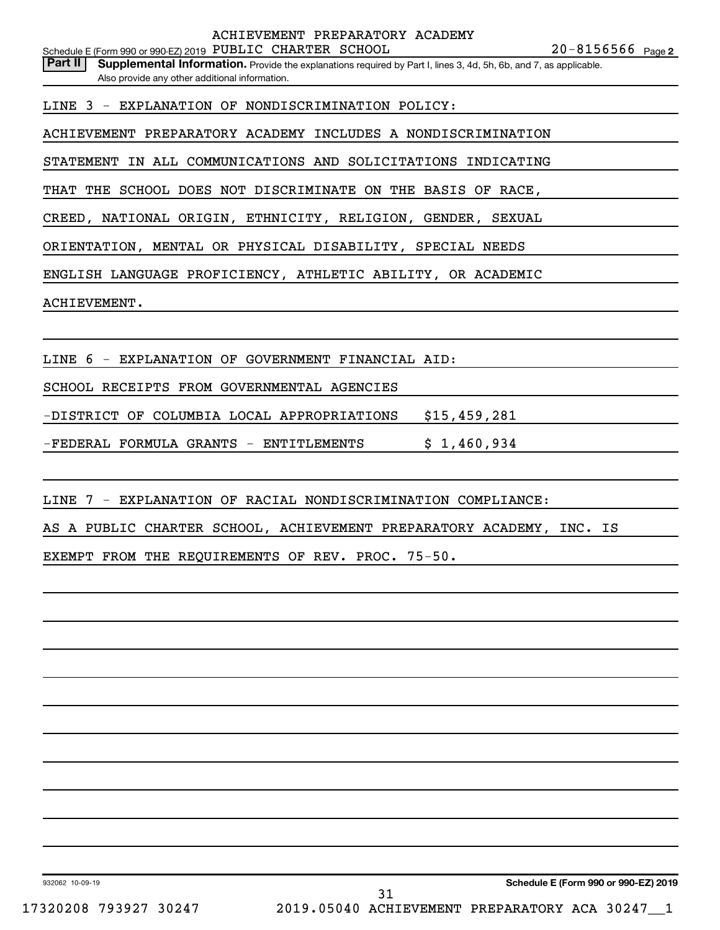Schedule E (Form 990 or 990-EZ) 2019 PUBLIC CHARTER SCHOOL  $20-8156566$  Page ACHIEVEMENT PREPARATORY ACADEMY

Part II | Supplemental Information. Provide the explanations required by Part I, lines 3, 4d, 5h, 6b, and 7, as applicable. Also provide any other additional information.

LINE 3 - EXPLANATION OF NONDISCRIMINATION POLICY:

ACHIEVEMENT PREPARATORY ACADEMY INCLUDES A NONDISCRIMINATION

STATEMENT IN ALL COMMUNICATIONS AND SOLICITATIONS INDICATING

THAT THE SCHOOL DOES NOT DISCRIMINATE ON THE BASIS OF RACE,

CREED, NATIONAL ORIGIN, ETHNICITY, RELIGION, GENDER, SEXUAL

ORIENTATION, MENTAL OR PHYSICAL DISABILITY, SPECIAL NEEDS

ENGLISH LANGUAGE PROFICIENCY, ATHLETIC ABILITY, OR ACADEMIC

ACHIEVEMENT.

LINE 6 - EXPLANATION OF GOVERNMENT FINANCIAL AID:

SCHOOL RECEIPTS FROM GOVERNMENTAL AGENCIES

-DISTRICT OF COLUMBIA LOCAL APPROPRIATIONS \$15,459,281

-FEDERAL FORMULA GRANTS - ENTITLEMENTS  $\qquad$  \$ 1,460,934

LINE 7 - EXPLANATION OF RACIAL NONDISCRIMINATION COMPLIANCE:

AS A PUBLIC CHARTER SCHOOL, ACHIEVEMENT PREPARATORY ACADEMY, INC. IS

EXEMPT FROM THE REQUIREMENTS OF REV. PROC. 75-50.

932062 10-09-19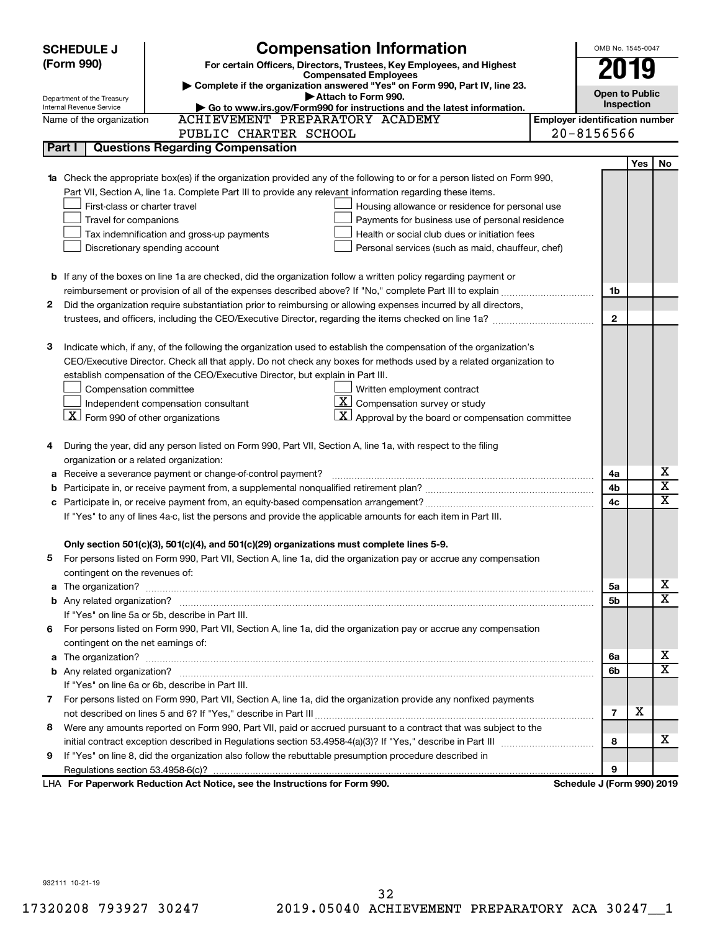| (Form 990)<br>For certain Officers, Directors, Trustees, Key Employees, and Highest<br>y<br><b>Compensated Employees</b><br>Complete if the organization answered "Yes" on Form 990, Part IV, line 23.<br><b>Open to Public</b><br>Attach to Form 990.<br>Department of the Treasury<br>Inspection<br>Go to www.irs.gov/Form990 for instructions and the latest information.<br>Internal Revenue Service<br>ACHIEVEMENT PREPARATORY ACADEMY<br><b>Employer identification number</b><br>Name of the organization<br>$20 - 8156566$<br>PUBLIC CHARTER SCHOOL<br><b>Questions Regarding Compensation</b><br>Part I<br>Yes<br>No<br>1a Check the appropriate box(es) if the organization provided any of the following to or for a person listed on Form 990,<br>Part VII, Section A, line 1a. Complete Part III to provide any relevant information regarding these items.<br>First-class or charter travel<br>Housing allowance or residence for personal use<br>Travel for companions<br>Payments for business use of personal residence<br>Tax indemnification and gross-up payments<br>Health or social club dues or initiation fees<br>Discretionary spending account<br>Personal services (such as maid, chauffeur, chef)<br><b>b</b> If any of the boxes on line 1a are checked, did the organization follow a written policy regarding payment or<br>reimbursement or provision of all of the expenses described above? If "No," complete Part III to explain<br>1b<br>2<br>Did the organization require substantiation prior to reimbursing or allowing expenses incurred by all directors,<br>$\mathbf{2}$<br>trustees, and officers, including the CEO/Executive Director, regarding the items checked on line 1a?<br>з<br>Indicate which, if any, of the following the organization used to establish the compensation of the organization's<br>CEO/Executive Director. Check all that apply. Do not check any boxes for methods used by a related organization to<br>establish compensation of the CEO/Executive Director, but explain in Part III.<br>Compensation committee<br>Written employment contract<br>$\overline{\mathbf{X}}$ Compensation survey or study<br>Independent compensation consultant<br>$\boxed{\textbf{X}}$ Form 990 of other organizations<br>Approval by the board or compensation committee<br>During the year, did any person listed on Form 990, Part VII, Section A, line 1a, with respect to the filing<br>organization or a related organization:<br>х<br>Receive a severance payment or change-of-control payment?<br>4a<br>а<br>$\overline{\texttt{x}}$<br>4b<br>b<br>$\overline{\text{x}}$<br>4c<br>c<br>If "Yes" to any of lines 4a-c, list the persons and provide the applicable amounts for each item in Part III.<br>Only section 501(c)(3), 501(c)(4), and 501(c)(29) organizations must complete lines 5-9.<br>For persons listed on Form 990, Part VII, Section A, line 1a, did the organization pay or accrue any compensation<br>contingent on the revenues of:<br>x.<br>a The organization? <b>contracts</b> and contracts are contracted and contract and contract and contract and contract and contract and contract and contract and contract and contract and contract and contract and contract and c<br>5a<br>$\overline{\mathbf{X}}$<br>5b<br>If "Yes" on line 5a or 5b, describe in Part III.<br>For persons listed on Form 990, Part VII, Section A, line 1a, did the organization pay or accrue any compensation<br>6<br>contingent on the net earnings of:<br>x.<br>6а<br>$\overline{\mathbf{X}}$<br>6b<br>If "Yes" on line 6a or 6b, describe in Part III.<br>7 For persons listed on Form 990, Part VII, Section A, line 1a, did the organization provide any nonfixed payments<br>х<br>$\overline{7}$<br>Were any amounts reported on Form 990, Part VII, paid or accrued pursuant to a contract that was subject to the<br>8<br>x.<br>8<br>If "Yes" on line 8, did the organization also follow the rebuttable presumption procedure described in<br>9<br>9<br>LHA For Paperwork Reduction Act Notice, see the Instructions for Form 990.<br>Schedule J (Form 990) 2019 | <b>SCHEDULE J</b> | <b>Compensation Information</b> | OMB No. 1545-0047 |  |
|--------------------------------------------------------------------------------------------------------------------------------------------------------------------------------------------------------------------------------------------------------------------------------------------------------------------------------------------------------------------------------------------------------------------------------------------------------------------------------------------------------------------------------------------------------------------------------------------------------------------------------------------------------------------------------------------------------------------------------------------------------------------------------------------------------------------------------------------------------------------------------------------------------------------------------------------------------------------------------------------------------------------------------------------------------------------------------------------------------------------------------------------------------------------------------------------------------------------------------------------------------------------------------------------------------------------------------------------------------------------------------------------------------------------------------------------------------------------------------------------------------------------------------------------------------------------------------------------------------------------------------------------------------------------------------------------------------------------------------------------------------------------------------------------------------------------------------------------------------------------------------------------------------------------------------------------------------------------------------------------------------------------------------------------------------------------------------------------------------------------------------------------------------------------------------------------------------------------------------------------------------------------------------------------------------------------------------------------------------------------------------------------------------------------------------------------------------------------------------------------------------------------------------------------------------------------------------------------------------------------------------------------------------------------------------------------------------------------------------------------------------------------------------------------------------------------------------------------------------------------------------------------------------------------------------------------------------------------------------------------------------------------------------------------------------------------------------------------------------------------------------------------------------------------------------------------------------------------------------------------------------------------------------------------------------------------------------------------------------------------------------------------------------------------------------------------------------------------------------------------------------------------------------------------------------------------------------------------------------------------------------------------------------------------------------------------------------------------------------------------------------------------------------------------------------------------------------------------------------------------------------------------------------------------------------------------------------------------------------------------------------------------------------------------------------------------------------------------------------------------------------------------------|-------------------|---------------------------------|-------------------|--|
|                                                                                                                                                                                                                                                                                                                                                                                                                                                                                                                                                                                                                                                                                                                                                                                                                                                                                                                                                                                                                                                                                                                                                                                                                                                                                                                                                                                                                                                                                                                                                                                                                                                                                                                                                                                                                                                                                                                                                                                                                                                                                                                                                                                                                                                                                                                                                                                                                                                                                                                                                                                                                                                                                                                                                                                                                                                                                                                                                                                                                                                                                                                                                                                                                                                                                                                                                                                                                                                                                                                                                                                                                                                                                                                                                                                                                                                                                                                                                                                                                                                                                                                                                  |                   |                                 |                   |  |
|                                                                                                                                                                                                                                                                                                                                                                                                                                                                                                                                                                                                                                                                                                                                                                                                                                                                                                                                                                                                                                                                                                                                                                                                                                                                                                                                                                                                                                                                                                                                                                                                                                                                                                                                                                                                                                                                                                                                                                                                                                                                                                                                                                                                                                                                                                                                                                                                                                                                                                                                                                                                                                                                                                                                                                                                                                                                                                                                                                                                                                                                                                                                                                                                                                                                                                                                                                                                                                                                                                                                                                                                                                                                                                                                                                                                                                                                                                                                                                                                                                                                                                                                                  |                   |                                 |                   |  |
|                                                                                                                                                                                                                                                                                                                                                                                                                                                                                                                                                                                                                                                                                                                                                                                                                                                                                                                                                                                                                                                                                                                                                                                                                                                                                                                                                                                                                                                                                                                                                                                                                                                                                                                                                                                                                                                                                                                                                                                                                                                                                                                                                                                                                                                                                                                                                                                                                                                                                                                                                                                                                                                                                                                                                                                                                                                                                                                                                                                                                                                                                                                                                                                                                                                                                                                                                                                                                                                                                                                                                                                                                                                                                                                                                                                                                                                                                                                                                                                                                                                                                                                                                  |                   |                                 |                   |  |
|                                                                                                                                                                                                                                                                                                                                                                                                                                                                                                                                                                                                                                                                                                                                                                                                                                                                                                                                                                                                                                                                                                                                                                                                                                                                                                                                                                                                                                                                                                                                                                                                                                                                                                                                                                                                                                                                                                                                                                                                                                                                                                                                                                                                                                                                                                                                                                                                                                                                                                                                                                                                                                                                                                                                                                                                                                                                                                                                                                                                                                                                                                                                                                                                                                                                                                                                                                                                                                                                                                                                                                                                                                                                                                                                                                                                                                                                                                                                                                                                                                                                                                                                                  |                   |                                 |                   |  |
|                                                                                                                                                                                                                                                                                                                                                                                                                                                                                                                                                                                                                                                                                                                                                                                                                                                                                                                                                                                                                                                                                                                                                                                                                                                                                                                                                                                                                                                                                                                                                                                                                                                                                                                                                                                                                                                                                                                                                                                                                                                                                                                                                                                                                                                                                                                                                                                                                                                                                                                                                                                                                                                                                                                                                                                                                                                                                                                                                                                                                                                                                                                                                                                                                                                                                                                                                                                                                                                                                                                                                                                                                                                                                                                                                                                                                                                                                                                                                                                                                                                                                                                                                  |                   |                                 |                   |  |
|                                                                                                                                                                                                                                                                                                                                                                                                                                                                                                                                                                                                                                                                                                                                                                                                                                                                                                                                                                                                                                                                                                                                                                                                                                                                                                                                                                                                                                                                                                                                                                                                                                                                                                                                                                                                                                                                                                                                                                                                                                                                                                                                                                                                                                                                                                                                                                                                                                                                                                                                                                                                                                                                                                                                                                                                                                                                                                                                                                                                                                                                                                                                                                                                                                                                                                                                                                                                                                                                                                                                                                                                                                                                                                                                                                                                                                                                                                                                                                                                                                                                                                                                                  |                   |                                 |                   |  |
|                                                                                                                                                                                                                                                                                                                                                                                                                                                                                                                                                                                                                                                                                                                                                                                                                                                                                                                                                                                                                                                                                                                                                                                                                                                                                                                                                                                                                                                                                                                                                                                                                                                                                                                                                                                                                                                                                                                                                                                                                                                                                                                                                                                                                                                                                                                                                                                                                                                                                                                                                                                                                                                                                                                                                                                                                                                                                                                                                                                                                                                                                                                                                                                                                                                                                                                                                                                                                                                                                                                                                                                                                                                                                                                                                                                                                                                                                                                                                                                                                                                                                                                                                  |                   |                                 |                   |  |
|                                                                                                                                                                                                                                                                                                                                                                                                                                                                                                                                                                                                                                                                                                                                                                                                                                                                                                                                                                                                                                                                                                                                                                                                                                                                                                                                                                                                                                                                                                                                                                                                                                                                                                                                                                                                                                                                                                                                                                                                                                                                                                                                                                                                                                                                                                                                                                                                                                                                                                                                                                                                                                                                                                                                                                                                                                                                                                                                                                                                                                                                                                                                                                                                                                                                                                                                                                                                                                                                                                                                                                                                                                                                                                                                                                                                                                                                                                                                                                                                                                                                                                                                                  |                   |                                 |                   |  |
|                                                                                                                                                                                                                                                                                                                                                                                                                                                                                                                                                                                                                                                                                                                                                                                                                                                                                                                                                                                                                                                                                                                                                                                                                                                                                                                                                                                                                                                                                                                                                                                                                                                                                                                                                                                                                                                                                                                                                                                                                                                                                                                                                                                                                                                                                                                                                                                                                                                                                                                                                                                                                                                                                                                                                                                                                                                                                                                                                                                                                                                                                                                                                                                                                                                                                                                                                                                                                                                                                                                                                                                                                                                                                                                                                                                                                                                                                                                                                                                                                                                                                                                                                  |                   |                                 |                   |  |
|                                                                                                                                                                                                                                                                                                                                                                                                                                                                                                                                                                                                                                                                                                                                                                                                                                                                                                                                                                                                                                                                                                                                                                                                                                                                                                                                                                                                                                                                                                                                                                                                                                                                                                                                                                                                                                                                                                                                                                                                                                                                                                                                                                                                                                                                                                                                                                                                                                                                                                                                                                                                                                                                                                                                                                                                                                                                                                                                                                                                                                                                                                                                                                                                                                                                                                                                                                                                                                                                                                                                                                                                                                                                                                                                                                                                                                                                                                                                                                                                                                                                                                                                                  |                   |                                 |                   |  |
|                                                                                                                                                                                                                                                                                                                                                                                                                                                                                                                                                                                                                                                                                                                                                                                                                                                                                                                                                                                                                                                                                                                                                                                                                                                                                                                                                                                                                                                                                                                                                                                                                                                                                                                                                                                                                                                                                                                                                                                                                                                                                                                                                                                                                                                                                                                                                                                                                                                                                                                                                                                                                                                                                                                                                                                                                                                                                                                                                                                                                                                                                                                                                                                                                                                                                                                                                                                                                                                                                                                                                                                                                                                                                                                                                                                                                                                                                                                                                                                                                                                                                                                                                  |                   |                                 |                   |  |
|                                                                                                                                                                                                                                                                                                                                                                                                                                                                                                                                                                                                                                                                                                                                                                                                                                                                                                                                                                                                                                                                                                                                                                                                                                                                                                                                                                                                                                                                                                                                                                                                                                                                                                                                                                                                                                                                                                                                                                                                                                                                                                                                                                                                                                                                                                                                                                                                                                                                                                                                                                                                                                                                                                                                                                                                                                                                                                                                                                                                                                                                                                                                                                                                                                                                                                                                                                                                                                                                                                                                                                                                                                                                                                                                                                                                                                                                                                                                                                                                                                                                                                                                                  |                   |                                 |                   |  |
|                                                                                                                                                                                                                                                                                                                                                                                                                                                                                                                                                                                                                                                                                                                                                                                                                                                                                                                                                                                                                                                                                                                                                                                                                                                                                                                                                                                                                                                                                                                                                                                                                                                                                                                                                                                                                                                                                                                                                                                                                                                                                                                                                                                                                                                                                                                                                                                                                                                                                                                                                                                                                                                                                                                                                                                                                                                                                                                                                                                                                                                                                                                                                                                                                                                                                                                                                                                                                                                                                                                                                                                                                                                                                                                                                                                                                                                                                                                                                                                                                                                                                                                                                  |                   |                                 |                   |  |
|                                                                                                                                                                                                                                                                                                                                                                                                                                                                                                                                                                                                                                                                                                                                                                                                                                                                                                                                                                                                                                                                                                                                                                                                                                                                                                                                                                                                                                                                                                                                                                                                                                                                                                                                                                                                                                                                                                                                                                                                                                                                                                                                                                                                                                                                                                                                                                                                                                                                                                                                                                                                                                                                                                                                                                                                                                                                                                                                                                                                                                                                                                                                                                                                                                                                                                                                                                                                                                                                                                                                                                                                                                                                                                                                                                                                                                                                                                                                                                                                                                                                                                                                                  |                   |                                 |                   |  |
|                                                                                                                                                                                                                                                                                                                                                                                                                                                                                                                                                                                                                                                                                                                                                                                                                                                                                                                                                                                                                                                                                                                                                                                                                                                                                                                                                                                                                                                                                                                                                                                                                                                                                                                                                                                                                                                                                                                                                                                                                                                                                                                                                                                                                                                                                                                                                                                                                                                                                                                                                                                                                                                                                                                                                                                                                                                                                                                                                                                                                                                                                                                                                                                                                                                                                                                                                                                                                                                                                                                                                                                                                                                                                                                                                                                                                                                                                                                                                                                                                                                                                                                                                  |                   |                                 |                   |  |
|                                                                                                                                                                                                                                                                                                                                                                                                                                                                                                                                                                                                                                                                                                                                                                                                                                                                                                                                                                                                                                                                                                                                                                                                                                                                                                                                                                                                                                                                                                                                                                                                                                                                                                                                                                                                                                                                                                                                                                                                                                                                                                                                                                                                                                                                                                                                                                                                                                                                                                                                                                                                                                                                                                                                                                                                                                                                                                                                                                                                                                                                                                                                                                                                                                                                                                                                                                                                                                                                                                                                                                                                                                                                                                                                                                                                                                                                                                                                                                                                                                                                                                                                                  |                   |                                 |                   |  |
|                                                                                                                                                                                                                                                                                                                                                                                                                                                                                                                                                                                                                                                                                                                                                                                                                                                                                                                                                                                                                                                                                                                                                                                                                                                                                                                                                                                                                                                                                                                                                                                                                                                                                                                                                                                                                                                                                                                                                                                                                                                                                                                                                                                                                                                                                                                                                                                                                                                                                                                                                                                                                                                                                                                                                                                                                                                                                                                                                                                                                                                                                                                                                                                                                                                                                                                                                                                                                                                                                                                                                                                                                                                                                                                                                                                                                                                                                                                                                                                                                                                                                                                                                  |                   |                                 |                   |  |
|                                                                                                                                                                                                                                                                                                                                                                                                                                                                                                                                                                                                                                                                                                                                                                                                                                                                                                                                                                                                                                                                                                                                                                                                                                                                                                                                                                                                                                                                                                                                                                                                                                                                                                                                                                                                                                                                                                                                                                                                                                                                                                                                                                                                                                                                                                                                                                                                                                                                                                                                                                                                                                                                                                                                                                                                                                                                                                                                                                                                                                                                                                                                                                                                                                                                                                                                                                                                                                                                                                                                                                                                                                                                                                                                                                                                                                                                                                                                                                                                                                                                                                                                                  |                   |                                 |                   |  |
|                                                                                                                                                                                                                                                                                                                                                                                                                                                                                                                                                                                                                                                                                                                                                                                                                                                                                                                                                                                                                                                                                                                                                                                                                                                                                                                                                                                                                                                                                                                                                                                                                                                                                                                                                                                                                                                                                                                                                                                                                                                                                                                                                                                                                                                                                                                                                                                                                                                                                                                                                                                                                                                                                                                                                                                                                                                                                                                                                                                                                                                                                                                                                                                                                                                                                                                                                                                                                                                                                                                                                                                                                                                                                                                                                                                                                                                                                                                                                                                                                                                                                                                                                  |                   |                                 |                   |  |
|                                                                                                                                                                                                                                                                                                                                                                                                                                                                                                                                                                                                                                                                                                                                                                                                                                                                                                                                                                                                                                                                                                                                                                                                                                                                                                                                                                                                                                                                                                                                                                                                                                                                                                                                                                                                                                                                                                                                                                                                                                                                                                                                                                                                                                                                                                                                                                                                                                                                                                                                                                                                                                                                                                                                                                                                                                                                                                                                                                                                                                                                                                                                                                                                                                                                                                                                                                                                                                                                                                                                                                                                                                                                                                                                                                                                                                                                                                                                                                                                                                                                                                                                                  |                   |                                 |                   |  |
|                                                                                                                                                                                                                                                                                                                                                                                                                                                                                                                                                                                                                                                                                                                                                                                                                                                                                                                                                                                                                                                                                                                                                                                                                                                                                                                                                                                                                                                                                                                                                                                                                                                                                                                                                                                                                                                                                                                                                                                                                                                                                                                                                                                                                                                                                                                                                                                                                                                                                                                                                                                                                                                                                                                                                                                                                                                                                                                                                                                                                                                                                                                                                                                                                                                                                                                                                                                                                                                                                                                                                                                                                                                                                                                                                                                                                                                                                                                                                                                                                                                                                                                                                  |                   |                                 |                   |  |
|                                                                                                                                                                                                                                                                                                                                                                                                                                                                                                                                                                                                                                                                                                                                                                                                                                                                                                                                                                                                                                                                                                                                                                                                                                                                                                                                                                                                                                                                                                                                                                                                                                                                                                                                                                                                                                                                                                                                                                                                                                                                                                                                                                                                                                                                                                                                                                                                                                                                                                                                                                                                                                                                                                                                                                                                                                                                                                                                                                                                                                                                                                                                                                                                                                                                                                                                                                                                                                                                                                                                                                                                                                                                                                                                                                                                                                                                                                                                                                                                                                                                                                                                                  |                   |                                 |                   |  |
|                                                                                                                                                                                                                                                                                                                                                                                                                                                                                                                                                                                                                                                                                                                                                                                                                                                                                                                                                                                                                                                                                                                                                                                                                                                                                                                                                                                                                                                                                                                                                                                                                                                                                                                                                                                                                                                                                                                                                                                                                                                                                                                                                                                                                                                                                                                                                                                                                                                                                                                                                                                                                                                                                                                                                                                                                                                                                                                                                                                                                                                                                                                                                                                                                                                                                                                                                                                                                                                                                                                                                                                                                                                                                                                                                                                                                                                                                                                                                                                                                                                                                                                                                  |                   |                                 |                   |  |
|                                                                                                                                                                                                                                                                                                                                                                                                                                                                                                                                                                                                                                                                                                                                                                                                                                                                                                                                                                                                                                                                                                                                                                                                                                                                                                                                                                                                                                                                                                                                                                                                                                                                                                                                                                                                                                                                                                                                                                                                                                                                                                                                                                                                                                                                                                                                                                                                                                                                                                                                                                                                                                                                                                                                                                                                                                                                                                                                                                                                                                                                                                                                                                                                                                                                                                                                                                                                                                                                                                                                                                                                                                                                                                                                                                                                                                                                                                                                                                                                                                                                                                                                                  |                   |                                 |                   |  |
|                                                                                                                                                                                                                                                                                                                                                                                                                                                                                                                                                                                                                                                                                                                                                                                                                                                                                                                                                                                                                                                                                                                                                                                                                                                                                                                                                                                                                                                                                                                                                                                                                                                                                                                                                                                                                                                                                                                                                                                                                                                                                                                                                                                                                                                                                                                                                                                                                                                                                                                                                                                                                                                                                                                                                                                                                                                                                                                                                                                                                                                                                                                                                                                                                                                                                                                                                                                                                                                                                                                                                                                                                                                                                                                                                                                                                                                                                                                                                                                                                                                                                                                                                  |                   |                                 |                   |  |
|                                                                                                                                                                                                                                                                                                                                                                                                                                                                                                                                                                                                                                                                                                                                                                                                                                                                                                                                                                                                                                                                                                                                                                                                                                                                                                                                                                                                                                                                                                                                                                                                                                                                                                                                                                                                                                                                                                                                                                                                                                                                                                                                                                                                                                                                                                                                                                                                                                                                                                                                                                                                                                                                                                                                                                                                                                                                                                                                                                                                                                                                                                                                                                                                                                                                                                                                                                                                                                                                                                                                                                                                                                                                                                                                                                                                                                                                                                                                                                                                                                                                                                                                                  |                   |                                 |                   |  |
|                                                                                                                                                                                                                                                                                                                                                                                                                                                                                                                                                                                                                                                                                                                                                                                                                                                                                                                                                                                                                                                                                                                                                                                                                                                                                                                                                                                                                                                                                                                                                                                                                                                                                                                                                                                                                                                                                                                                                                                                                                                                                                                                                                                                                                                                                                                                                                                                                                                                                                                                                                                                                                                                                                                                                                                                                                                                                                                                                                                                                                                                                                                                                                                                                                                                                                                                                                                                                                                                                                                                                                                                                                                                                                                                                                                                                                                                                                                                                                                                                                                                                                                                                  |                   |                                 |                   |  |
|                                                                                                                                                                                                                                                                                                                                                                                                                                                                                                                                                                                                                                                                                                                                                                                                                                                                                                                                                                                                                                                                                                                                                                                                                                                                                                                                                                                                                                                                                                                                                                                                                                                                                                                                                                                                                                                                                                                                                                                                                                                                                                                                                                                                                                                                                                                                                                                                                                                                                                                                                                                                                                                                                                                                                                                                                                                                                                                                                                                                                                                                                                                                                                                                                                                                                                                                                                                                                                                                                                                                                                                                                                                                                                                                                                                                                                                                                                                                                                                                                                                                                                                                                  |                   |                                 |                   |  |
|                                                                                                                                                                                                                                                                                                                                                                                                                                                                                                                                                                                                                                                                                                                                                                                                                                                                                                                                                                                                                                                                                                                                                                                                                                                                                                                                                                                                                                                                                                                                                                                                                                                                                                                                                                                                                                                                                                                                                                                                                                                                                                                                                                                                                                                                                                                                                                                                                                                                                                                                                                                                                                                                                                                                                                                                                                                                                                                                                                                                                                                                                                                                                                                                                                                                                                                                                                                                                                                                                                                                                                                                                                                                                                                                                                                                                                                                                                                                                                                                                                                                                                                                                  |                   |                                 |                   |  |
|                                                                                                                                                                                                                                                                                                                                                                                                                                                                                                                                                                                                                                                                                                                                                                                                                                                                                                                                                                                                                                                                                                                                                                                                                                                                                                                                                                                                                                                                                                                                                                                                                                                                                                                                                                                                                                                                                                                                                                                                                                                                                                                                                                                                                                                                                                                                                                                                                                                                                                                                                                                                                                                                                                                                                                                                                                                                                                                                                                                                                                                                                                                                                                                                                                                                                                                                                                                                                                                                                                                                                                                                                                                                                                                                                                                                                                                                                                                                                                                                                                                                                                                                                  |                   |                                 |                   |  |
|                                                                                                                                                                                                                                                                                                                                                                                                                                                                                                                                                                                                                                                                                                                                                                                                                                                                                                                                                                                                                                                                                                                                                                                                                                                                                                                                                                                                                                                                                                                                                                                                                                                                                                                                                                                                                                                                                                                                                                                                                                                                                                                                                                                                                                                                                                                                                                                                                                                                                                                                                                                                                                                                                                                                                                                                                                                                                                                                                                                                                                                                                                                                                                                                                                                                                                                                                                                                                                                                                                                                                                                                                                                                                                                                                                                                                                                                                                                                                                                                                                                                                                                                                  |                   |                                 |                   |  |
|                                                                                                                                                                                                                                                                                                                                                                                                                                                                                                                                                                                                                                                                                                                                                                                                                                                                                                                                                                                                                                                                                                                                                                                                                                                                                                                                                                                                                                                                                                                                                                                                                                                                                                                                                                                                                                                                                                                                                                                                                                                                                                                                                                                                                                                                                                                                                                                                                                                                                                                                                                                                                                                                                                                                                                                                                                                                                                                                                                                                                                                                                                                                                                                                                                                                                                                                                                                                                                                                                                                                                                                                                                                                                                                                                                                                                                                                                                                                                                                                                                                                                                                                                  |                   |                                 |                   |  |
|                                                                                                                                                                                                                                                                                                                                                                                                                                                                                                                                                                                                                                                                                                                                                                                                                                                                                                                                                                                                                                                                                                                                                                                                                                                                                                                                                                                                                                                                                                                                                                                                                                                                                                                                                                                                                                                                                                                                                                                                                                                                                                                                                                                                                                                                                                                                                                                                                                                                                                                                                                                                                                                                                                                                                                                                                                                                                                                                                                                                                                                                                                                                                                                                                                                                                                                                                                                                                                                                                                                                                                                                                                                                                                                                                                                                                                                                                                                                                                                                                                                                                                                                                  |                   |                                 |                   |  |
|                                                                                                                                                                                                                                                                                                                                                                                                                                                                                                                                                                                                                                                                                                                                                                                                                                                                                                                                                                                                                                                                                                                                                                                                                                                                                                                                                                                                                                                                                                                                                                                                                                                                                                                                                                                                                                                                                                                                                                                                                                                                                                                                                                                                                                                                                                                                                                                                                                                                                                                                                                                                                                                                                                                                                                                                                                                                                                                                                                                                                                                                                                                                                                                                                                                                                                                                                                                                                                                                                                                                                                                                                                                                                                                                                                                                                                                                                                                                                                                                                                                                                                                                                  |                   |                                 |                   |  |
|                                                                                                                                                                                                                                                                                                                                                                                                                                                                                                                                                                                                                                                                                                                                                                                                                                                                                                                                                                                                                                                                                                                                                                                                                                                                                                                                                                                                                                                                                                                                                                                                                                                                                                                                                                                                                                                                                                                                                                                                                                                                                                                                                                                                                                                                                                                                                                                                                                                                                                                                                                                                                                                                                                                                                                                                                                                                                                                                                                                                                                                                                                                                                                                                                                                                                                                                                                                                                                                                                                                                                                                                                                                                                                                                                                                                                                                                                                                                                                                                                                                                                                                                                  |                   |                                 |                   |  |
|                                                                                                                                                                                                                                                                                                                                                                                                                                                                                                                                                                                                                                                                                                                                                                                                                                                                                                                                                                                                                                                                                                                                                                                                                                                                                                                                                                                                                                                                                                                                                                                                                                                                                                                                                                                                                                                                                                                                                                                                                                                                                                                                                                                                                                                                                                                                                                                                                                                                                                                                                                                                                                                                                                                                                                                                                                                                                                                                                                                                                                                                                                                                                                                                                                                                                                                                                                                                                                                                                                                                                                                                                                                                                                                                                                                                                                                                                                                                                                                                                                                                                                                                                  |                   |                                 |                   |  |
|                                                                                                                                                                                                                                                                                                                                                                                                                                                                                                                                                                                                                                                                                                                                                                                                                                                                                                                                                                                                                                                                                                                                                                                                                                                                                                                                                                                                                                                                                                                                                                                                                                                                                                                                                                                                                                                                                                                                                                                                                                                                                                                                                                                                                                                                                                                                                                                                                                                                                                                                                                                                                                                                                                                                                                                                                                                                                                                                                                                                                                                                                                                                                                                                                                                                                                                                                                                                                                                                                                                                                                                                                                                                                                                                                                                                                                                                                                                                                                                                                                                                                                                                                  |                   |                                 |                   |  |
|                                                                                                                                                                                                                                                                                                                                                                                                                                                                                                                                                                                                                                                                                                                                                                                                                                                                                                                                                                                                                                                                                                                                                                                                                                                                                                                                                                                                                                                                                                                                                                                                                                                                                                                                                                                                                                                                                                                                                                                                                                                                                                                                                                                                                                                                                                                                                                                                                                                                                                                                                                                                                                                                                                                                                                                                                                                                                                                                                                                                                                                                                                                                                                                                                                                                                                                                                                                                                                                                                                                                                                                                                                                                                                                                                                                                                                                                                                                                                                                                                                                                                                                                                  |                   |                                 |                   |  |
|                                                                                                                                                                                                                                                                                                                                                                                                                                                                                                                                                                                                                                                                                                                                                                                                                                                                                                                                                                                                                                                                                                                                                                                                                                                                                                                                                                                                                                                                                                                                                                                                                                                                                                                                                                                                                                                                                                                                                                                                                                                                                                                                                                                                                                                                                                                                                                                                                                                                                                                                                                                                                                                                                                                                                                                                                                                                                                                                                                                                                                                                                                                                                                                                                                                                                                                                                                                                                                                                                                                                                                                                                                                                                                                                                                                                                                                                                                                                                                                                                                                                                                                                                  |                   |                                 |                   |  |
|                                                                                                                                                                                                                                                                                                                                                                                                                                                                                                                                                                                                                                                                                                                                                                                                                                                                                                                                                                                                                                                                                                                                                                                                                                                                                                                                                                                                                                                                                                                                                                                                                                                                                                                                                                                                                                                                                                                                                                                                                                                                                                                                                                                                                                                                                                                                                                                                                                                                                                                                                                                                                                                                                                                                                                                                                                                                                                                                                                                                                                                                                                                                                                                                                                                                                                                                                                                                                                                                                                                                                                                                                                                                                                                                                                                                                                                                                                                                                                                                                                                                                                                                                  |                   |                                 |                   |  |
|                                                                                                                                                                                                                                                                                                                                                                                                                                                                                                                                                                                                                                                                                                                                                                                                                                                                                                                                                                                                                                                                                                                                                                                                                                                                                                                                                                                                                                                                                                                                                                                                                                                                                                                                                                                                                                                                                                                                                                                                                                                                                                                                                                                                                                                                                                                                                                                                                                                                                                                                                                                                                                                                                                                                                                                                                                                                                                                                                                                                                                                                                                                                                                                                                                                                                                                                                                                                                                                                                                                                                                                                                                                                                                                                                                                                                                                                                                                                                                                                                                                                                                                                                  |                   |                                 |                   |  |
|                                                                                                                                                                                                                                                                                                                                                                                                                                                                                                                                                                                                                                                                                                                                                                                                                                                                                                                                                                                                                                                                                                                                                                                                                                                                                                                                                                                                                                                                                                                                                                                                                                                                                                                                                                                                                                                                                                                                                                                                                                                                                                                                                                                                                                                                                                                                                                                                                                                                                                                                                                                                                                                                                                                                                                                                                                                                                                                                                                                                                                                                                                                                                                                                                                                                                                                                                                                                                                                                                                                                                                                                                                                                                                                                                                                                                                                                                                                                                                                                                                                                                                                                                  |                   |                                 |                   |  |
|                                                                                                                                                                                                                                                                                                                                                                                                                                                                                                                                                                                                                                                                                                                                                                                                                                                                                                                                                                                                                                                                                                                                                                                                                                                                                                                                                                                                                                                                                                                                                                                                                                                                                                                                                                                                                                                                                                                                                                                                                                                                                                                                                                                                                                                                                                                                                                                                                                                                                                                                                                                                                                                                                                                                                                                                                                                                                                                                                                                                                                                                                                                                                                                                                                                                                                                                                                                                                                                                                                                                                                                                                                                                                                                                                                                                                                                                                                                                                                                                                                                                                                                                                  |                   |                                 |                   |  |
|                                                                                                                                                                                                                                                                                                                                                                                                                                                                                                                                                                                                                                                                                                                                                                                                                                                                                                                                                                                                                                                                                                                                                                                                                                                                                                                                                                                                                                                                                                                                                                                                                                                                                                                                                                                                                                                                                                                                                                                                                                                                                                                                                                                                                                                                                                                                                                                                                                                                                                                                                                                                                                                                                                                                                                                                                                                                                                                                                                                                                                                                                                                                                                                                                                                                                                                                                                                                                                                                                                                                                                                                                                                                                                                                                                                                                                                                                                                                                                                                                                                                                                                                                  |                   |                                 |                   |  |
|                                                                                                                                                                                                                                                                                                                                                                                                                                                                                                                                                                                                                                                                                                                                                                                                                                                                                                                                                                                                                                                                                                                                                                                                                                                                                                                                                                                                                                                                                                                                                                                                                                                                                                                                                                                                                                                                                                                                                                                                                                                                                                                                                                                                                                                                                                                                                                                                                                                                                                                                                                                                                                                                                                                                                                                                                                                                                                                                                                                                                                                                                                                                                                                                                                                                                                                                                                                                                                                                                                                                                                                                                                                                                                                                                                                                                                                                                                                                                                                                                                                                                                                                                  |                   |                                 |                   |  |
|                                                                                                                                                                                                                                                                                                                                                                                                                                                                                                                                                                                                                                                                                                                                                                                                                                                                                                                                                                                                                                                                                                                                                                                                                                                                                                                                                                                                                                                                                                                                                                                                                                                                                                                                                                                                                                                                                                                                                                                                                                                                                                                                                                                                                                                                                                                                                                                                                                                                                                                                                                                                                                                                                                                                                                                                                                                                                                                                                                                                                                                                                                                                                                                                                                                                                                                                                                                                                                                                                                                                                                                                                                                                                                                                                                                                                                                                                                                                                                                                                                                                                                                                                  |                   |                                 |                   |  |
|                                                                                                                                                                                                                                                                                                                                                                                                                                                                                                                                                                                                                                                                                                                                                                                                                                                                                                                                                                                                                                                                                                                                                                                                                                                                                                                                                                                                                                                                                                                                                                                                                                                                                                                                                                                                                                                                                                                                                                                                                                                                                                                                                                                                                                                                                                                                                                                                                                                                                                                                                                                                                                                                                                                                                                                                                                                                                                                                                                                                                                                                                                                                                                                                                                                                                                                                                                                                                                                                                                                                                                                                                                                                                                                                                                                                                                                                                                                                                                                                                                                                                                                                                  |                   |                                 |                   |  |
|                                                                                                                                                                                                                                                                                                                                                                                                                                                                                                                                                                                                                                                                                                                                                                                                                                                                                                                                                                                                                                                                                                                                                                                                                                                                                                                                                                                                                                                                                                                                                                                                                                                                                                                                                                                                                                                                                                                                                                                                                                                                                                                                                                                                                                                                                                                                                                                                                                                                                                                                                                                                                                                                                                                                                                                                                                                                                                                                                                                                                                                                                                                                                                                                                                                                                                                                                                                                                                                                                                                                                                                                                                                                                                                                                                                                                                                                                                                                                                                                                                                                                                                                                  |                   |                                 |                   |  |
|                                                                                                                                                                                                                                                                                                                                                                                                                                                                                                                                                                                                                                                                                                                                                                                                                                                                                                                                                                                                                                                                                                                                                                                                                                                                                                                                                                                                                                                                                                                                                                                                                                                                                                                                                                                                                                                                                                                                                                                                                                                                                                                                                                                                                                                                                                                                                                                                                                                                                                                                                                                                                                                                                                                                                                                                                                                                                                                                                                                                                                                                                                                                                                                                                                                                                                                                                                                                                                                                                                                                                                                                                                                                                                                                                                                                                                                                                                                                                                                                                                                                                                                                                  |                   |                                 |                   |  |
|                                                                                                                                                                                                                                                                                                                                                                                                                                                                                                                                                                                                                                                                                                                                                                                                                                                                                                                                                                                                                                                                                                                                                                                                                                                                                                                                                                                                                                                                                                                                                                                                                                                                                                                                                                                                                                                                                                                                                                                                                                                                                                                                                                                                                                                                                                                                                                                                                                                                                                                                                                                                                                                                                                                                                                                                                                                                                                                                                                                                                                                                                                                                                                                                                                                                                                                                                                                                                                                                                                                                                                                                                                                                                                                                                                                                                                                                                                                                                                                                                                                                                                                                                  |                   |                                 |                   |  |
|                                                                                                                                                                                                                                                                                                                                                                                                                                                                                                                                                                                                                                                                                                                                                                                                                                                                                                                                                                                                                                                                                                                                                                                                                                                                                                                                                                                                                                                                                                                                                                                                                                                                                                                                                                                                                                                                                                                                                                                                                                                                                                                                                                                                                                                                                                                                                                                                                                                                                                                                                                                                                                                                                                                                                                                                                                                                                                                                                                                                                                                                                                                                                                                                                                                                                                                                                                                                                                                                                                                                                                                                                                                                                                                                                                                                                                                                                                                                                                                                                                                                                                                                                  |                   |                                 |                   |  |

932111 10-21-19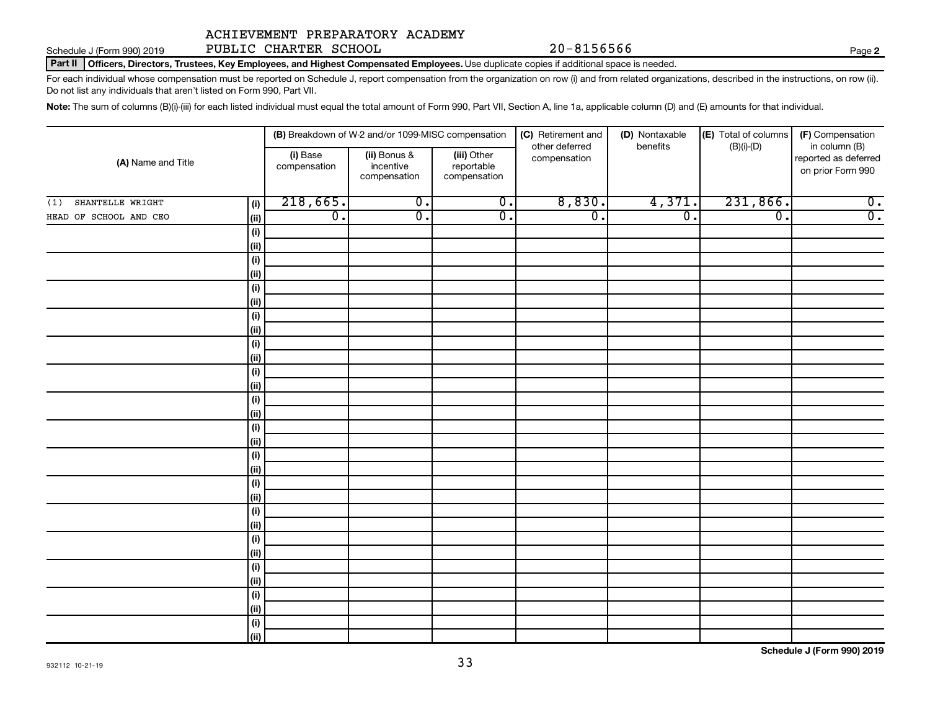Schedule J (Form 990) 2019 Page PUBLIC CHARTER SCHOOL 20-8156566

Part II | Officers, Directors, Trustees, Key Employees, and Highest Compensated Employees. Use duplicate copies if additional space is needed.

For each individual whose compensation must be reported on Schedule J, report compensation from the organization on row (i) and from related organizations, described in the instructions, on row (ii). Do not list any individuals that aren't listed on Form 990, Part VII.

Note: The sum of columns (B)(i)-(iii) for each listed individual must equal the total amount of Form 990, Part VII, Section A, line 1a, applicable column (D) and (E) amounts for that individual.

|                                |                          | (B) Breakdown of W-2 and/or 1099-MISC compensation |                                           | (C) Retirement and             | (D) Nontaxable   | (E) Total of columns | (F) Compensation                                           |
|--------------------------------|--------------------------|----------------------------------------------------|-------------------------------------------|--------------------------------|------------------|----------------------|------------------------------------------------------------|
| (A) Name and Title             | (i) Base<br>compensation | (ii) Bonus &<br>incentive<br>compensation          | (iii) Other<br>reportable<br>compensation | other deferred<br>compensation | benefits         | $(B)(i)-(D)$         | in column (B)<br>reported as deferred<br>on prior Form 990 |
| SHANTELLE WRIGHT<br>(1)<br>(i) | 218,665.                 | $\overline{0}$ .                                   | $\overline{0}$ .                          | 8,830.                         | 4,371.           | 231,866.             | $\overline{0}$ .                                           |
| HEAD OF SCHOOL AND CEO<br>(ii) | $\overline{0}$ .         | $\overline{0}$ .                                   | $\overline{0}$ .                          | $\overline{0}$ .               | $\overline{0}$ . | $\overline{0}$ .     | $\overline{0}$ .                                           |
| (i)                            |                          |                                                    |                                           |                                |                  |                      |                                                            |
| (ii)                           |                          |                                                    |                                           |                                |                  |                      |                                                            |
| (i)                            |                          |                                                    |                                           |                                |                  |                      |                                                            |
| (ii)                           |                          |                                                    |                                           |                                |                  |                      |                                                            |
| (i)                            |                          |                                                    |                                           |                                |                  |                      |                                                            |
| (ii)                           |                          |                                                    |                                           |                                |                  |                      |                                                            |
| (i)                            |                          |                                                    |                                           |                                |                  |                      |                                                            |
| (ii)                           |                          |                                                    |                                           |                                |                  |                      |                                                            |
| (i)                            |                          |                                                    |                                           |                                |                  |                      |                                                            |
| (ii)                           |                          |                                                    |                                           |                                |                  |                      |                                                            |
| (i)                            |                          |                                                    |                                           |                                |                  |                      |                                                            |
| (ii)                           |                          |                                                    |                                           |                                |                  |                      |                                                            |
| (i)                            |                          |                                                    |                                           |                                |                  |                      |                                                            |
| (ii)                           |                          |                                                    |                                           |                                |                  |                      |                                                            |
| (i)                            |                          |                                                    |                                           |                                |                  |                      |                                                            |
| (ii)                           |                          |                                                    |                                           |                                |                  |                      |                                                            |
| (i)<br>(ii)                    |                          |                                                    |                                           |                                |                  |                      |                                                            |
| (i)                            |                          |                                                    |                                           |                                |                  |                      |                                                            |
| (ii)                           |                          |                                                    |                                           |                                |                  |                      |                                                            |
| (i)                            |                          |                                                    |                                           |                                |                  |                      |                                                            |
| (ii)                           |                          |                                                    |                                           |                                |                  |                      |                                                            |
| (i)                            |                          |                                                    |                                           |                                |                  |                      |                                                            |
| (ii)                           |                          |                                                    |                                           |                                |                  |                      |                                                            |
| (i)                            |                          |                                                    |                                           |                                |                  |                      |                                                            |
| (ii)                           |                          |                                                    |                                           |                                |                  |                      |                                                            |
| (i)                            |                          |                                                    |                                           |                                |                  |                      |                                                            |
| (ii)                           |                          |                                                    |                                           |                                |                  |                      |                                                            |
| (i)                            |                          |                                                    |                                           |                                |                  |                      |                                                            |
| iii)                           |                          |                                                    |                                           |                                |                  |                      |                                                            |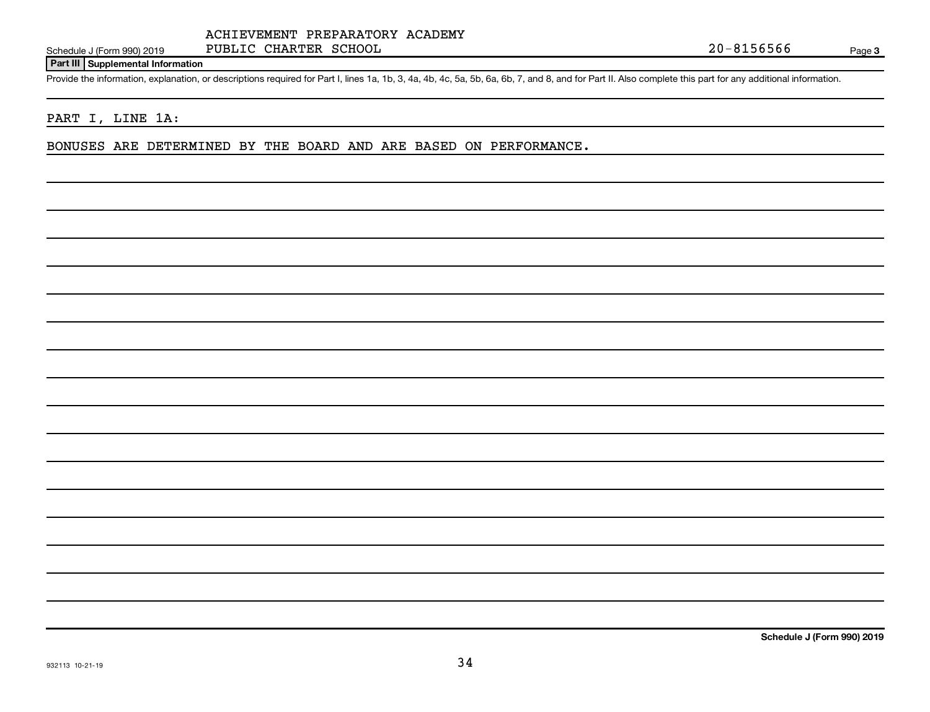## **Part III Supplemental Information**

Provide the information, explanation, or descriptions required for Part I, lines 1a, 1b, 3, 4a, 4b, 4c, 5a, 5b, 6a, 6b, 7, and 8, and for Part II. Also complete this part for any additional information.

## PART I, LINE 1A:

BONUSES ARE DETERMINED BY THE BOARD AND ARE BASED ON PERFORMANCE.

**Schedule J (Form 990) 2019**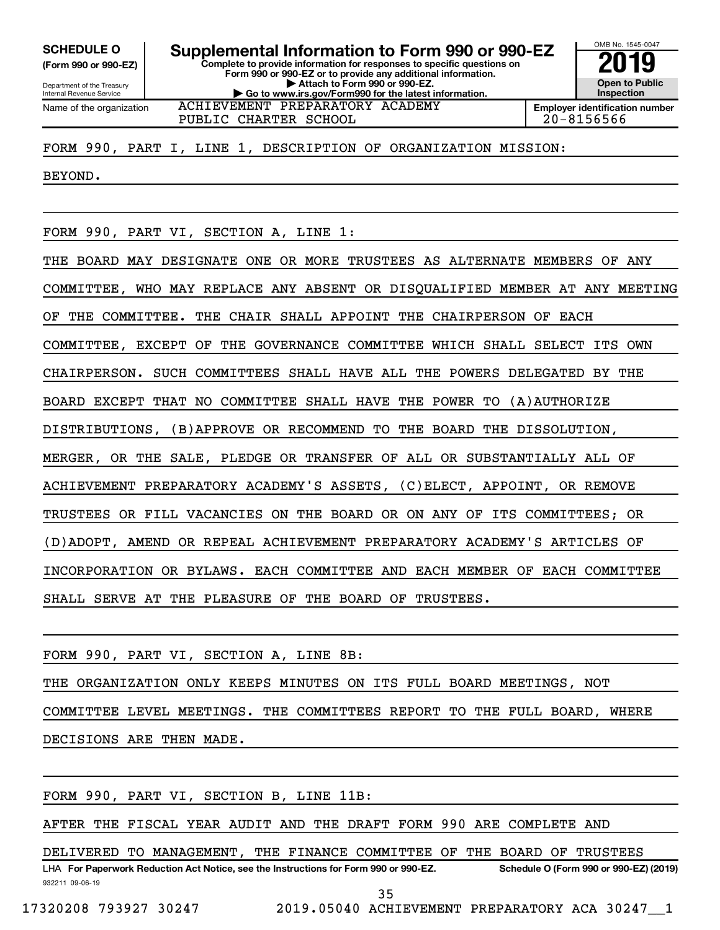**(Form 990 or 990-EZ)**

Department of the Treasury Internal Revenue Service Name of the organization

**Complete to provide information for responses to specific questions on Form 990 or 990-EZ or to provide any additional information. | Attach to Form 990 or 990-EZ. | Go to www.irs.gov/Form990 for the latest information. SCHEDULE O Supplemental Information to Form 990 or 990-EZ 2019** 

**Open to Public Inspection Employer identification number**

OMB No. 1545-0047

ACHIEVEMENT PREPARATORY ACADEMY PUBLIC CHARTER SCHOOL 20-8156566

FORM 990, PART I, LINE 1, DESCRIPTION OF ORGANIZATION MISSION:

BEYOND.

FORM 990, PART VI, SECTION A, LINE 1:

THE BOARD MAY DESIGNATE ONE OR MORE TRUSTEES AS ALTERNATE MEMBERS OF ANY COMMITTEE, WHO MAY REPLACE ANY ABSENT OR DISQUALIFIED MEMBER AT ANY MEETING OF THE COMMITTEE. THE CHAIR SHALL APPOINT THE CHAIRPERSON OF EACH COMMITTEE, EXCEPT OF THE GOVERNANCE COMMITTEE WHICH SHALL SELECT ITS OWN CHAIRPERSON. SUCH COMMITTEES SHALL HAVE ALL THE POWERS DELEGATED BY THE BOARD EXCEPT THAT NO COMMITTEE SHALL HAVE THE POWER TO (A)AUTHORIZE DISTRIBUTIONS, (B)APPROVE OR RECOMMEND TO THE BOARD THE DISSOLUTION, MERGER, OR THE SALE, PLEDGE OR TRANSFER OF ALL OR SUBSTANTIALLY ALL OF ACHIEVEMENT PREPARATORY ACADEMY'S ASSETS, (C)ELECT, APPOINT, OR REMOVE TRUSTEES OR FILL VACANCIES ON THE BOARD OR ON ANY OF ITS COMMITTEES; OR (D)ADOPT, AMEND OR REPEAL ACHIEVEMENT PREPARATORY ACADEMY'S ARTICLES OF INCORPORATION OR BYLAWS. EACH COMMITTEE AND EACH MEMBER OF EACH COMMITTEE SHALL SERVE AT THE PLEASURE OF THE BOARD OF TRUSTEES.

FORM 990, PART VI, SECTION A, LINE 8B: THE ORGANIZATION ONLY KEEPS MINUTES ON ITS FULL BOARD MEETINGS, NOT COMMITTEE LEVEL MEETINGS. THE COMMITTEES REPORT TO THE FULL BOARD, WHERE DECISIONS ARE THEN MADE.

FORM 990, PART VI, SECTION B, LINE 11B:

AFTER THE FISCAL YEAR AUDIT AND THE DRAFT FORM 990 ARE COMPLETE AND

932211 09-06-19 LHA For Paperwork Reduction Act Notice, see the Instructions for Form 990 or 990-EZ. Schedule O (Form 990 or 990-EZ) (2019) DELIVERED TO MANAGEMENT, THE FINANCE COMMITTEE OF THE BOARD OF TRUSTEES

35

17320208 793927 30247 2019.05040 ACHIEVEMENT PREPARATORY ACA 30247\_\_1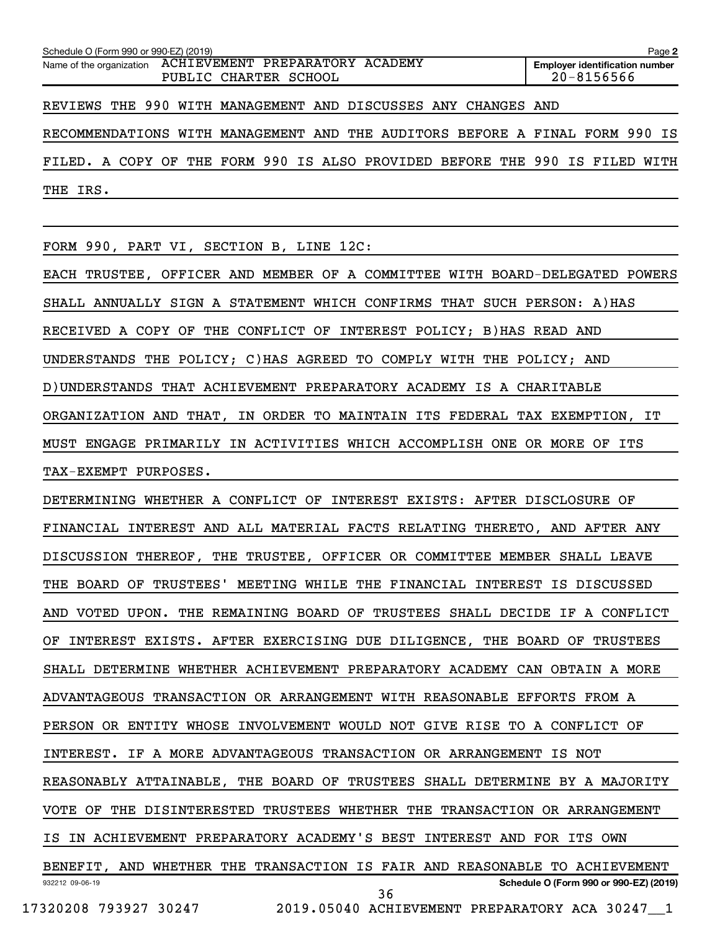| Schedule O (Form 990 or 990-EZ) (2019)                                                  | Page 2                                              |  |  |  |  |
|-----------------------------------------------------------------------------------------|-----------------------------------------------------|--|--|--|--|
| ACHIEVEMENT PREPARATORY ACADEMY<br>Name of the organization<br>PUBLIC<br>CHARTER SCHOOL | <b>Employer identification number</b><br>20-8156566 |  |  |  |  |
| THE 990<br>WITH MANAGEMENT AND DISCUSSES ANY<br>REVIEWS<br>CHANGES AND                  |                                                     |  |  |  |  |
| MANAGEMENT AND<br>THE<br>AUDITORS<br>BEFORE<br>RECOMMENDATIONS<br>WITH<br>$\mathbf{A}$  | FORM 990<br>FINAL<br>IS                             |  |  |  |  |
| FORM 990<br>IS ALSO PROVIDED BEFORE<br>A COPY OF<br>THE<br>THE<br>FILED.                | 990<br>ΙS<br>WITH<br>FILED                          |  |  |  |  |
| IRS.<br>THE                                                                             |                                                     |  |  |  |  |
|                                                                                         |                                                     |  |  |  |  |
| FORM 990, PART VI, SECTION B, LINE 12C:                                                 |                                                     |  |  |  |  |
| EACH TRUSTEE, OFFICER AND MEMBER OF A COMMITTEE WITH BOARD-DELEGATED                    | POWERS                                              |  |  |  |  |
| WHICH<br>CONFIRMS<br>ANNUALLY<br>SIGN A<br><b>STATEMENT</b><br>THAT<br>SHALL            | SUCH PERSON: A) HAS                                 |  |  |  |  |
| COPY<br>OF<br>THE<br>CONFLICT<br>OF<br>INTEREST POLICY;<br>RECEIVED<br>A                | B)HAS READ AND                                      |  |  |  |  |

UNDERSTANDS THE POLICY; C)HAS AGREED TO COMPLY WITH THE POLICY; AND

D)UNDERSTANDS THAT ACHIEVEMENT PREPARATORY ACADEMY IS A CHARITABLE

ORGANIZATION AND THAT, IN ORDER TO MAINTAIN ITS FEDERAL TAX EXEMPTION, IT

MUST ENGAGE PRIMARILY IN ACTIVITIES WHICH ACCOMPLISH ONE OR MORE OF ITS TAX-EXEMPT PURPOSES.

932212 09-06-19 **Schedule O (Form 990 or 990-EZ) (2019)** DETERMINING WHETHER A CONFLICT OF INTEREST EXISTS: AFTER DISCLOSURE OF FINANCIAL INTEREST AND ALL MATERIAL FACTS RELATING THERETO, AND AFTER ANY DISCUSSION THEREOF, THE TRUSTEE, OFFICER OR COMMITTEE MEMBER SHALL LEAVE THE BOARD OF TRUSTEES' MEETING WHILE THE FINANCIAL INTEREST IS DISCUSSED AND VOTED UPON. THE REMAINING BOARD OF TRUSTEES SHALL DECIDE IF A CONFLICT OF INTEREST EXISTS. AFTER EXERCISING DUE DILIGENCE, THE BOARD OF TRUSTEES SHALL DETERMINE WHETHER ACHIEVEMENT PREPARATORY ACADEMY CAN OBTAIN A MORE ADVANTAGEOUS TRANSACTION OR ARRANGEMENT WITH REASONABLE EFFORTS FROM A PERSON OR ENTITY WHOSE INVOLVEMENT WOULD NOT GIVE RISE TO A CONFLICT OF INTEREST. IF A MORE ADVANTAGEOUS TRANSACTION OR ARRANGEMENT IS NOT REASONABLY ATTAINABLE, THE BOARD OF TRUSTEES SHALL DETERMINE BY A MAJORITY VOTE OF THE DISINTERESTED TRUSTEES WHETHER THE TRANSACTION OR ARRANGEMENT IS IN ACHIEVEMENT PREPARATORY ACADEMY'S BEST INTEREST AND FOR ITS OWN BENEFIT, AND WHETHER THE TRANSACTION IS FAIR AND REASONABLE TO ACHIEVEMENT 36

17320208 793927 30247 2019.05040 ACHIEVEMENT PREPARATORY ACA 30247\_\_1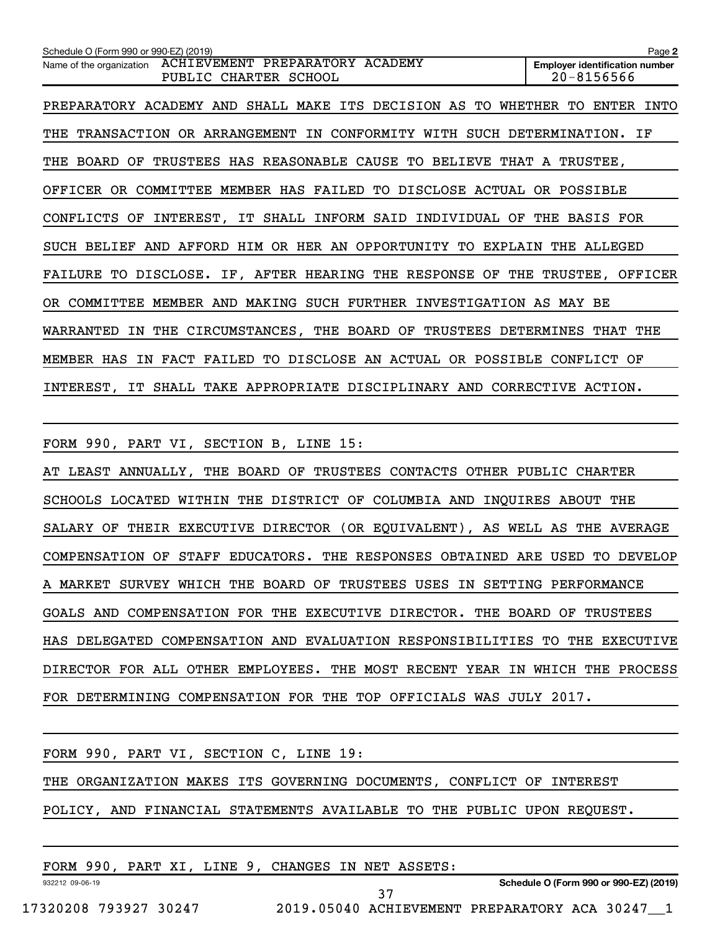| Schedule O (Form 990 or 990-EZ) (2019)                                                       | Page 2                                              |
|----------------------------------------------------------------------------------------------|-----------------------------------------------------|
| ACHIEVEMENT PREPARATORY ACADEMY<br>Name of the organization<br>PUBLIC<br>CHARTER SCHOOL      | <b>Employer identification number</b><br>20-8156566 |
| DECISION AS<br>PREPARATORY ACADEMY<br>SHALL MAKE<br>ITS<br>TO<br>AND                         | WHETHER<br>INTO<br>TО<br>ENTER                      |
| OR ARRANGEMENT<br>CONFORMITY<br>TRANSACTION<br>WITH<br>THE<br>IN                             | ΙF<br>SUCH DETERMINATION.                           |
| <b>TRUSTEES</b><br>REASONABLE CAUSE TO<br><b>BOARD</b><br>OF<br>HAS<br><b>BELIEVE</b><br>THE | THAT A TRUSTEE,                                     |
| COMMITTEE MEMBER HAS<br>FAILED<br>DISCLOSE ACTUAL<br>OFFICER<br>TО<br>OR                     | OR POSSIBLE                                         |
| IT SHALL INFORM SAID<br>INDIVIDUAL<br>CONFLICTS<br>ΟF<br>INTEREST,<br>OF                     | <b>BASIS FOR</b><br>THE                             |
| AFFORD HIM<br>OR HER AN<br>OPPORTUNITY<br><b>SUCH BELIEF</b><br>AND<br>TО<br>EXPLAIN         | THE<br>ALLEGED                                      |
| IF, AFTER HEARING THE RESPONSE<br>OF<br>FAILURE<br>TO<br>DISCLOSE.                           | THE TRUSTEE,<br>OFFICER                             |
| MEMBER AND MAKING SUCH FURTHER<br>INVESTIGATION AS<br>COMMITTEE<br>OR.                       | MAY BE                                              |
| CIRCUMSTANCES, THE BOARD OF<br>TRUSTEES<br>WARRANTED<br>IN THE                               | <b>DETERMINES</b><br>THE<br>THAT                    |
| DISCLOSE AN ACTUAL OR POSSIBLE<br>FACT FAILED<br>MEMBER HAS<br>TO<br>IN                      | CONFLICT OF                                         |
| IT SHALL TAKE APPROPRIATE DISCIPLINARY AND<br>INTEREST.                                      | <b>CORRECTIVE</b><br>ACTION.                        |

FORM 990, PART VI, SECTION B, LINE 15:

AT LEAST ANNUALLY, THE BOARD OF TRUSTEES CONTACTS OTHER PUBLIC CHARTER SCHOOLS LOCATED WITHIN THE DISTRICT OF COLUMBIA AND INQUIRES ABOUT THE SALARY OF THEIR EXECUTIVE DIRECTOR (OR EQUIVALENT), AS WELL AS THE AVERAGE COMPENSATION OF STAFF EDUCATORS. THE RESPONSES OBTAINED ARE USED TO DEVELOP A MARKET SURVEY WHICH THE BOARD OF TRUSTEES USES IN SETTING PERFORMANCE GOALS AND COMPENSATION FOR THE EXECUTIVE DIRECTOR. THE BOARD OF TRUSTEES HAS DELEGATED COMPENSATION AND EVALUATION RESPONSIBILITIES TO THE EXECUTIVE DIRECTOR FOR ALL OTHER EMPLOYEES. THE MOST RECENT YEAR IN WHICH THE PROCESS FOR DETERMINING COMPENSATION FOR THE TOP OFFICIALS WAS JULY 2017.

|                 |  | FORM 990, PART VI, SECTION C, LINE 19: |                                                   |                                                                        |                                        |
|-----------------|--|----------------------------------------|---------------------------------------------------|------------------------------------------------------------------------|----------------------------------------|
|                 |  |                                        |                                                   | THE ORGANIZATION MAKES ITS GOVERNING DOCUMENTS, CONFLICT OF INTEREST   |                                        |
|                 |  |                                        |                                                   | POLICY, AND FINANCIAL STATEMENTS AVAILABLE TO THE PUBLIC UPON REQUEST. |                                        |
|                 |  |                                        |                                                   |                                                                        |                                        |
|                 |  |                                        | FORM 990, PART XI, LINE 9, CHANGES IN NET ASSETS: |                                                                        |                                        |
| 932212 09-06-19 |  |                                        |                                                   |                                                                        | Schedule O (Form 990 or 990-EZ) (2019) |

37

**Schedule O (Form 990 or 990-EZ) (2019)**